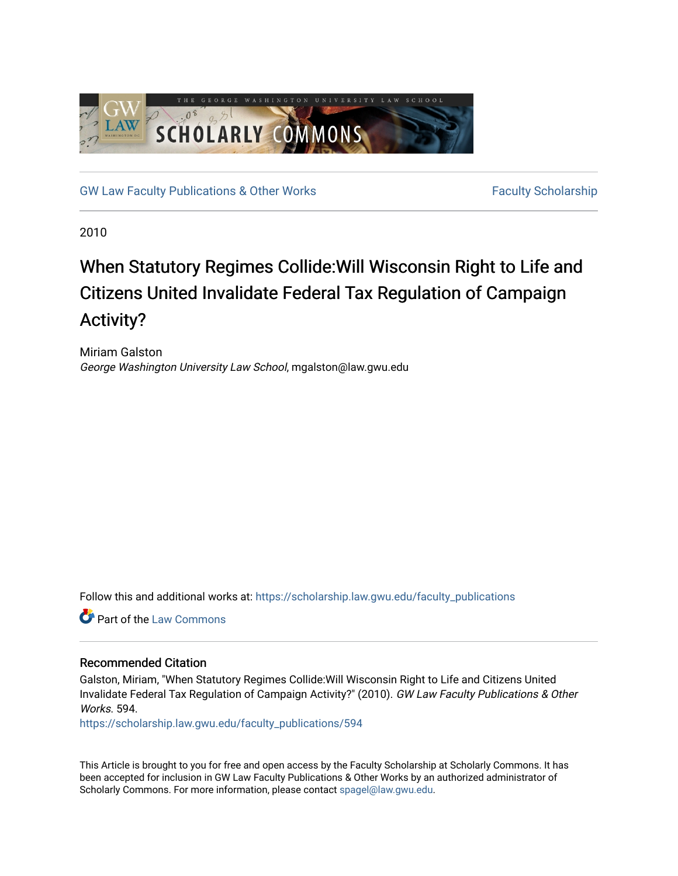

[GW Law Faculty Publications & Other Works](https://scholarship.law.gwu.edu/faculty_publications) Faculty Scholarship

2010

# When Statutory Regimes Collide:Will Wisconsin Right to Life and Citizens United Invalidate Federal Tax Regulation of Campaign Activity?

Miriam Galston George Washington University Law School, mgalston@law.gwu.edu

Follow this and additional works at: [https://scholarship.law.gwu.edu/faculty\\_publications](https://scholarship.law.gwu.edu/faculty_publications?utm_source=scholarship.law.gwu.edu%2Ffaculty_publications%2F594&utm_medium=PDF&utm_campaign=PDFCoverPages) 

Part of the [Law Commons](http://network.bepress.com/hgg/discipline/578?utm_source=scholarship.law.gwu.edu%2Ffaculty_publications%2F594&utm_medium=PDF&utm_campaign=PDFCoverPages)

# Recommended Citation

Galston, Miriam, "When Statutory Regimes Collide:Will Wisconsin Right to Life and Citizens United Invalidate Federal Tax Regulation of Campaign Activity?" (2010). GW Law Faculty Publications & Other Works. 594.

[https://scholarship.law.gwu.edu/faculty\\_publications/594](https://scholarship.law.gwu.edu/faculty_publications/594?utm_source=scholarship.law.gwu.edu%2Ffaculty_publications%2F594&utm_medium=PDF&utm_campaign=PDFCoverPages) 

This Article is brought to you for free and open access by the Faculty Scholarship at Scholarly Commons. It has been accepted for inclusion in GW Law Faculty Publications & Other Works by an authorized administrator of Scholarly Commons. For more information, please contact [spagel@law.gwu.edu](mailto:spagel@law.gwu.edu).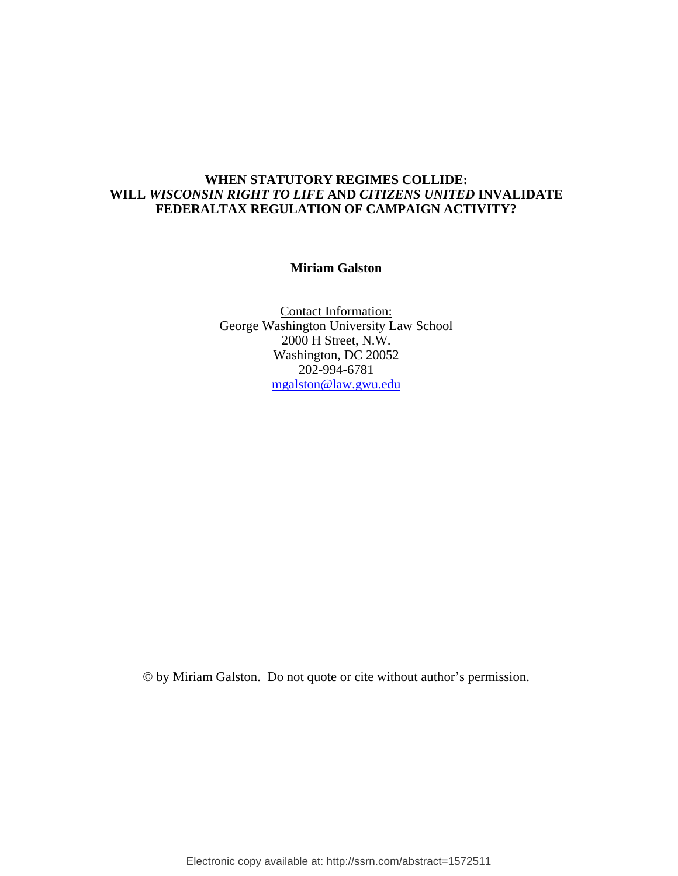# **WHEN STATUTORY REGIMES COLLIDE: WILL** *WISCONSIN RIGHT TO LIFE* **AND** *CITIZENS UNITED* **INVALIDATE FEDERALTAX REGULATION OF CAMPAIGN ACTIVITY?**

# **Miriam Galston**

Contact Information: George Washington University Law School 2000 H Street, N.W. Washington, DC 20052 202-994-6781 [mgalston@law.gwu.edu](mailto:jmolot@law.gwu.edu)

© by Miriam Galston. Do not quote or cite without author's permission.

Electronic copy available at: http://ssrn.com/abstract=1572511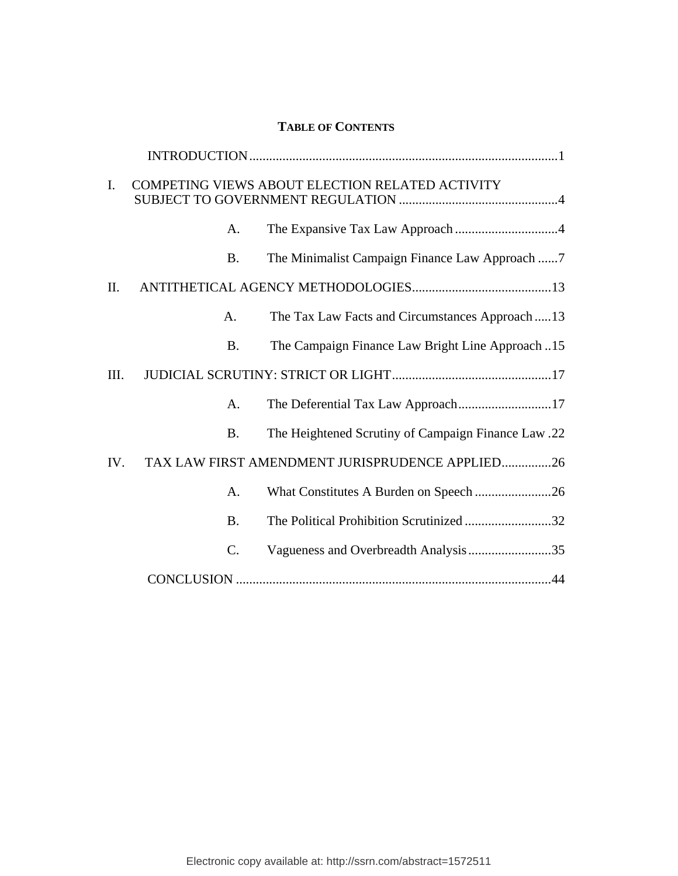# **TABLE OF CONTENTS**

| $\mathbf{I}$ . | COMPETING VIEWS ABOUT ELECTION RELATED ACTIVITY |                                                     |
|----------------|-------------------------------------------------|-----------------------------------------------------|
|                | А.                                              |                                                     |
|                | <b>B.</b>                                       | The Minimalist Campaign Finance Law Approach 7      |
| II.            |                                                 |                                                     |
|                | A.                                              | The Tax Law Facts and Circumstances Approach13      |
|                | <b>B.</b>                                       | The Campaign Finance Law Bright Line Approach 15    |
| III.           |                                                 |                                                     |
|                | A.                                              | The Deferential Tax Law Approach17                  |
|                | <b>B.</b>                                       | The Heightened Scrutiny of Campaign Finance Law .22 |
| IV.            | TAX LAW FIRST AMENDMENT JURISPRUDENCE APPLIED26 |                                                     |
|                | A.                                              | What Constitutes A Burden on Speech 26              |
|                | <b>B.</b>                                       | The Political Prohibition Scrutinized32             |
|                | C.                                              |                                                     |
|                |                                                 |                                                     |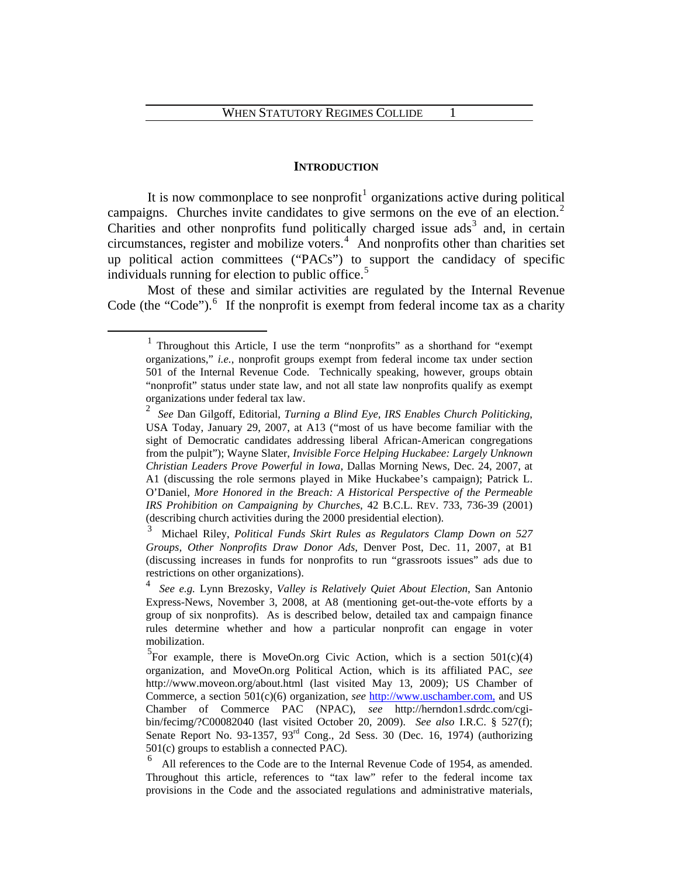#### **INTRODUCTION**

It is now commonplace to see nonprofit<sup>[1](#page-3-0)</sup> organizations active during political campaigns. Churches invite candidates to give sermons on the eve of an election.<sup>[2](#page-3-1)</sup> Charities and other nonprofits fund politically charged issue  $\mathrm{ads}^3$  $\mathrm{ads}^3$  and, in certain circumstances, register and mobilize voters.[4](#page-3-3) And nonprofits other than charities set up political action committees ("PACs") to support the candidacy of specific individuals running for election to public office.<sup>[5](#page-3-4)</sup>

 Most of these and similar activities are regulated by the Internal Revenue Code (the "Code"). $<sup>6</sup>$  $<sup>6</sup>$  $<sup>6</sup>$  If the nonprofit is exempt from federal income tax as a charity</sup>

<span id="page-3-1"></span><span id="page-3-0"></span><sup>&</sup>lt;u>1</u> Throughout this Article, I use the term "nonprofits" as a shorthand for "exempt organizations," *i.e.*, nonprofit groups exempt from federal income tax under section 501 of the Internal Revenue Code. Technically speaking, however, groups obtain "nonprofit" status under state law, and not all state law nonprofits qualify as exempt organizations under federal tax law.

<sup>2</sup> *See* Dan Gilgoff, Editorial, *Turning a Blind Eye, IRS Enables Church Politicking*, USA Today, January 29, 2007, at A13 ("most of us have become familiar with the sight of Democratic candidates addressing liberal African-American congregations from the pulpit"); Wayne Slater, *Invisible Force Helping Huckabee: Largely Unknown Christian Leaders Prove Powerful in Iowa*, Dallas Morning News, Dec. 24, 2007, at A1 (discussing the role sermons played in Mike Huckabee's campaign); Patrick L. O'Daniel, *More Honored in the Breach: A Historical Perspective of the Permeable IRS Prohibition on Campaigning by Churches*, 42 B.C.L. REV. 733, 736-39 (2001) (describing church activities during the 2000 presidential election).

<span id="page-3-2"></span><sup>3</sup> Michael Riley, *Political Funds Skirt Rules as Regulators Clamp Down on 527 Groups, Other Nonprofits Draw Donor Ads*, Denver Post, Dec. 11, 2007, at B1 (discussing increases in funds for nonprofits to run "grassroots issues" ads due to restrictions on other organizations).

<span id="page-3-3"></span><sup>4</sup> *See e.g.* Lynn Brezosky, *Valley is Relatively Quiet About Election*, San Antonio Express-News, November 3, 2008, at A8 (mentioning get-out-the-vote efforts by a group of six nonprofits). As is described below, detailed tax and campaign finance rules determine whether and how a particular nonprofit can engage in voter mobilization.

<span id="page-3-4"></span><sup>&</sup>lt;sup>5</sup>For example, there is MoveOn.org Civic Action, which is a section  $501(c)(4)$ organization, and MoveOn.org Political Action, which is its affiliated PAC, *see* http://www.moveon.org/about.html (last visited May 13, 2009); US Chamber of Commerce, a section 501(c)(6) organization, *see* [http://www.uschamber.com,](http://www.uschamber.com,/) and US Chamber of Commerce PAC (NPAC), *see* http://herndon1.sdrdc.com/cgibin/fecimg/?C00082040 (last visited October 20, 2009). *See also* I.R.C. § 527(f); Senate Report No. 93-1357,  $93<sup>rd</sup>$  Cong., 2d Sess. 30 (Dec. 16, 1974) (authorizing 501(c) groups to establish a connected PAC).

<span id="page-3-5"></span><sup>&</sup>lt;sup>6</sup> All references to the Code are to the Internal Revenue Code of 1954, as amended. Throughout this article, references to "tax law" refer to the federal income tax provisions in the Code and the associated regulations and administrative materials,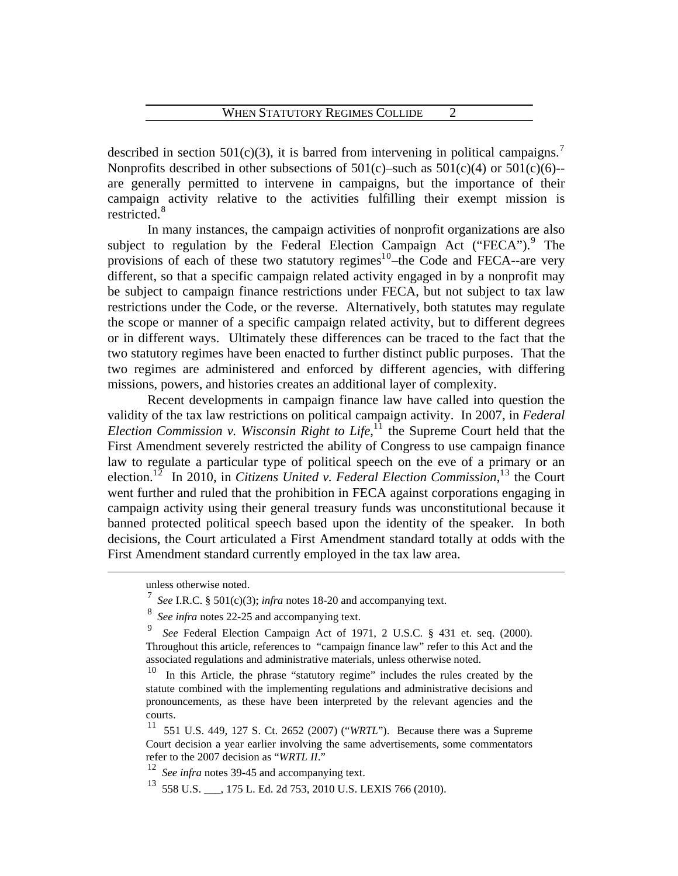described in section 501(c)(3), it is barred from intervening in political campaigns.<sup>[7](#page-4-0)</sup> Nonprofits described in other subsections of  $501(c)$ –such as  $501(c)(4)$  or  $501(c)(6)$ – are generally permitted to intervene in campaigns, but the importance of their campaign activity relative to the activities fulfilling their exempt mission is restricted.<sup>[8](#page-4-1)</sup>

 In many instances, the campaign activities of nonprofit organizations are also subject to regulation by the Federal Election Campaign Act ("FECA").<sup>[9](#page-4-2)</sup> The provisions of each of these two statutory regimes<sup>1[0](#page-4-3)</sup>-the Code and FECA--are very different, so that a specific campaign related activity engaged in by a nonprofit may be subject to campaign finance restrictions under FECA, but not subject to tax law restrictions under the Code, or the reverse. Alternatively, both statutes may regulate the scope or manner of a specific campaign related activity, but to different degrees or in different ways. Ultimately these differences can be traced to the fact that the two statutory regimes have been enacted to further distinct public purposes. That the two regimes are administered and enforced by different agencies, with differing missions, powers, and histories creates an additional layer of complexity.

 Recent developments in campaign finance law have called into question the validity of the tax law restrictions on political campaign activity. In 2007, in *Federal Election Commission v. Wisconsin Right to Life*, $^{11}$  $^{11}$  $^{11}$  the Supreme Court held that the First Amendment severely restricted the ability of Congress to use campaign finance law to regulate a particular type of political speech on the eve of a primary or an election.<sup>1[2](#page-4-5)</sup> In 2010, in *Citizens United v. Federal Election Commission*,<sup>1[3](#page-4-6)</sup> the Court went further and ruled that the prohibition in FECA against corporations engaging in campaign activity using their general treasury funds was unconstitutional because it banned protected political speech based upon the identity of the speaker. In both decisions, the Court articulated a First Amendment standard totally at odds with the First Amendment standard currently employed in the tax law area.

<span id="page-4-0"></span>unless otherwise noted.

<sup>7</sup> *See* I.R.C. § 501(c)(3); *infra* notes 18-20 and accompanying text.

<span id="page-4-1"></span><sup>8</sup> *See infra* notes 22-25 and accompanying text.

<span id="page-4-2"></span><sup>9</sup> *See* Federal Election Campaign Act of 1971, 2 U.S.C. § 431 et. seq. (2000). Throughout this article, references to "campaign finance law" refer to this Act and the associated regulations and administrative materials, unless otherwise noted.

<span id="page-4-3"></span><sup>10</sup> In this Article, the phrase "statutory regime" includes the rules created by the statute combined with the implementing regulations and administrative decisions and pronouncements, as these have been interpreted by the relevant agencies and the courts.

<span id="page-4-4"></span><sup>11 551</sup> U.S. 449, 127 S. Ct. 2652 (2007) ("*WRTL*"). Because there was a Supreme Court decision a year earlier involving the same advertisements, some commentators refer to the 2007 decision as "*WRTL II*."

<span id="page-4-5"></span>See infra notes 39-45 and accompanying text.

<span id="page-4-6"></span><sup>13 558</sup> U.S. \_\_\_, 175 L. Ed. 2d 753, 2010 U.S. LEXIS 766 (2010).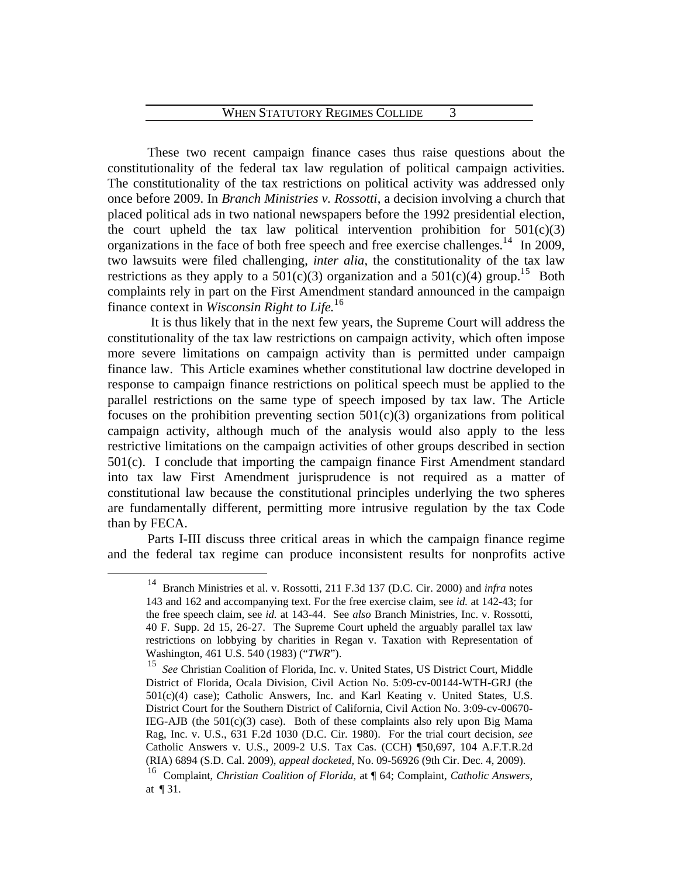These two recent campaign finance cases thus raise questions about the constitutionality of the federal tax law regulation of political campaign activities. The constitutionality of the tax restrictions on political activity was addressed only once before 2009. In *Branch Ministries v. Rossotti*, a decision involving a church that placed political ads in two national newspapers before the 1992 presidential election, the court upheld the tax law political intervention prohibition for  $501(c)(3)$ organizations in the face of both free speech and free exercise challenges.<sup>1[4](#page-5-0)</sup> In 2009, two lawsuits were filed challenging, *inter alia*, the constitutionality of the tax law restrictions as they apply to a  $501(c)(3)$  $501(c)(3)$  organization and a  $501(c)(4)$  group.<sup>15</sup> Both complaints rely in part on the First Amendment standard announced in the campaign finance context in *Wisconsin Right to Life.*1[6](#page-5-2)

 It is thus likely that in the next few years, the Supreme Court will address the constitutionality of the tax law restrictions on campaign activity, which often impose more severe limitations on campaign activity than is permitted under campaign finance law. This Article examines whether constitutional law doctrine developed in response to campaign finance restrictions on political speech must be applied to the parallel restrictions on the same type of speech imposed by tax law. The Article focuses on the prohibition preventing section  $501(c)(3)$  organizations from political campaign activity, although much of the analysis would also apply to the less restrictive limitations on the campaign activities of other groups described in section 501(c). I conclude that importing the campaign finance First Amendment standard into tax law First Amendment jurisprudence is not required as a matter of constitutional law because the constitutional principles underlying the two spheres are fundamentally different, permitting more intrusive regulation by the tax Code than by FECA.

<span id="page-5-0"></span> Parts I-III discuss three critical areas in which the campaign finance regime and the federal tax regime can produce inconsistent results for nonprofits active

 <sup>14</sup> Branch Ministries et al. v. Rossotti, 211 F.3d 137 (D.C. Cir. 2000) and *infra* notes 143 and 162 and accompanying text. For the free exercise claim, see *id.* at 142-43; for the free speech claim, see *id.* at 143-44. See *also* Branch Ministries, Inc. v. Rossotti, 40 F. Supp. 2d 15, 26-27. The Supreme Court upheld the arguably parallel tax law restrictions on lobbying by charities in Regan v. Taxation with Representation of Washington, 461 U.S. 540 (1983) ("*TWR*").

<span id="page-5-1"></span><sup>15</sup> *See* Christian Coalition of Florida, Inc. v. United States, US District Court, Middle District of Florida, Ocala Division, Civil Action No. 5:09-cv-00144-WTH-GRJ (the 501(c)(4) case); Catholic Answers, Inc. and Karl Keating v. United States, U.S. District Court for the Southern District of California, Civil Action No. 3:09-cv-00670- IEG-AJB (the  $501(c)(3)$  case). Both of these complaints also rely upon Big Mama Rag, Inc. v. U.S., 631 F.2d 1030 (D.C. Cir. 1980). For the trial court decision, *see* Catholic Answers v. U.S., 2009-2 U.S. Tax Cas. (CCH) ¶50,697, 104 A.F.T.R.2d (RIA) 6894 (S.D. Cal. 2009), *appeal docketed*, No. 09-56926 (9th Cir. Dec. 4, 2009).

<span id="page-5-2"></span><sup>16</sup> Complaint, *Christian Coalition of Florida*, at ¶ 64; Complaint, *Catholic Answers*, at ¶ 31.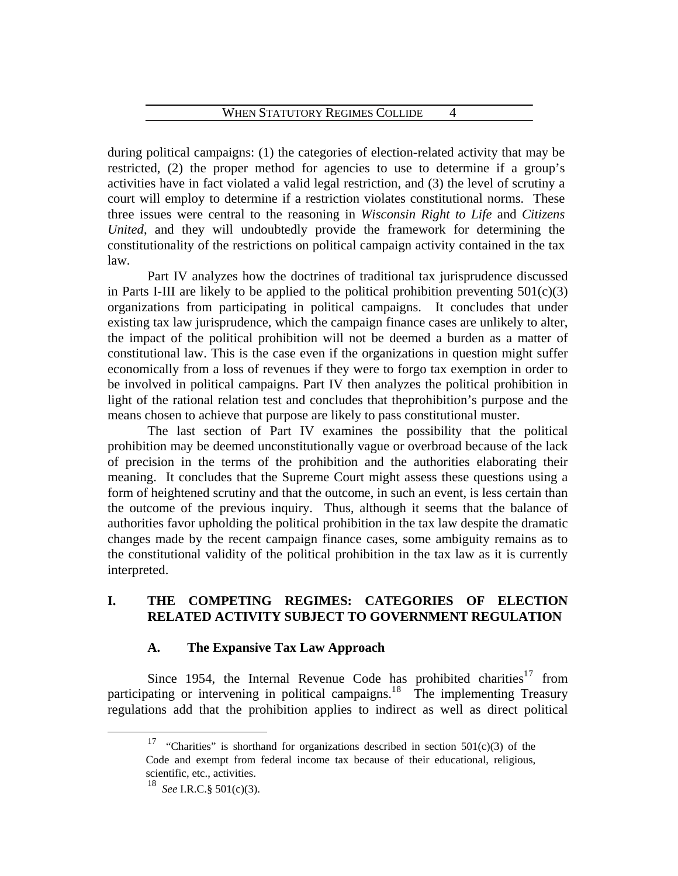during political campaigns: (1) the categories of election-related activity that may be restricted, (2) the proper method for agencies to use to determine if a group's activities have in fact violated a valid legal restriction, and (3) the level of scrutiny a court will employ to determine if a restriction violates constitutional norms. These three issues were central to the reasoning in *Wisconsin Right to Life* and *Citizens United*, and they will undoubtedly provide the framework for determining the constitutionality of the restrictions on political campaign activity contained in the tax law.

 Part IV analyzes how the doctrines of traditional tax jurisprudence discussed in Parts I-III are likely to be applied to the political prohibition preventing  $501(c)(3)$ organizations from participating in political campaigns. It concludes that under existing tax law jurisprudence, which the campaign finance cases are unlikely to alter, the impact of the political prohibition will not be deemed a burden as a matter of constitutional law. This is the case even if the organizations in question might suffer economically from a loss of revenues if they were to forgo tax exemption in order to be involved in political campaigns. Part IV then analyzes the political prohibition in light of the rational relation test and concludes that theprohibition's purpose and the means chosen to achieve that purpose are likely to pass constitutional muster.

 The last section of Part IV examines the possibility that the political prohibition may be deemed unconstitutionally vague or overbroad because of the lack of precision in the terms of the prohibition and the authorities elaborating their meaning. It concludes that the Supreme Court might assess these questions using a form of heightened scrutiny and that the outcome, in such an event, is less certain than the outcome of the previous inquiry. Thus, although it seems that the balance of authorities favor upholding the political prohibition in the tax law despite the dramatic changes made by the recent campaign finance cases, some ambiguity remains as to the constitutional validity of the political prohibition in the tax law as it is currently interpreted.

# **I. THE COMPETING REGIMES: CATEGORIES OF ELECTION RELATED ACTIVITY SUBJECT TO GOVERNMENT REGULATION**

# **A. The Expansive Tax Law Approach**

<span id="page-6-0"></span>Since 1954, the Internal Revenue Code has prohibited charities<sup>1[7](#page-6-0)</sup> from participating or intervening in political campaigns.<sup>1[8](#page-6-1)</sup> The implementing Treasury regulations add that the prohibition applies to indirect as well as direct political

<sup>&</sup>quot;Charities" is shorthand for organizations described in section  $501(c)(3)$  of the Code and exempt from federal income tax because of their educational, religious, scientific, etc., activities.

<span id="page-6-1"></span><sup>18</sup> *See* I.R.C.§ 501(c)(3).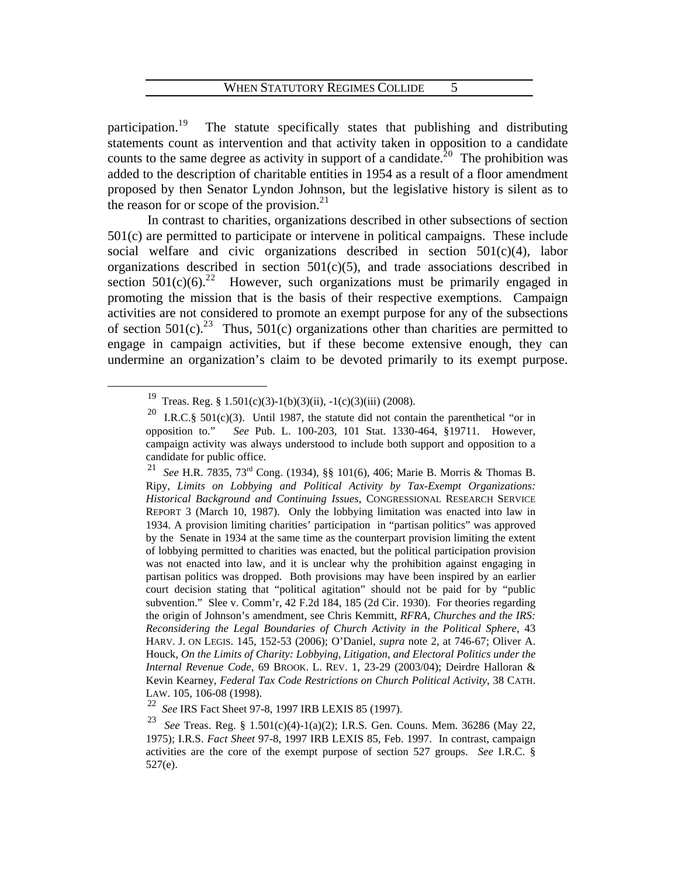participation.<sup>1[9](#page-7-0)</sup> The statute specifically states that publishing and distributing statements count as intervention and that activity taken in opposition to a candidate counts to the same degree as activity in support of a candidate.<sup>2[0](#page-7-1)</sup> The prohibition was added to the description of charitable entities in 1954 as a result of a floor amendment proposed by then Senator Lyndon Johnson, but the legislative history is silent as to the reason for or scope of the provision. $2<sup>1</sup>$  $2<sup>1</sup>$  $2<sup>1</sup>$ 

 In contrast to charities, organizations described in other subsections of section 501(c) are permitted to participate or intervene in political campaigns. These include social welfare and civic organizations described in section 501(c)(4), labor organizations described in section  $501(c)(5)$ , and trade associations described in section  $501(c)(6)$ <sup>[2](#page-7-3)2</sup> However, such organizations must be primarily engaged in promoting the mission that is the basis of their respective exemptions. Campaign activities are not considered to promote an exempt purpose for any of the subsections of section  $501(c)$ <sup>2[3](#page-7-4)</sup> Thus,  $501(c)$  organizations other than charities are permitted to engage in campaign activities, but if these become extensive enough, they can undermine an organization's claim to be devoted primarily to its exempt purpose.

<span id="page-7-2"></span><sup>21</sup> *See* H.R. 7835, 73rd Cong. (1934), §§ 101(6), 406; Marie B. Morris & Thomas B. Ripy, *Limits on Lobbying and Political Activity by Tax-Exempt Organizations: Historical Background and Continuing Issues*, CONGRESSIONAL RESEARCH SERVICE REPORT 3 (March 10, 1987). Only the lobbying limitation was enacted into law in 1934. A provision limiting charities' participation in "partisan politics" was approved by the Senate in 1934 at the same time as the counterpart provision limiting the extent of lobbying permitted to charities was enacted, but the political participation provision was not enacted into law, and it is unclear why the prohibition against engaging in partisan politics was dropped. Both provisions may have been inspired by an earlier court decision stating that "political agitation" should not be paid for by "public subvention." Slee v. Comm'r, 42 F.2d 184, 185 (2d Cir. 1930). For theories regarding the origin of Johnson's amendment, see Chris Kemmitt, *RFRA, Churches and the IRS: Reconsidering the Legal Boundaries of Church Activity in the Political Sphere*, 43 HARV. J. ON LEGIS. 145, 152-53 (2006); O'Daniel, *supra* note 2, at 746-67; Oliver A. Houck, *On the Limits of Charity: Lobbying, Litigation, and Electoral Politics under the Internal Revenue Code*, 69 BROOK. L. REV. 1, 23-29 (2003/04); Deirdre Halloran & Kevin Kearney, *Federal Tax Code Restrictions on Church Political Activity*, 38 CATH. LAW. 105, 106-08 (1998).<br><sup>22</sup> See IRS Fact Sheet 97.

<span id="page-7-0"></span><sup>&</sup>lt;sup>19</sup> Treas. Reg. § 1.501(c)(3)-1(b)(3)(ii), -1(c)(3)(iii) (2008).

<span id="page-7-1"></span>I.R.C.§  $501(c)(3)$ . Until 1987, the statute did not contain the parenthetical "or in opposition to." *See* Pub. L. 100-203, 101 Stat. 1330-464, §19711. However, campaign activity was always understood to include both support and opposition to a candidate for public office.

<sup>22</sup> *See* IRS Fact Sheet 97-8, 1997 IRB LEXIS 85 (1997).

<span id="page-7-4"></span><span id="page-7-3"></span><sup>23</sup> *See* Treas. Reg. § 1.501(c)(4)-1(a)(2); I.R.S. Gen. Couns. Mem. 36286 (May 22, 1975); I.R.S. *Fact Sheet* 97-8, 1997 IRB LEXIS 85, Feb. 1997. In contrast, campaign activities are the core of the exempt purpose of section 527 groups. *See* I.R.C. § 527(e).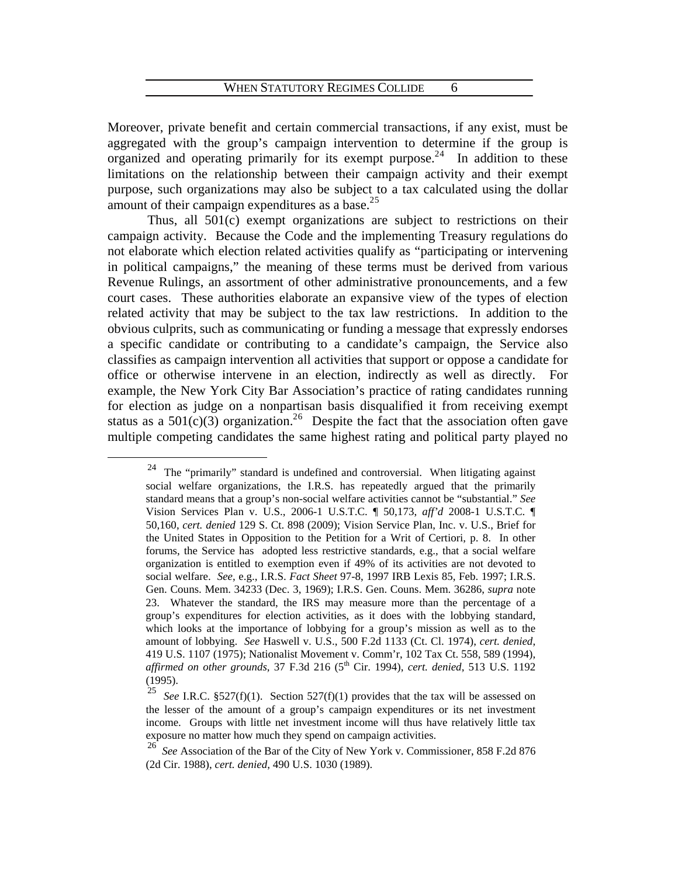Moreover, private benefit and certain commercial transactions, if any exist, must be aggregated with the group's campaign intervention to determine if the group is organized and operating primarily for its exempt purpose.<sup>2[4](#page-8-0)</sup> In addition to these limitations on the relationship between their campaign activity and their exempt purpose, such organizations may also be subject to a tax calculated using the dollar amount of their campaign expenditures as a base. $25$  $25$ 

 Thus, all 501(c) exempt organizations are subject to restrictions on their campaign activity. Because the Code and the implementing Treasury regulations do not elaborate which election related activities qualify as "participating or intervening in political campaigns," the meaning of these terms must be derived from various Revenue Rulings, an assortment of other administrative pronouncements, and a few court cases. These authorities elaborate an expansive view of the types of election related activity that may be subject to the tax law restrictions. In addition to the obvious culprits, such as communicating or funding a message that expressly endorses a specific candidate or contributing to a candidate's campaign, the Service also classifies as campaign intervention all activities that support or oppose a candidate for office or otherwise intervene in an election, indirectly as well as directly. For example, the New York City Bar Association's practice of rating candidates running for election as judge on a nonpartisan basis disqualified it from receiving exempt status as a  $501(c)(3)$  organization.<sup>2[6](#page-8-2)</sup> Despite the fact that the association often gave multiple competing candidates the same highest rating and political party played no

<span id="page-8-0"></span><sup>&</sup>lt;sup>24</sup> The "primarily" standard is undefined and controversial. When litigating against social welfare organizations, the I.R.S. has repeatedly argued that the primarily standard means that a group's non-social welfare activities cannot be "substantial." *See* Vision Services Plan v. U.S., 2006-1 U.S.T.C. ¶ 50,173, *aff'd* 2008-1 U.S.T.C. ¶ 50,160, *cert. denied* 129 S. Ct. 898 (2009); Vision Service Plan, Inc. v. U.S., Brief for the United States in Opposition to the Petition for a Writ of Certiori, p. 8. In other forums, the Service has adopted less restrictive standards, e.g., that a social welfare organization is entitled to exemption even if 49% of its activities are not devoted to social welfare. *See*, e.g., I.R.S. *Fact Sheet* 97-8, 1997 IRB Lexis 85, Feb. 1997; I.R.S. Gen. Couns. Mem. 34233 (Dec. 3, 1969); I.R.S. Gen. Couns. Mem. 36286, *supra* note 23. Whatever the standard, the IRS may measure more than the percentage of a group's expenditures for election activities, as it does with the lobbying standard, which looks at the importance of lobbying for a group's mission as well as to the amount of lobbying. *See* Haswell v. U.S., 500 F.2d 1133 (Ct. Cl. 1974), *cert. denied*, 419 U.S. 1107 (1975); Nationalist Movement v. Comm'r, 102 Tax Ct. 558, 589 (1994), *affirmed on other grounds*, 37 F.3d 216 (5<sup>th</sup> Cir. 1994), *cert. denied*, 513 U.S. 1192 (1995).

<span id="page-8-1"></span><sup>&</sup>lt;sup>25</sup> *See* I.R.C. §527(f)(1). Section 527(f)(1) provides that the tax will be assessed on the lesser of the amount of a group's campaign expenditures or its net investment income. Groups with little net investment income will thus have relatively little tax exposure no matter how much they spend on campaign activities.

<span id="page-8-2"></span><sup>26</sup> *See* Association of the Bar of the City of New York v. Commissioner, 858 F.2d 876 (2d Cir. 1988), *cert. denied*, 490 U.S. 1030 (1989).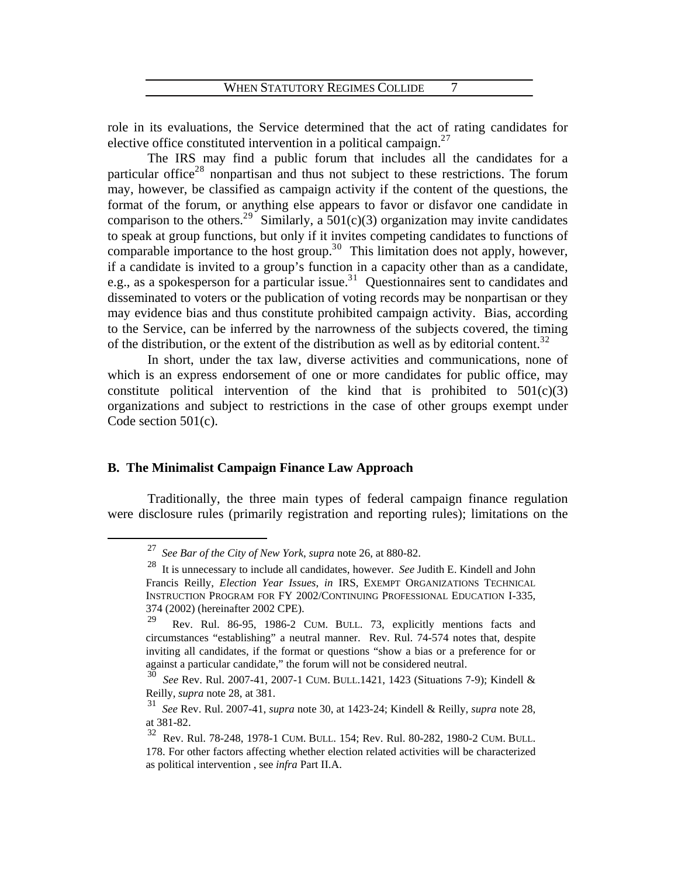role in its evaluations, the Service determined that the act of rating candidates for elective office constituted intervention in a political campaign. $27$  $27$ 

 The IRS may find a public forum that includes all the candidates for a particular office<sup>2[8](#page-9-1)</sup> nonpartisan and thus not subject to these restrictions. The forum may, however, be classified as campaign activity if the content of the questions, the format of the forum, or anything else appears to favor or disfavor one candidate in comparison to the others.<sup>2[9](#page-9-2)</sup> Similarly, a  $501(c)(3)$  organization may invite candidates to speak at group functions, but only if it invites competing candidates to functions of comparable importance to the host group.<sup>3[0](#page-9-3)</sup> This limitation does not apply, however, if a candidate is invited to a group's function in a capacity other than as a candidate, e.g., as a spokesperson for a particular issue.<sup>3[1](#page-9-4)</sup> Questionnaires sent to candidates and disseminated to voters or the publication of voting records may be nonpartisan or they may evidence bias and thus constitute prohibited campaign activity. Bias, according to the Service, can be inferred by the narrowness of the subjects covered, the timing of the distribution, or the extent of the distribution as well as by editorial content.<sup>3[2](#page-9-5)</sup>

 In short, under the tax law, diverse activities and communications, none of which is an express endorsement of one or more candidates for public office, may constitute political intervention of the kind that is prohibited to  $501(c)(3)$ organizations and subject to restrictions in the case of other groups exempt under Code section 501(c).

#### **B. The Minimalist Campaign Finance Law Approach**

<span id="page-9-1"></span><span id="page-9-0"></span> Traditionally, the three main types of federal campaign finance regulation were disclosure rules (primarily registration and reporting rules); limitations on the

 <sup>27</sup> *See Bar of the City of New York*, *supra* note 26, at 880-82.

<sup>28</sup> It is unnecessary to include all candidates, however. *See* Judith E. Kindell and John Francis Reilly, *Election Year Issues*, *in* IRS, EXEMPT ORGANIZATIONS TECHNICAL INSTRUCTION PROGRAM FOR FY 2002/CONTINUING PROFESSIONAL EDUCATION I-335, 374 (2002) (hereinafter 2002 CPE).<br><sup>29</sup>

<span id="page-9-2"></span>Rev. Rul. 86-95, 1986-2 CUM. BULL. 73, explicitly mentions facts and circumstances "establishing" a neutral manner. Rev. Rul. 74-574 notes that, despite inviting all candidates, if the format or questions "show a bias or a preference for or against a particular candidate," the forum will not be considered neutral.

<span id="page-9-3"></span><sup>30</sup> *See* Rev. Rul. 2007-41, 2007-1 CUM. BULL.1421, 1423 (Situations 7-9); Kindell & Reilly, *supra* note 28, at 381.

<span id="page-9-4"></span><sup>31</sup> *See* Rev. Rul. 2007-41, *supra* note 30, at 1423-24; Kindell & Reilly, *supra* note 28, at 381-82.

<span id="page-9-5"></span><sup>32</sup> Rev. Rul. 78-248, 1978-1 CUM. BULL. 154; Rev. Rul. 80-282, 1980-2 CUM. BULL. 178. For other factors affecting whether election related activities will be characterized as political intervention , see *infra* Part II.A.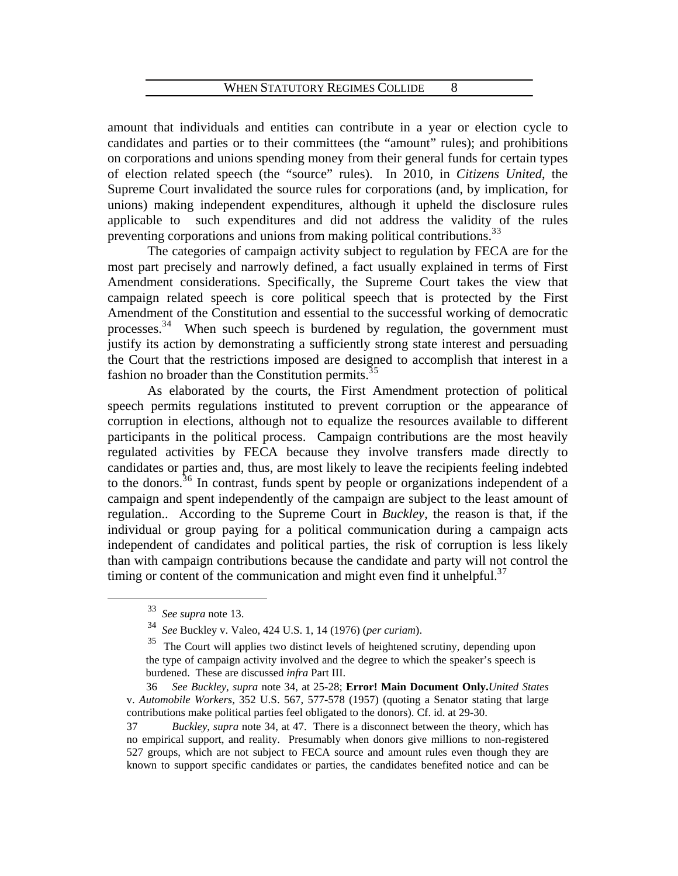amount that individuals and entities can contribute in a year or election cycle to candidates and parties or to their committees (the "amount" rules); and prohibitions on corporations and unions spending money from their general funds for certain types of election related speech (the "source" rules). In 2010, in *Citizens United*, the Supreme Court invalidated the source rules for corporations (and, by implication, for unions) making independent expenditures, although it upheld the disclosure rules applicable to such expenditures and did not address the validity of the rules preventing corporations and unions from making political contributions.<sup>[3](#page-10-0)3</sup>

 The categories of campaign activity subject to regulation by FECA are for the most part precisely and narrowly defined, a fact usually explained in terms of First Amendment considerations. Specifically, the Supreme Court takes the view that campaign related speech is core political speech that is protected by the First Amendment of the Constitution and essential to the successful working of democratic processes.<sup>3[4](#page-10-1)</sup> When such speech is burdened by regulation, the government must justify its action by demonstrating a sufficiently strong state interest and persuading the Court that the restrictions imposed are designed to accomplish that interest in a fashion no broader than the Constitution permits.<sup>3[5](#page-10-2)</sup>

 As elaborated by the courts, the First Amendment protection of political speech permits regulations instituted to prevent corruption or the appearance of corruption in elections, although not to equalize the resources available to different participants in the political process. Campaign contributions are the most heavily regulated activities by FECA because they involve transfers made directly to candidates or parties and, thus, are most likely to leave the recipients feeling indebted to the donors.<sup>3[6](#page-10-3)</sup> In contrast, funds spent by people or organizations independent of a campaign and spent independently of the campaign are subject to the least amount of regulation.. According to the Supreme Court in *Buckley*, the reason is that, if the individual or group paying for a political communication during a campaign acts independent of candidates and political parties, the risk of corruption is less likely than with campaign contributions because the candidate and party will not control the timing or content of the communication and might even find it unhelpful. $37$ 

<span id="page-10-0"></span> <sup>33</sup> *See supra* note 13.

<sup>34</sup> *See* Buckley v. Valeo, 424 U.S. 1, 14 (1976) (*per curiam*).

<sup>&</sup>lt;sup>35</sup> The Court will applies two distinct levels of heightened scrutiny, depending upon the type of campaign activity involved and the degree to which the speaker's speech is burdened. These are discussed *infra* Part III.

<span id="page-10-3"></span><span id="page-10-2"></span><span id="page-10-1"></span> <sup>36</sup> *See Buckley, supra* note 34, at 25-28; **Error! Main Document Only.***United States* v. *Automobile Workers,* 352 U.S. 567, 577-578 (1957) (quoting a Senator stating that large contributions make political parties feel obligated to the donors). Cf. id. at 29-30.

<span id="page-10-4"></span><sup>37</sup> *Buckley*, *supra* note 34, at 47. There is a disconnect between the theory, which has no empirical support, and reality. Presumably when donors give millions to non-registered 527 groups, which are not subject to FECA source and amount rules even though they are known to support specific candidates or parties, the candidates benefited notice and can be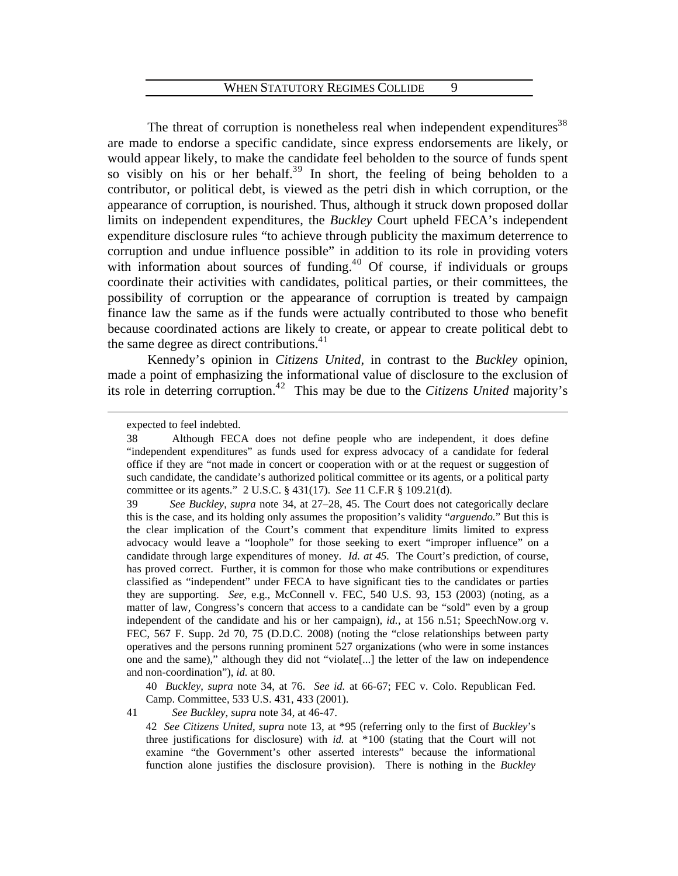The threat of corruption is nonetheless real when independent expenditures<sup>3[8](#page-11-0)</sup> are made to endorse a specific candidate, since express endorsements are likely, or would appear likely, to make the candidate feel beholden to the source of funds spent so visibly on his or her behalf.<sup>3[9](#page-11-1)</sup> In short, the feeling of being beholden to a contributor, or political debt, is viewed as the petri dish in which corruption, or the appearance of corruption, is nourished. Thus, although it struck down proposed dollar limits on independent expenditures, the *Buckley* Court upheld FECA's independent expenditure disclosure rules "to achieve through publicity the maximum deterrence to corruption and undue influence possible" in addition to its role in providing voters with information about sources of funding. $40$  $40$  Of course, if individuals or groups coordinate their activities with candidates, political parties, or their committees, the possibility of corruption or the appearance of corruption is treated by campaign finance law the same as if the funds were actually contributed to those who benefit because coordinated actions are likely to create, or appear to create political debt to the same degree as direct contributions.<sup>4[1](#page-11-3)</sup>

 Kennedy's opinion in *Citizens United*, in contrast to the *Buckley* opinion, made a point of emphasizing the informational value of disclosure to the exclusion of its role in deterring corruption.<sup>4[2](#page-11-4)</sup> This may be due to the *Citizens United* majority's

<span id="page-11-0"></span> $\overline{a}$ 

40 *Buckley*, *supra* note 34, at 76. *See id.* at 66-67; FEC v. Colo. Republican Fed. Camp. Committee, 533 U.S. 431, 433 (2001).

<span id="page-11-4"></span><span id="page-11-3"></span><span id="page-11-2"></span>41 *See Buckley*, *supra* note 34, at 46-47.

expected to feel indebted.

<sup>38</sup> Although FECA does not define people who are independent, it does define "independent expenditures" as funds used for express advocacy of a candidate for federal office if they are "not made in concert or cooperation with or at the request or suggestion of such candidate, the candidate's authorized political committee or its agents, or a political party committee or its agents." 2 U.S.C. § 431(17). *See* 11 C.F.R § 109.21(d).

<span id="page-11-1"></span><sup>39</sup> *See Buckley*, *supra* note 34, at 27–28, 45. The Court does not categorically declare this is the case, and its holding only assumes the proposition's validity "*arguendo.*" But this is the clear implication of the Court's comment that expenditure limits limited to express advocacy would leave a "loophole" for those seeking to exert "improper influence" on a candidate through large expenditures of money. *Id. at 45.* The Court's prediction, of course, has proved correct. Further, it is common for those who make contributions or expenditures classified as "independent" under FECA to have significant ties to the candidates or parties they are supporting. *See*, e.g., McConnell v. FEC, 540 U.S. 93, 153 (2003) (noting, as a matter of law, Congress's concern that access to a candidate can be "sold" even by a group independent of the candidate and his or her campaign), *id.*, at 156 n.51; SpeechNow.org v. FEC, 567 F. Supp. 2d 70, 75 (D.D.C. 2008) (noting the "close relationships between party operatives and the persons running prominent 527 organizations (who were in some instances one and the same)," although they did not "violate[...] the letter of the law on independence and non-coordination"), *id.* at 80.

<sup>42</sup> *See Citizens United*, *supra* note 13, at \*95 (referring only to the first of *Buckley*'s three justifications for disclosure) with *id.* at \*100 (stating that the Court will not examine "the Government's other asserted interests" because the informational function alone justifies the disclosure provision). There is nothing in the *Buckley*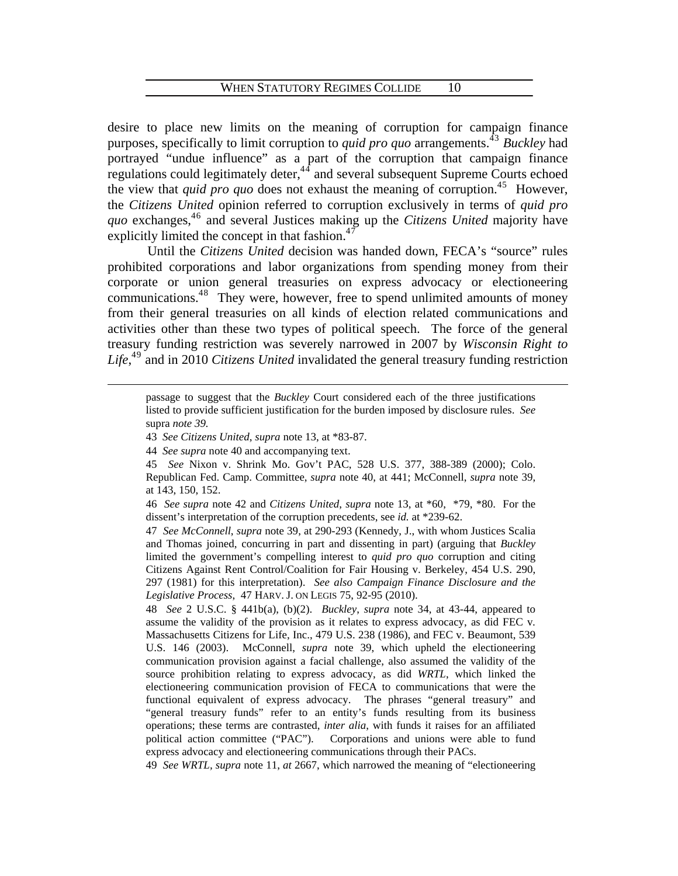desire to place new limits on the meaning of corruption for campaign finance purposes, specifically to limit corruption to *quid pro quo* arrangements.<sup>4[3](#page-12-0)</sup> *Buckley* had portrayed "undue influence" as a part of the corruption that campaign finance regulations could legitimately deter, $44$  $44$  and several subsequent Supreme Courts echoed the view that *quid pro quo* does not exhaust the meaning of corruption.<sup>4[5](#page-12-2)</sup> However, the *Citizens United* opinion referred to corruption exclusively in terms of *quid pro*  quo exchanges,<sup>4[6](#page-12-3)</sup> and several Justices making up the *Citizens United* majority have explicitly limited the concept in that fashion. $47$  $47$ 

 Until the *Citizens United* decision was handed down, FECA's "source" rules prohibited corporations and labor organizations from spending money from their corporate or union general treasuries on express advocacy or electioneering communications.<sup>4[8](#page-12-5)</sup> They were, however, free to spend unlimited amounts of money from their general treasuries on all kinds of election related communications and activities other than these two types of political speech. The force of the general treasury funding restriction was severely narrowed in 2007 by *Wisconsin Right to Life*, 4[9](#page-12-6) and in 2010 *Citizens United* invalidated the general treasury funding restriction

passage to suggest that the *Buckley* Court considered each of the three justifications listed to provide sufficient justification for the burden imposed by disclosure rules. *See*  supra *note 39.* 

<span id="page-12-0"></span><sup>43</sup> *See Citizens United*, *supra* note 13, at \*83-87.

<sup>44</sup> *See supra* note 40 and accompanying text.

<span id="page-12-2"></span><span id="page-12-1"></span><sup>45</sup> *See* Nixon v. Shrink Mo. Gov't PAC, 528 U.S. 377, 388-389 (2000); Colo. Republican Fed. Camp. Committee, *supra* note 40, at 441; McConnell, *supra* note 39, at 143, 150, 152.

<span id="page-12-3"></span><sup>46</sup> *See supra* note 42 and *Citizens United*, *supra* note 13, at \*60, \*79, \*80. For the dissent's interpretation of the corruption precedents, see *id.* at \*239-62.

<span id="page-12-4"></span><sup>47</sup> *See McConnell*, *supra* note 39, at 290-293 (Kennedy, J., with whom Justices Scalia and Thomas joined, concurring in part and dissenting in part) (arguing that *Buckley* limited the government's compelling interest to *quid pro quo* corruption and citing Citizens Against Rent Control/Coalition for Fair Housing v. Berkeley, 454 U.S. 290, 297 (1981) for this interpretation). *See also Campaign Finance Disclosure and the Legislative Process*, 47 HARV. J. ON LEGIS 75, 92-95 (2010).

<span id="page-12-5"></span><sup>48</sup> *See* 2 U.S.C. § 441b(a), (b)(2). *Buckley*, *supra* note 34, at 43-44, appeared to assume the validity of the provision as it relates to express advocacy, as did FEC v*.*  Massachusetts Citizens for Life, Inc., 479 U.S. 238 (1986), and FEC v. Beaumont, 539 U.S. 146 (2003). McConnell, *supra* note 39, which upheld the electioneering communication provision against a facial challenge, also assumed the validity of the source prohibition relating to express advocacy, as did *WRTL*, which linked the electioneering communication provision of FECA to communications that were the functional equivalent of express advocacy. The phrases "general treasury" and "general treasury funds" refer to an entity's funds resulting from its business operations; these terms are contrasted, *inter alia*, with funds it raises for an affiliated political action committee ("PAC"). Corporations and unions were able to fund express advocacy and electioneering communications through their PACs.

<span id="page-12-6"></span><sup>49</sup> *See WRTL, supra* note 11, *at* 2667, which narrowed the meaning of "electioneering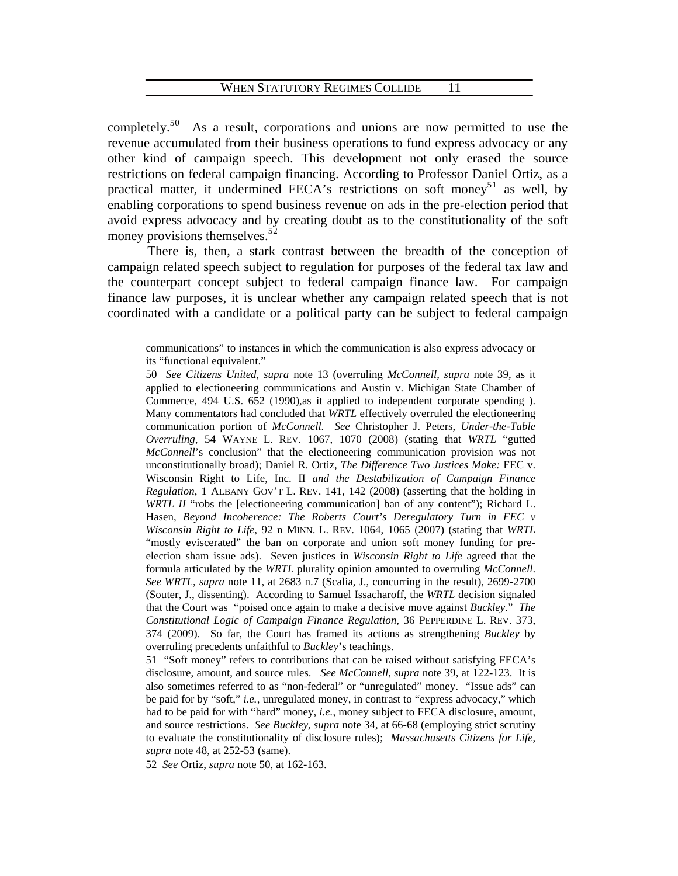completely.<sup>5[0](#page-13-0)</sup> As a result, corporations and unions are now permitted to use the revenue accumulated from their business operations to fund express advocacy or any other kind of campaign speech. This development not only erased the source restrictions on federal campaign financing. According to Professor Daniel Ortiz, as a practical matter, it undermined FECA's restrictions on soft money<sup>5[1](#page-13-1)</sup> as well, by enabling corporations to spend business revenue on ads in the pre-election period that avoid express advocacy and by creating doubt as to the constitutionality of the soft money provisions themselves. $52$  $52$ 

 There is, then, a stark contrast between the breadth of the conception of campaign related speech subject to regulation for purposes of the federal tax law and the counterpart concept subject to federal campaign finance law. For campaign finance law purposes, it is unclear whether any campaign related speech that is not coordinated with a candidate or a political party can be subject to federal campaign

<span id="page-13-2"></span>52 *See* Ortiz, *supra* note 50, at 162-163.

communications" to instances in which the communication is also express advocacy or its "functional equivalent."

<span id="page-13-0"></span><sup>50</sup> *See Citizens United*, *supra* note 13 (overruling *McConnell*, *supra* note 39, as it applied to electioneering communications and Austin v. Michigan State Chamber of Commerce, 494 U.S. 652 (1990),as it applied to independent corporate spending ). Many commentators had concluded that *WRTL* effectively overruled the electioneering communication portion of *McConnell*. *See* Christopher J. Peters, *Under-the-Table Overruling*, 54 WAYNE L. REV. 1067, 1070 (2008) (stating that *WRTL* "gutted *McConnell*'s conclusion" that the electioneering communication provision was not unconstitutionally broad); Daniel R. Ortiz, *The Difference Two Justices Make:* FEC v. Wisconsin Right to Life, Inc. II *and the Destabilization of Campaign Finance Regulation*, 1 ALBANY GOV'T L. REV. 141, 142 (2008) (asserting that the holding in *WRTL II* "robs the [electioneering communication] ban of any content"); Richard L. Hasen, *Beyond Incoherence: The Roberts Court's Deregulatory Turn in FEC v Wisconsin Right to Life*, 92 n MINN. L. REV. 1064, 1065 (2007) (stating that *WRTL* "mostly eviscerated" the ban on corporate and union soft money funding for preelection sham issue ads). Seven justices in *Wisconsin Right to Life* agreed that the formula articulated by the *WRTL* plurality opinion amounted to overruling *McConnell*. *See WRTL*, *supra* note 11, at 2683 n.7 (Scalia, J., concurring in the result), 2699-2700 (Souter, J., dissenting). According to Samuel Issacharoff, the *WRTL* decision signaled that the Court was "poised once again to make a decisive move against *Buckley*." *The Constitutional Logic of Campaign Finance Regulation*, 36 PEPPERDINE L. REV. 373, 374 (2009). So far, the Court has framed its actions as strengthening *Buckley* by overruling precedents unfaithful to *Buckley*'s teachings.

<span id="page-13-1"></span><sup>51 &</sup>quot;Soft money" refers to contributions that can be raised without satisfying FECA's disclosure, amount, and source rules. *See McConnell*, *supra* note 39, at 122-123. It is also sometimes referred to as "non-federal" or "unregulated" money. "Issue ads" can be paid for by "soft," *i.e.*, unregulated money, in contrast to "express advocacy," which had to be paid for with "hard" money, *i.e.*, money subject to FECA disclosure, amount, and source restrictions. *See Buckley*, *supra* note 34, at 66-68 (employing strict scrutiny to evaluate the constitutionality of disclosure rules); *Massachusetts Citizens for Life*, *supra* note 48, at 252-53 (same).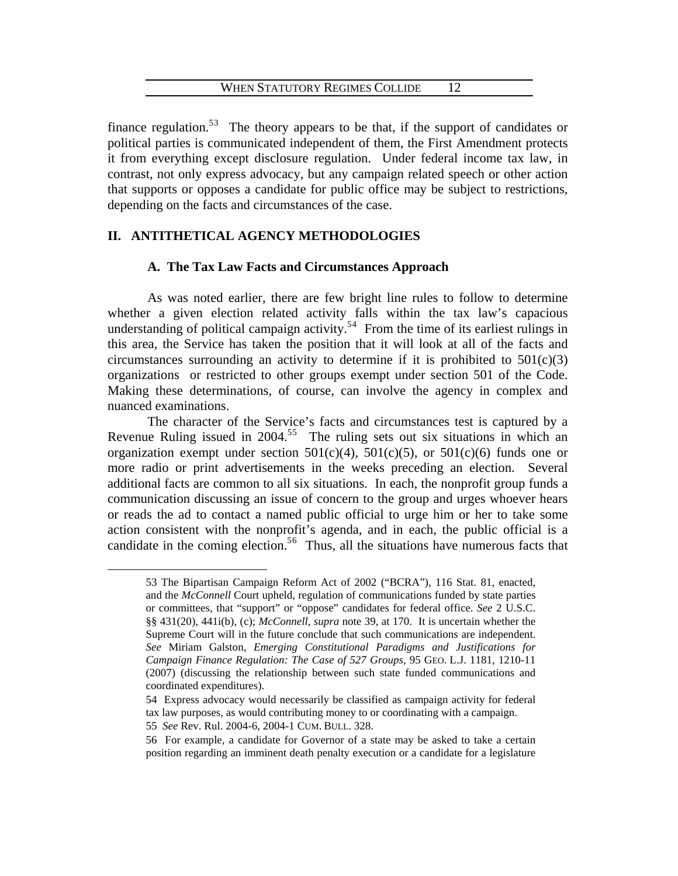finance regulation.<sup>5[3](#page-14-0)</sup> The theory appears to be that, if the support of candidates or political parties is communicated independent of them, the First Amendment protects it from everything except disclosure regulation. Under federal income tax law, in contrast, not only express advocacy, but any campaign related speech or other action that supports or opposes a candidate for public office may be subject to restrictions, depending on the facts and circumstances of the case.

# **II. ANTITHETICAL AGENCY METHODOLOGIES**

# **A. The Tax Law Facts and Circumstances Approach**

As was noted earlier, there are few bright line rules to follow to determine whether a given election related activity falls within the tax law's capacious understanding of political campaign activity.<sup>5[4](#page-14-1)</sup> From the time of its earliest rulings in this area, the Service has taken the position that it will look at all of the facts and circumstances surrounding an activity to determine if it is prohibited to  $501(c)(3)$ organizations or restricted to other groups exempt under section 501 of the Code. Making these determinations, of course, can involve the agency in complex and nuanced examinations.

The character of the Service's facts and circumstances test is captured by a Revenue Ruling issued in  $2004$ <sup>[5](#page-14-2)5</sup> The ruling sets out six situations in which an organization exempt under section  $501(c)(4)$ ,  $501(c)(5)$ , or  $501(c)(6)$  funds one or more radio or print advertisements in the weeks preceding an election. Several additional facts are common to all six situations. In each, the nonprofit group funds a communication discussing an issue of concern to the group and urges whoever hears or reads the ad to contact a named public official to urge him or her to take some action consistent with the nonprofit's agenda, and in each, the public official is a candidate in the coming election.<sup>5[6](#page-14-3)</sup> Thus, all the situations have numerous facts that

<span id="page-14-0"></span><sup>53</sup> The Bipartisan Campaign Reform Act of 2002 ("BCRA"), 116 Stat. 81, enacted, and the *McConnell* Court upheld, regulation of communications funded by state parties or committees, that "support" or "oppose" candidates for federal office. *See* 2 U.S.C. §§ 431(20), 441i(b), (c); *McConnell*, *supra* note 39, at 170. It is uncertain whether the Supreme Court will in the future conclude that such communications are independent. *See* Miriam Galston, *Emerging Constitutional Paradigms and Justifications for Campaign Finance Regulation: The Case of 527 Groups*, 95 GEO. L.J. 1181, 1210-11 (2007) (discussing the relationship between such state funded communications and coordinated expenditures).

<span id="page-14-1"></span><sup>54</sup> Express advocacy would necessarily be classified as campaign activity for federal tax law purposes, as would contributing money to or coordinating with a campaign.

<sup>55</sup> *See* Rev. Rul. 2004-6, 2004-1 CUM. BULL. 328.

<span id="page-14-3"></span><span id="page-14-2"></span><sup>56</sup> For example, a candidate for Governor of a state may be asked to take a certain position regarding an imminent death penalty execution or a candidate for a legislature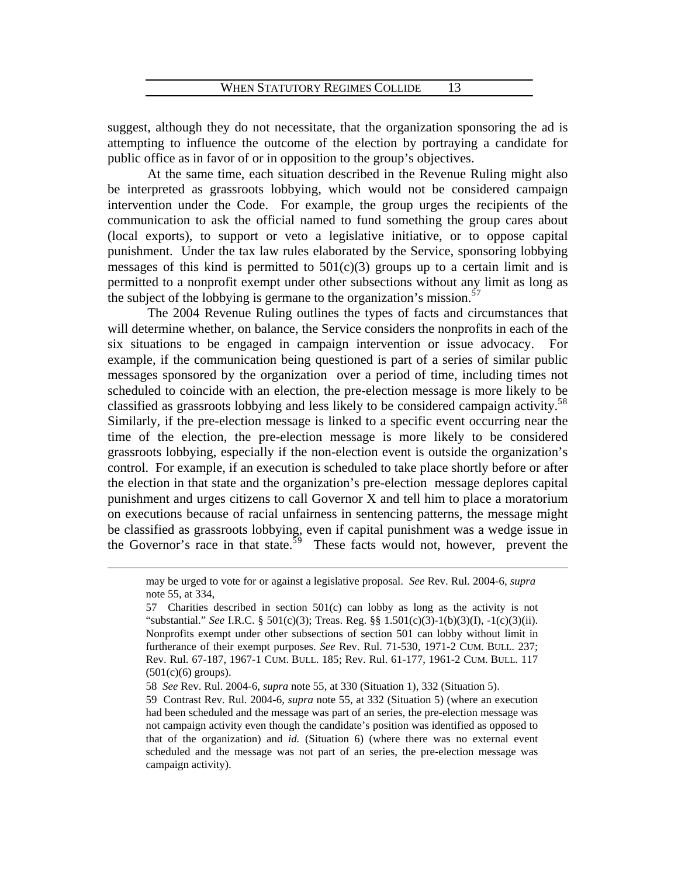suggest, although they do not necessitate, that the organization sponsoring the ad is attempting to influence the outcome of the election by portraying a candidate for public office as in favor of or in opposition to the group's objectives.

 At the same time, each situation described in the Revenue Ruling might also be interpreted as grassroots lobbying, which would not be considered campaign intervention under the Code. For example, the group urges the recipients of the communication to ask the official named to fund something the group cares about (local exports), to support or veto a legislative initiative, or to oppose capital punishment. Under the tax law rules elaborated by the Service, sponsoring lobbying messages of this kind is permitted to  $501(c)(3)$  groups up to a certain limit and is permitted to a nonprofit exempt under other subsections without any limit as long as the subject of the lobbying is germane to the organization's mission. $57$  $57$ 

 The 2004 Revenue Ruling outlines the types of facts and circumstances that will determine whether, on balance, the Service considers the nonprofits in each of the six situations to be engaged in campaign intervention or issue advocacy. For example, if the communication being questioned is part of a series of similar public messages sponsored by the organization over a period of time, including times not scheduled to coincide with an election, the pre-election message is more likely to be classified as grassroots lobbying and less likely to be considered campaign activity.<sup>5[8](#page-15-1)</sup> Similarly, if the pre-election message is linked to a specific event occurring near the time of the election, the pre-election message is more likely to be considered grassroots lobbying, especially if the non-election event is outside the organization's control. For example, if an execution is scheduled to take place shortly before or after the election in that state and the organization's pre-election message deplores capital punishment and urges citizens to call Governor X and tell him to place a moratorium on executions because of racial unfairness in sentencing patterns, the message might be classified as grassroots lobbying, even if capital punishment was a wedge issue in the Governor's race in that state.<sup>5[9](#page-15-2)</sup> These facts would not, however, prevent the

may be urged to vote for or against a legislative proposal. *See* Rev. Rul. 2004-6, *supra* note 55, at 334,

<span id="page-15-0"></span><sup>57</sup> Charities described in section 501(c) can lobby as long as the activity is not "substantial." *See* I.R.C. § 501(c)(3); Treas. Reg. §§ 1.501(c)(3)-1(b)(3)(I), -1(c)(3)(ii). Nonprofits exempt under other subsections of section 501 can lobby without limit in furtherance of their exempt purposes. *See* Rev. Rul. 71-530, 1971-2 CUM. BULL. 237; Rev. Rul. 67-187, 1967-1 CUM. BULL. 185; Rev. Rul. 61-177, 1961-2 CUM. BULL. 117  $(501(c)(6)$  groups).

<span id="page-15-1"></span><sup>58</sup> *See* Rev. Rul. 2004-6, *supra* note 55, at 330 (Situation 1), 332 (Situation 5).

<span id="page-15-2"></span><sup>59</sup> Contrast Rev. Rul. 2004-6, *supra* note 55, at 332 (Situation 5) (where an execution had been scheduled and the message was part of an series, the pre-election message was not campaign activity even though the candidate's position was identified as opposed to that of the organization) and *id.* (Situation 6) (where there was no external event scheduled and the message was not part of an series, the pre-election message was campaign activity).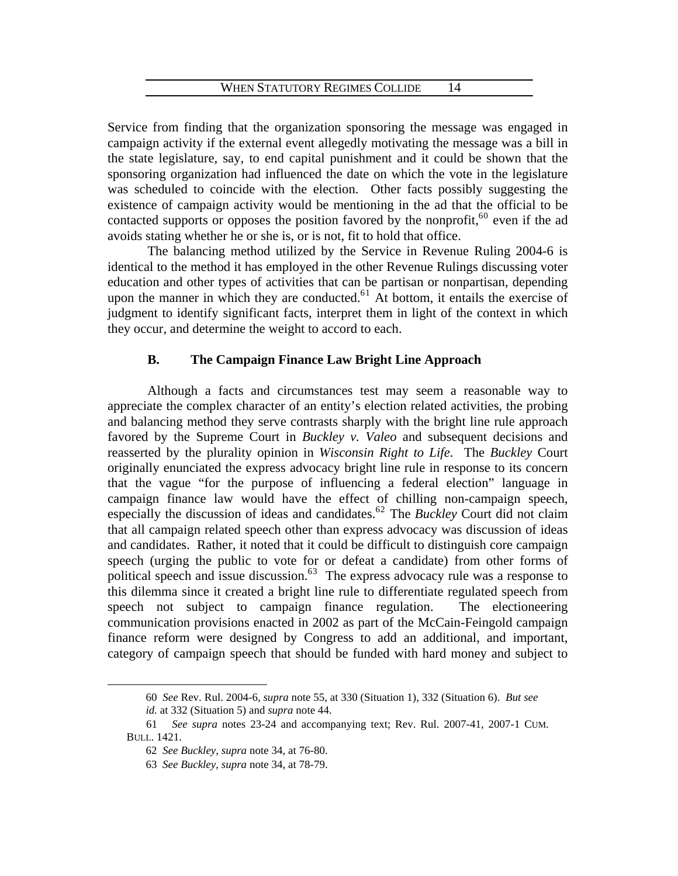Service from finding that the organization sponsoring the message was engaged in campaign activity if the external event allegedly motivating the message was a bill in the state legislature, say, to end capital punishment and it could be shown that the sponsoring organization had influenced the date on which the vote in the legislature was scheduled to coincide with the election. Other facts possibly suggesting the existence of campaign activity would be mentioning in the ad that the official to be contacted supports or opposes the position favored by the nonprofit,  $60$  $60$  even if the ad avoids stating whether he or she is, or is not, fit to hold that office.

 The balancing method utilized by the Service in Revenue Ruling 2004-6 is identical to the method it has employed in the other Revenue Rulings discussing voter education and other types of activities that can be partisan or nonpartisan, depending upon the manner in which they are conducted.<sup>6[1](#page-16-1)</sup> At bottom, it entails the exercise of judgment to identify significant facts, interpret them in light of the context in which they occur, and determine the weight to accord to each.

# **B. The Campaign Finance Law Bright Line Approach**

 Although a facts and circumstances test may seem a reasonable way to appreciate the complex character of an entity's election related activities, the probing and balancing method they serve contrasts sharply with the bright line rule approach favored by the Supreme Court in *Buckley v. Valeo* and subsequent decisions and reasserted by the plurality opinion in *Wisconsin Right to Life*. The *Buckley* Court originally enunciated the express advocacy bright line rule in response to its concern that the vague "for the purpose of influencing a federal election" language in campaign finance law would have the effect of chilling non-campaign speech, especially the discussion of ideas and candidates.<sup>6[2](#page-16-2)</sup> The *Buckley* Court did not claim that all campaign related speech other than express advocacy was discussion of ideas and candidates. Rather, it noted that it could be difficult to distinguish core campaign speech (urging the public to vote for or defeat a candidate) from other forms of political speech and issue discussion.<sup>6[3](#page-16-3)</sup> The express advocacy rule was a response to this dilemma since it created a bright line rule to differentiate regulated speech from speech not subject to campaign finance regulation. The electioneering communication provisions enacted in 2002 as part of the McCain-Feingold campaign finance reform were designed by Congress to add an additional, and important, category of campaign speech that should be funded with hard money and subject to

<sup>60</sup> *See* Rev. Rul. 2004-6, *supra* note 55, at 330 (Situation 1), 332 (Situation 6). *But see id.* at 332 (Situation 5) and *supra* note 44.

<span id="page-16-3"></span><span id="page-16-2"></span><span id="page-16-1"></span><span id="page-16-0"></span> <sup>61</sup> *See supra* notes 23-24 and accompanying text; Rev. Rul. 2007-41, 2007-1 CUM. BULL. 1421.

<sup>62</sup> *See Buckley*, *supra* note 34, at 76-80.

<sup>63</sup> *See Buckley*, *supra* note 34, at 78-79.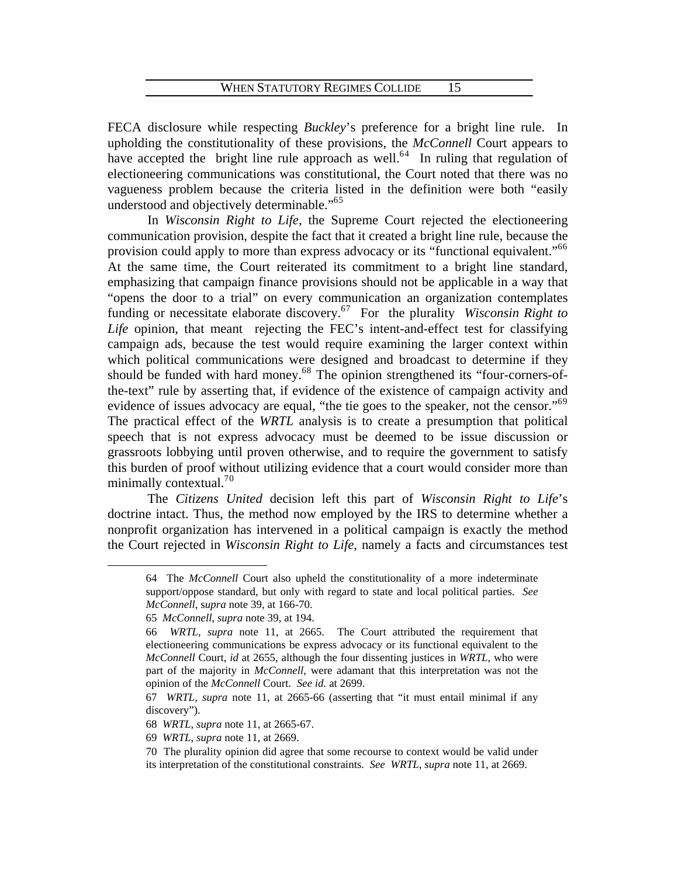FECA disclosure while respecting *Buckley*'s preference for a bright line rule. In upholding the constitutionality of these provisions, the *McConnell* Court appears to have accepted the bright line rule approach as well.<sup>6[4](#page-17-0)</sup> In ruling that regulation of electioneering communications was constitutional, the Court noted that there was no vagueness problem because the criteria listed in the definition were both "easily understood and objectively determinable."<sup>6[5](#page-17-1)</sup>

 In *Wisconsin Right to Life*, the Supreme Court rejected the electioneering communication provision, despite the fact that it created a bright line rule, because the provision could apply to more than express advocacy or its "functional equivalent."<sup>[6](#page-17-2)6</sup> At the same time, the Court reiterated its commitment to a bright line standard, emphasizing that campaign finance provisions should not be applicable in a way that "opens the door to a trial" on every communication an organization contemplates funding or necessitate elaborate discovery.<sup>6[7](#page-17-3)</sup> For the plurality *Wisconsin Right to Life* opinion, that meant rejecting the FEC's intent-and-effect test for classifying campaign ads, because the test would require examining the larger context within which political communications were designed and broadcast to determine if they should be funded with hard money.<sup>6[8](#page-17-4)</sup> The opinion strengthened its "four-corners-ofthe-text" rule by asserting that, if evidence of the existence of campaign activity and evidence of issues advocacy are equal, "the tie goes to the speaker, not the censor."<sup>6[9](#page-17-5)</sup> The practical effect of the *WRTL* analysis is to create a presumption that political speech that is not express advocacy must be deemed to be issue discussion or grassroots lobbying until proven otherwise, and to require the government to satisfy this burden of proof without utilizing evidence that a court would consider more than minimally contextual.<sup>7[0](#page-17-6)</sup>

<span id="page-17-0"></span> The *Citizens United* decision left this part of *Wisconsin Right to Life*'s doctrine intact. Thus, the method now employed by the IRS to determine whether a nonprofit organization has intervened in a political campaign is exactly the method the Court rejected in *Wisconsin Right to Life*, namely a facts and circumstances test

<sup>64</sup> The *McConnell* Court also upheld the constitutionality of a more indeterminate support/oppose standard, but only with regard to state and local political parties. *See McConnell*, s*upra* note 39, at 166-70.

<sup>65</sup> *McConnell*, *supra* note 39, at 194.

<span id="page-17-2"></span><span id="page-17-1"></span><sup>66</sup> *WRTL*, *supra* note 11, at 2665. The Court attributed the requirement that electioneering communications be express advocacy or its functional equivalent to the *McConnell* Court, *id* at 2655, although the four dissenting justices in *WRTL*, who were part of the majority in *McConnell*, were adamant that this interpretation was not the opinion of the *McConnell* Court. *See id.* at 2699.

<span id="page-17-3"></span><sup>67</sup> *WRTL*, *supra* note 11, at 2665-66 (asserting that "it must entail minimal if any discovery").

<span id="page-17-4"></span><sup>68</sup> *WRTL*, *supra* note 11, at 2665-67.

<span id="page-17-5"></span><sup>69</sup> *WRTL*, *supra* note 11, at 2669.

<span id="page-17-6"></span><sup>70</sup> The plurality opinion did agree that some recourse to context would be valid under its interpretation of the constitutional constraints. *See WRTL*, *supra* note 11, at 2669.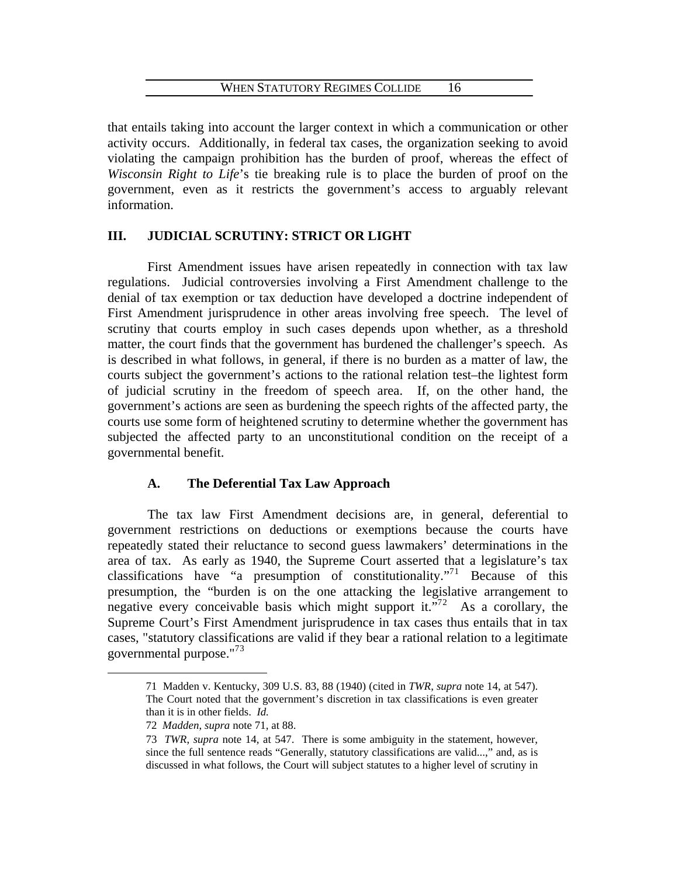that entails taking into account the larger context in which a communication or other activity occurs. Additionally, in federal tax cases, the organization seeking to avoid violating the campaign prohibition has the burden of proof, whereas the effect of *Wisconsin Right to Life*'s tie breaking rule is to place the burden of proof on the government, even as it restricts the government's access to arguably relevant information.

# **III. JUDICIAL SCRUTINY: STRICT OR LIGHT**

 First Amendment issues have arisen repeatedly in connection with tax law regulations. Judicial controversies involving a First Amendment challenge to the denial of tax exemption or tax deduction have developed a doctrine independent of First Amendment jurisprudence in other areas involving free speech. The level of scrutiny that courts employ in such cases depends upon whether, as a threshold matter, the court finds that the government has burdened the challenger's speech. As is described in what follows, in general, if there is no burden as a matter of law, the courts subject the government's actions to the rational relation test–the lightest form of judicial scrutiny in the freedom of speech area. If, on the other hand, the government's actions are seen as burdening the speech rights of the affected party, the courts use some form of heightened scrutiny to determine whether the government has subjected the affected party to an unconstitutional condition on the receipt of a governmental benefit.

# **A. The Deferential Tax Law Approach**

 The tax law First Amendment decisions are, in general, deferential to government restrictions on deductions or exemptions because the courts have repeatedly stated their reluctance to second guess lawmakers' determinations in the area of tax. As early as 1940, the Supreme Court asserted that a legislature's tax classifications have "a presumption of constitutionality."<sup>7[1](#page-18-0)</sup> Because of this presumption, the "burden is on the one attacking the legislative arrangement to negative every conceivable basis which might support it."<sup>7[2](#page-18-1)</sup> As a corollary, the Supreme Court's First Amendment jurisprudence in tax cases thus entails that in tax cases, "statutory classifications are valid if they bear a rational relation to a legitimate governmental purpose."<sup>7[3](#page-18-2)</sup>

<span id="page-18-0"></span><sup>71</sup> Madden v. Kentucky, 309 U.S. 83, 88 (1940) (cited in *TWR*, *supra* note 14, at 547). The Court noted that the government's discretion in tax classifications is even greater than it is in other fields. *Id.*

<span id="page-18-1"></span><sup>72</sup> *Madden*, *supra* note 71, at 88.

<span id="page-18-2"></span><sup>73</sup> *TWR*, *supra* note 14, at 547. There is some ambiguity in the statement, however, since the full sentence reads "Generally, statutory classifications are valid...," and, as is discussed in what follows, the Court will subject statutes to a higher level of scrutiny in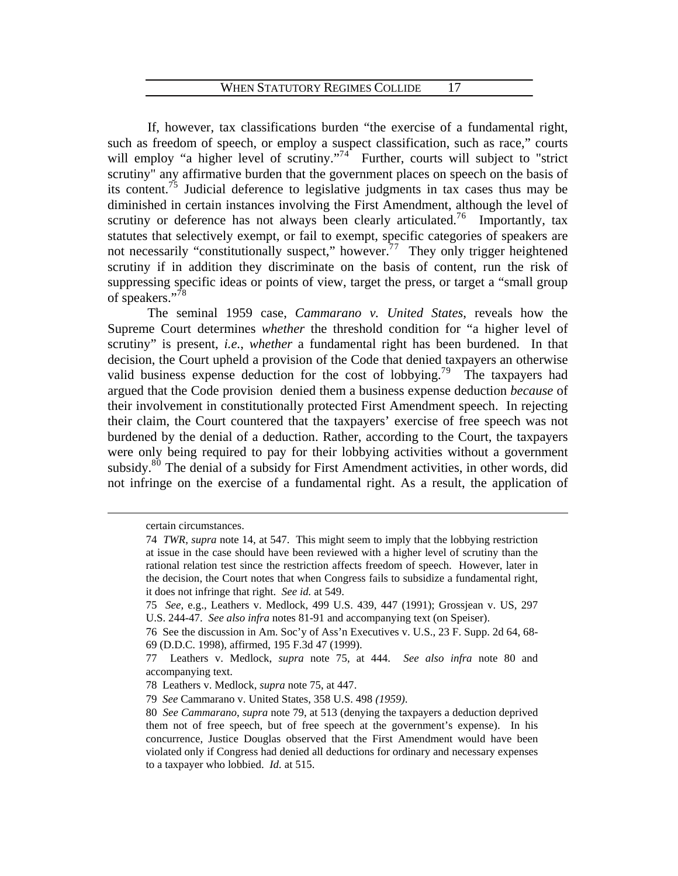If, however, tax classifications burden "the exercise of a fundamental right, such as freedom of speech, or employ a suspect classification, such as race," courts will employ "a higher level of scrutiny."<sup>7[4](#page-19-0)</sup> Further, courts will subject to "strict scrutiny" any affirmative burden that the government places on speech on the basis of its content.<sup>7[5](#page-19-1)</sup> Judicial deference to legislative judgments in tax cases thus may be diminished in certain instances involving the First Amendment, although the level of scrutiny or deference has not always been clearly articulated.<sup>7[6](#page-19-2)</sup> Importantly, tax statutes that selectively exempt, or fail to exempt, specific categories of speakers are not necessarily "constitutionally suspect," however.<sup>[7](#page-19-3)7</sup> They only trigger heightened scrutiny if in addition they discriminate on the basis of content, run the risk of suppressing specific ideas or points of view, target the press, or target a "small group of speakers."<sup>7[8](#page-19-4)</sup>

 The seminal 1959 case, *Cammarano v. United States*, reveals how the Supreme Court determines *whether* the threshold condition for "a higher level of scrutiny" is present, *i.e.*, *whether* a fundamental right has been burdened. In that decision, the Court upheld a provision of the Code that denied taxpayers an otherwise valid business expense deduction for the cost of lobbying.<sup>7[9](#page-19-5)</sup> The taxpayers had argued that the Code provision denied them a business expense deduction *because* of their involvement in constitutionally protected First Amendment speech. In rejecting their claim, the Court countered that the taxpayers' exercise of free speech was not burdened by the denial of a deduction. Rather, according to the Court, the taxpayers were only being required to pay for their lobbying activities without a government subsidy.<sup>8[0](#page-19-6)</sup> The denial of a subsidy for First Amendment activities, in other words, did not infringe on the exercise of a fundamental right. As a result, the application of

<span id="page-19-0"></span>certain circumstances.

<sup>74</sup> *TWR*, *supra* note 14, at 547. This might seem to imply that the lobbying restriction at issue in the case should have been reviewed with a higher level of scrutiny than the rational relation test since the restriction affects freedom of speech. However, later in the decision, the Court notes that when Congress fails to subsidize a fundamental right, it does not infringe that right. *See id.* at 549.

<span id="page-19-1"></span><sup>75</sup> *See*, e.g., Leathers v. Medlock, 499 U.S. 439, 447 (1991); Grossjean v. US, 297 U.S. 244-47. *See also infra* notes 81-91 and accompanying text (on Speiser).

<span id="page-19-2"></span><sup>76</sup> See the discussion in Am. Soc'y of Ass'n Executives v. U.S., 23 F. Supp. 2d 64, 68- 69 (D.D.C. 1998), affirmed, 195 F.3d 47 (1999).

<span id="page-19-3"></span><sup>77</sup> Leathers v. Medlock, *supra* note 75, at 444. *See also infra* note 80 and accompanying text.

<span id="page-19-5"></span><span id="page-19-4"></span><sup>78</sup> Leathers v. Medlock, *supra* note 75, at 447.

<sup>79</sup> *See* Cammarano v. United States, 358 U.S. 498 *(1959)*.

<span id="page-19-6"></span><sup>80</sup> *See Cammarano*, *supra* note 79, at 513 (denying the taxpayers a deduction deprived them not of free speech, but of free speech at the government's expense). In his concurrence, Justice Douglas observed that the First Amendment would have been violated only if Congress had denied all deductions for ordinary and necessary expenses to a taxpayer who lobbied. *Id.* at 515.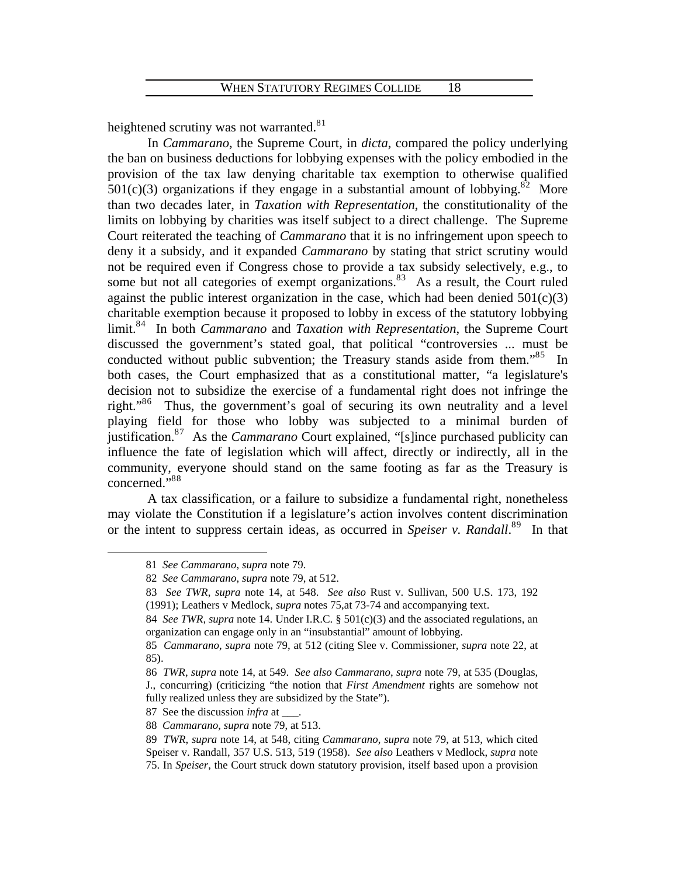heightened scrutiny was not warranted.<sup>8[1](#page-20-0)</sup>

 In *Cammarano*, the Supreme Court, in *dicta*, compared the policy underlying the ban on business deductions for lobbying expenses with the policy embodied in the provision of the tax law denying charitable tax exemption to otherwise qualified  $501(c)(3)$  organizations if they engage in a substantial amount of lobbying.<sup>8[2](#page-20-1)</sup> More than two decades later, in *Taxation with Representation*, the constitutionality of the limits on lobbying by charities was itself subject to a direct challenge. The Supreme Court reiterated the teaching of *Cammarano* that it is no infringement upon speech to deny it a subsidy, and it expanded *Cammarano* by stating that strict scrutiny would not be required even if Congress chose to provide a tax subsidy selectively, e.g., to some but not all categories of exempt organizations.<sup>8[3](#page-20-2)</sup> As a result, the Court ruled against the public interest organization in the case, which had been denied  $501(c)(3)$ charitable exemption because it proposed to lobby in excess of the statutory lobbying limit.<sup>8[4](#page-20-3)</sup> In both *Cammarano* and *Taxation with Representation*, the Supreme Court discussed the government's stated goal, that political "controversies ... must be conducted without public subvention; the Treasury stands aside from them."8[5](#page-20-4) In both cases, the Court emphasized that as a constitutional matter, "a legislature's decision not to subsidize the exercise of a fundamental right does not infringe the right."8[6](#page-20-5) Thus, the government's goal of securing its own neutrality and a level playing field for those who lobby was subjected to a minimal burden of justification.8[7](#page-20-6) As the *Cammarano* Court explained, "[s]ince purchased publicity can influence the fate of legislation which will affect, directly or indirectly, all in the community, everyone should stand on the same footing as far as the Treasury is concerned."8[8](#page-20-7) 

or the intent to suppress certain ideas, as occurred in *Speiser v. Randall*.<sup>89</sup> In that  [A tax classification, or a failure to subsidize a fundamental right, nonetheless](#page-20-7)  [may violate the Constitution if a legislature's action involves content discrimination](#page-20-7) 

<span id="page-20-4"></span><span id="page-20-3"></span><span id="page-20-2"></span><span id="page-20-1"></span><span id="page-20-0"></span> $\overline{a}$ 

<sup>81</sup> *See Cammarano*, *supra* note 79.

<sup>82</sup> *See Cammarano*, *supra* note 79, at 512.

<sup>83</sup> *See TWR*, *supra* note 14, at 548. *See also* Rust v. Sullivan, 500 U.S. 173, 192 (1991); Leathers v Medlock, *supra* notes 75,at 73-74 and accompanying text.

<sup>84</sup> *See TWR, supra* note 14. Under I.R.C. § 501(c)(3) and the associated regulations, an organization can engage only in an "insubstantial" amount of lobbying.

*ammarano*, *supra* note 79, at 512 (citing Slee v. Commissioner, *supra* note 22, at 85 *C* 85).

<span id="page-20-5"></span>J., concurring) (criticizing "the notion that *First Amendment* rights are somehow not fully realized unless they are subsidized by the State"). 86 *TWR*, *supra* note 14, at 549. *See also Cammarano*, *supra* note 79, at 535 (Douglas,

<span id="page-20-6"></span><sup>87</sup> See the discussion *infra* at \_\_\_.

<sup>88</sup> *Cammarano*, *supra* note 79, at 513.

<span id="page-20-7"></span><sup>89</sup> *TWR*, *supra* note 14, at 548, citing *Cammarano*, *supra* note 79, at 513, which cited Speiser v. Randall, 357 U.S. 513, 519 (1958). *See also* Leathers v Medlock, *supra* note 75. In *Speiser*, the Court struck down statutory provision, itself based upon a provision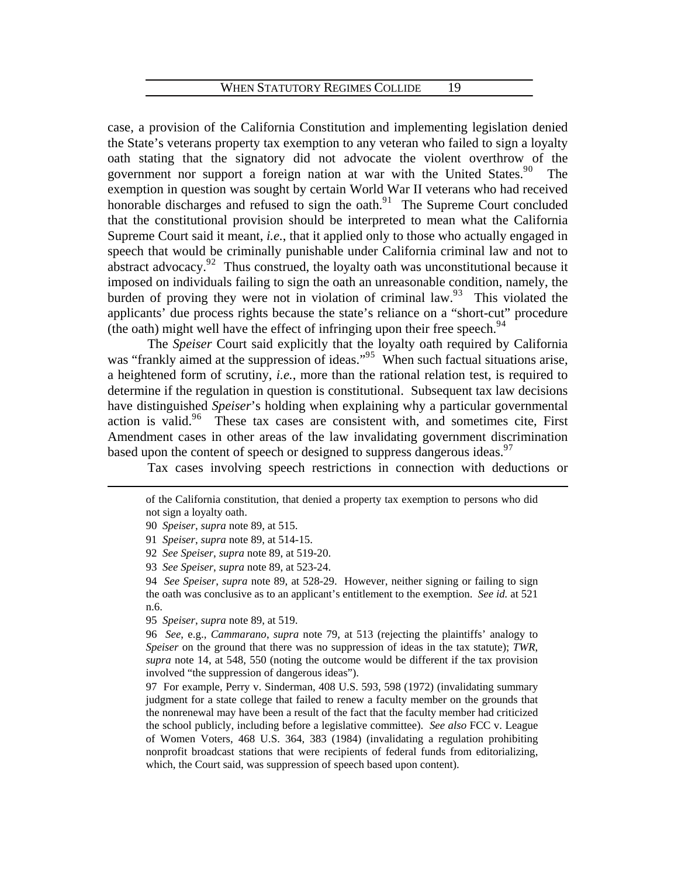[case, a provision of the California Constitution and implementing legislation denied](#page-20-7)  [the State's veterans property tax exemption to any veteran who failed to sign a loyalty](#page-20-7)  [oath stating that the signatory did not advocate the violent overthrow of the](#page-20-7)  government nor support a foreign nation at war with the United States.<sup>90</sup> The [exemption in question was sought by certain World War II veterans who had received](#page-21-0)  honorable discharges and refused to sign the oath. $91$  The Supreme Court concluded [that the constitutional provision should be interpreted to mean what the California](#page-21-1)  Supreme Court said it meant, *i.e.*[, that it applied only to those who actually engaged in](#page-21-1)  [speech that would be criminally punishable under California criminal law and not to](#page-21-1)   $\frac{1}{2}$  abstract advocacy.<sup>92</sup> Thus construed, the loyalty oath was unconstitutional because it [imposed on individuals failing to sign the oath an unreasonable condition, namely, the](#page-21-2)  [burden of proving they were not in violation of criminal law.](#page-21-2)<sup>93</sup> This violated the [applicants' due process rights because the state's reliance on a "short-cut" procedure](#page-21-3)  (theoath) might well have the effect of infringing upon their free speech.<sup>94</sup>

 The *Speiser* Court said explicitly that the loyalty oath required by California was "frankly aimed at the suppression of ideas."<sup>9[5](#page-21-5)</sup> When such factual situations arise, a heightened form of scrutiny, *i.e.*, more than the rational relation test, is required to determine if the regulation in question is constitutional. Subsequent tax law decisions have distinguished *Speiser*'s holding when explaining why a particular governmental action is valid.<sup>9[6](#page-21-6)</sup> These tax cases are consistent with, and sometimes cite, First Amendment cases in other areas of the law invalidating government discrimination based upon the content of speech or designed to suppress dangerous ideas.<sup>9[7](#page-21-7)</sup>

Tax cases involving speech restrictions in connection with deductions or

<span id="page-21-4"></span><span id="page-21-3"></span><span id="page-21-2"></span><span id="page-21-1"></span><span id="page-21-0"></span> $\overline{a}$ 

94 *See Speiser*, *supra* note 89, at 528-29. However, neither signing or failing to sign the oath was conclusive as to an applicant's entitlement to the exemption. *See id.* at 521 n.6.

<span id="page-21-5"></span>95 *Speiser*, *supra* note 89, at 519.

<span id="page-21-6"></span>96 *See*, e.g., *Cammarano*, *supra* note 79, at 513 (rejecting the plaintiffs' analogy to *Speiser* on the ground that there was no suppression of ideas in the tax statute); *TWR*, *supra* note 14, at 548, 550 (noting the outcome would be different if the tax provision involved "the suppression of dangerous ideas").

<span id="page-21-7"></span>97 For example, Perry v. Sinderman, 408 U.S. 593, 598 (1972) (invalidating summary judgment for a state college that failed to renew a faculty member on the grounds that the nonrenewal may have been a result of the fact that the faculty member had criticized the school publicly, including before a legislative committee). *See also* FCC v. League of Women Voters, 468 U.S. 364, 383 (1984) (invalidating a regulation prohibiting nonprofit broadcast stations that were recipients of federal funds from editorializing, which, the Court said, was suppression of speech based upon content).

of the California constitution, that denied a property tax exemption to persons who did not sign a loyalty oath.

<sup>90</sup> *Speiser*, *supra* note 89, at 515.

<sup>91</sup> *Speiser*, *supra* note 89, at 514-15.

<sup>92</sup> *See Speiser*, *supra* note 89, at 519-20.

<sup>93</sup> *See Speiser*, *supra* note 89, at 523-24.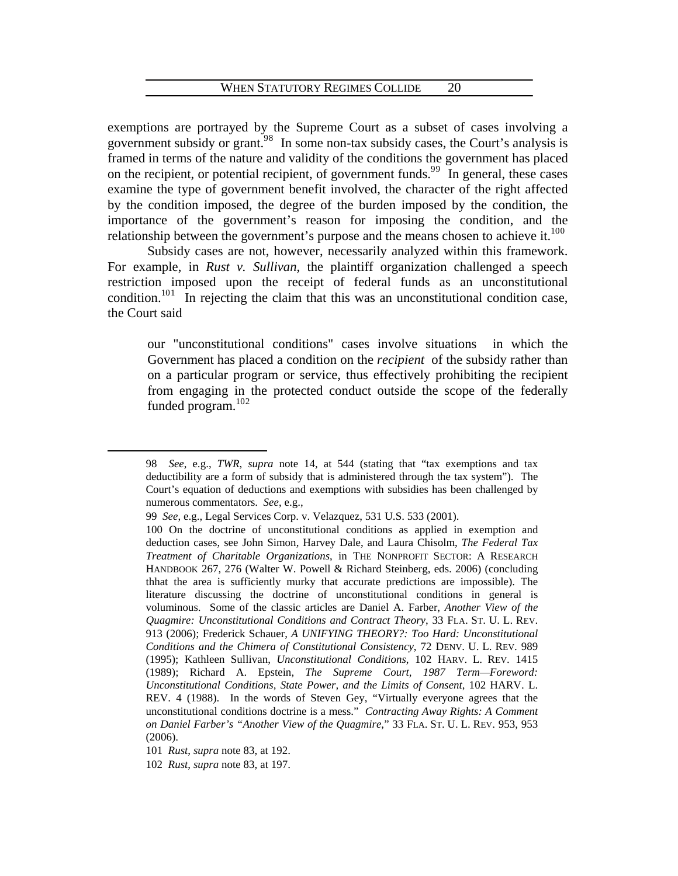exemptions are portrayed by the Supreme Court as a subset of cases involving a government subsidy or grant.<sup>9[8](#page-22-0)</sup> In some non-tax subsidy cases, the Court's analysis is framed in terms of the nature and validity of the conditions the government has placed on the recipient, or potential recipient, of government funds.<sup>[9](#page-22-1)9</sup> In general, these cases examine the type of government benefit involved, the character of the right affected by the condition imposed, the degree of the burden imposed by the condition, the importance of the government's reason for imposing the condition, and the relationship between the government's purpose and the means chosen to achieve it. $100$  $100$  $100$ 

 Subsidy cases are not, however, necessarily analyzed within this framework. For example, in *Rust v. Sullivan*, the plaintiff organization challenged a speech restriction imposed upon the receipt of federal funds as an unconstitutional condition.<sup>[1](#page-22-3)01</sup> In rejecting the claim that this was an unconstitutional condition case, the Court said

our "unconstitutional conditions" cases involve situations in which the Government has placed a condition on the *recipient* of the subsidy rather than on a particular program or service, thus effectively prohibiting the recipient from engaging in the protected conduct outside the scope of the federally funded program.10[2](#page-22-4)

<span id="page-22-0"></span><sup>98</sup> *See*, e.g., *TWR*, *supra* note 14, at 544 (stating that "tax exemptions and tax deductibility are a form of subsidy that is administered through the tax system"). The Court's equation of deductions and exemptions with subsidies has been challenged by numerous commentators. *See*, e.g.,

<span id="page-22-1"></span><sup>99</sup> *See*, e.g., Legal Services Corp. v. Velazquez, 531 U.S. 533 (2001).

<span id="page-22-2"></span><sup>100</sup> On the doctrine of unconstitutional conditions as applied in exemption and deduction cases, see John Simon, Harvey Dale, and Laura Chisolm, *The Federal Tax Treatment of Charitable Organizations*, in THE NONPROFIT SECTOR: A RESEARCH HANDBOOK 267, 276 (Walter W. Powell & Richard Steinberg, eds. 2006) (concluding thhat the area is sufficiently murky that accurate predictions are impossible). The literature discussing the doctrine of unconstitutional conditions in general is voluminous. Some of the classic articles are Daniel A. Farber, *Another View of the Quagmire: Unconstitutional Conditions and Contract Theory*, 33 FLA. ST. U. L. REV. 913 (2006); Frederick Schauer, *A UNIFYING THEORY?: Too Hard: Unconstitutional Conditions and the Chimera of Constitutional Consistency*, 72 DENV. U. L. REV. 989 (1995); Kathleen Sullivan, *Unconstitutional Conditions*, 102 HARV. L. REV. 1415 (1989); Richard A. Epstein, *The Supreme Court, 1987 Term—Foreword: Unconstitutional Conditions, State Power, and the Limits of Consent*, 102 HARV. L. REV. 4 (1988). In the words of Steven Gey, "Virtually everyone agrees that the unconstitutional conditions doctrine is a mess." *Contracting Away Rights: A Comment on Daniel Farber's "Another View of the Quagmire*," 33 FLA. ST. U. L. REV. 953, 953 (2006).

<sup>101</sup> *Rust*, *supra* note 83, at 192.

<span id="page-22-4"></span><span id="page-22-3"></span><sup>102</sup> *Rust*, *supra* note 83, at 197.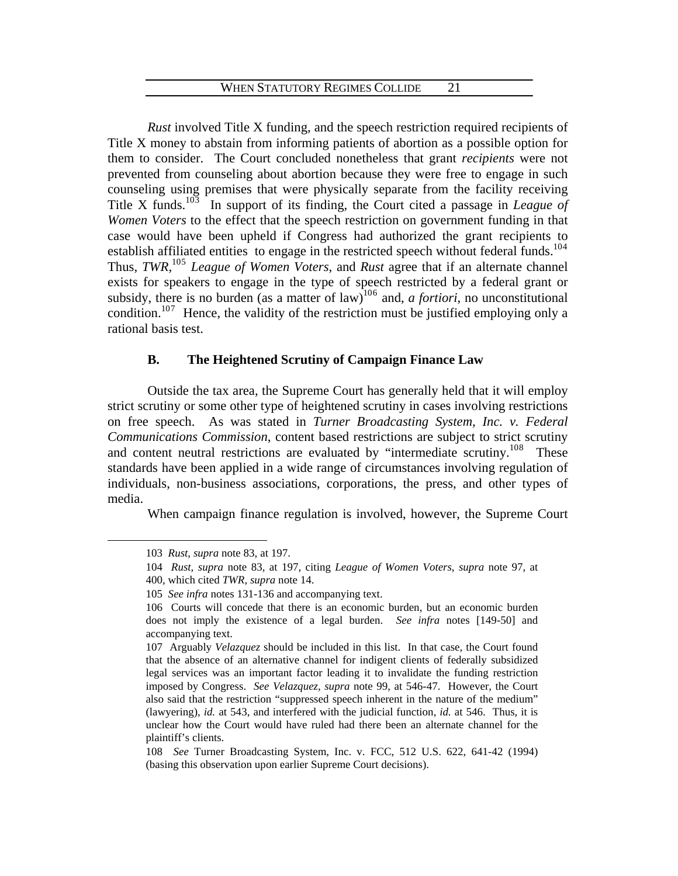*Rust* involved Title X funding, and the speech restriction required recipients of Title X money to abstain from informing patients of abortion as a possible option for them to consider. The Court concluded nonetheless that grant *recipients* were not prevented from counseling about abortion because they were free to engage in such counseling using premises that were physically separate from the facility receiving Title X funds.<sup>10[3](#page-23-0)</sup> In support of its finding, the Court cited a passage in *League of Women Voters* to the effect that the speech restriction on government funding in that case would have been upheld if Congress had authorized the grant recipients to establish affiliated entities to engage in the restricted speech without federal funds.<sup>10[4](#page-23-1)</sup> Thus, *TWR,*10[5](#page-23-2) *League of Women Voters*, and *Rust* agree that if an alternate channel exists for speakers to engage in the type of speech restricted by a federal grant or subsidy, there is no burden (as a matter of law)<sup>10[6](#page-23-3)</sup> and, *a fortiori*, no unconstitutional condition.<sup>10[7](#page-23-4)</sup> Hence, the validity of the restriction must be justified employing only a rational basis test.

# **B. The Heightened Scrutiny of Campaign Finance Law**

individuals, non-business associations, corporations, the press, and other types of media. Outside the tax area, the Supreme Court has generally held that it will employ strict scrutiny or some other type of heightened scrutiny in cases involving restrictions on free speech. As was stated in *Turner Broadcasting System, Inc. v. Federal Communications Commission*, content based restrictions are subject to strict scrutiny and content neutral restrictions are evaluated by "intermediate scrutiny.<sup>10[8](#page-23-5)</sup> These standards have been applied in a wide range of circumstances involving regulation of

When campaign finance regulation is involved, however, the Supreme Court

<span id="page-23-0"></span><sup>103</sup> *Rust*, *supra* note 83, at 197.

<sup>104</sup> *Rust*, *supra* note 83, at 197, citing *League of Women Voters*, *supra* note 97, at

<span id="page-23-1"></span><sup>400,</sup> which cited *TWR*, *supra* note 14.

<span id="page-23-2"></span><sup>105</sup> *See infra* notes 131-136 and accompanying text.

<span id="page-23-3"></span><sup>106</sup> Courts will concede that there is an economic burden, but an economic burden does not imply the existence of a legal burden. *See infra* notes [149-50] and accompanying text.

<span id="page-23-4"></span><sup>107</sup> Arguably *Velazquez* should be included in this list. In that case, the Court found that the absence of an alternative channel for indigent clients of federally subsidized legal services was an important factor leading it to invalidate the funding restriction imposed by Congress. *See Velazquez*, *supra* note 99, at 546-47. However, the Court also said that the restriction "suppressed speech inherent in the nature of the medium" (lawyering), *id.* at 543, and interfered with the judicial function, *id.* at 546. Thus, it is unclear how the Court would have ruled had there been an alternate channel for the plaintiff's clients.

<span id="page-23-5"></span><sup>108</sup> *See* Turner Broadcasting System, Inc. v. FCC, 512 U.S. 622, 641-42 (1994) (basing this observation upon earlier Supreme Court decisions).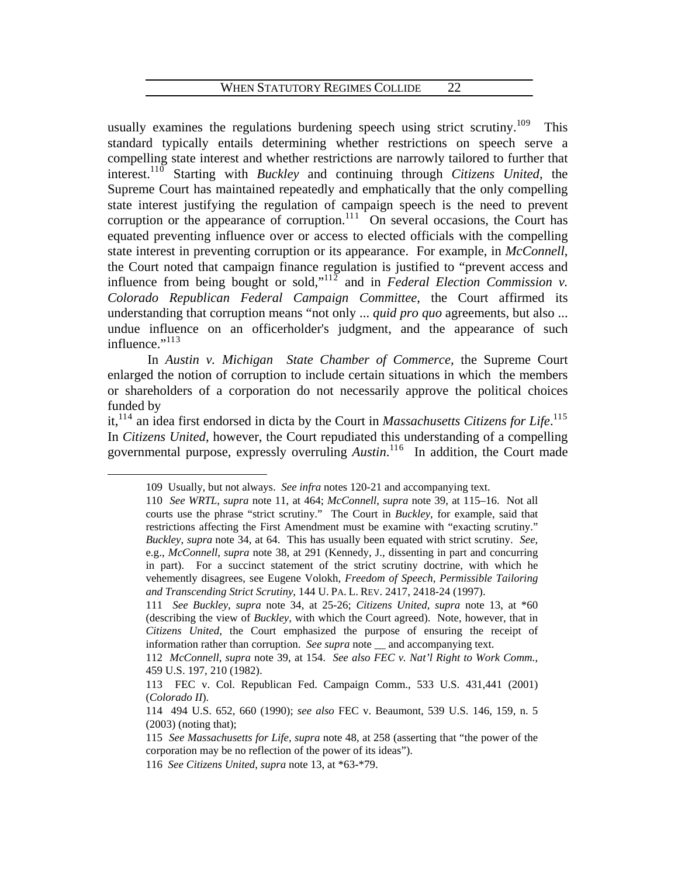usually examines the regulations burdening speech using strict scrutiny.<sup>10[9](#page-24-0)</sup> This standard typically entails determining whether restrictions on speech serve a compelling state interest and whether restrictions are narrowly tailored to further that interest.11[0](#page-24-1) Starting with *Buckley* and continuing through *Citizens United*, the Supreme Court has maintained repeatedly and emphatically that the only compelling state interest justifying the regulation of campaign speech is the need to prevent corruption or the appearance of corruption. $111$  $111$  On several occasions, the Court has equated preventing influence over or access to elected officials with the compelling state interest in preventing corruption or its appearance. For example, in *McConnell*, the Court noted that campaign finance regulation is justified to "prevent access and influence from being bought or sold,"<sup>11[2](#page-24-3)</sup> and in *Federal Election Commission v. Colorado Republican Federal Campaign Committee*, the Court affirmed its understanding that corruption means "not only ... *quid pro quo* agreements, but also ... undue influence on an officerholder's judgment, and the appearance of such influence."<sup>11[3](#page-24-4)</sup>

 In *Austin v. Michigan State Chamber of Commerce*, the Supreme Court enlarged the notion of corruption to include certain situations in which the members or shareholders of a corporation do not necessarily approve the political choices funded by

<span id="page-24-1"></span><span id="page-24-0"></span>it,<sup>11[4](#page-24-5)</sup> an idea first endorsed in dicta by the Court in *Massachusetts Citizens for Life*.<sup>11[5](#page-24-6)</sup> In *Citizens United*, however, the Court repudiated this understanding of a compelling governmental purpose, expressly overruling *Austin*. 11[6](#page-24-7) In addition, the Court made

<sup>109</sup> Usually, but not always. *See infra* notes 120-21 and accompanying text.

<sup>110</sup> *See WRTL*, *supra* note 11, at 464; *McConnell*, *supra* note 39, at 115–16. Not all courts use the phrase "strict scrutiny." The Court in *Buckley*, for example, said that restrictions affecting the First Amendment must be examine with "exacting scrutiny." *Buckley*, *supra* note 34, at 64. This has usually been equated with strict scrutiny. *See*, e.g., *McConnell*, *supra* note 38, at 291 (Kennedy, J., dissenting in part and concurring in part). For a succinct statement of the strict scrutiny doctrine, with which he vehemently disagrees, see Eugene Volokh, *Freedom of Speech, Permissible Tailoring and Transcending Strict Scrutiny*, 144 U. PA. L. REV. 2417, 2418-24 (1997).

<span id="page-24-2"></span><sup>111</sup> *See Buckley*, *supra* note 34, at 25-26; *Citizens United*, *supra* note 13, at \*60 (describing the view of *Buckley*, with which the Court agreed). Note, however, that in *Citizens United*, the Court emphasized the purpose of ensuring the receipt of information rather than corruption. *See supra* note \_\_ and accompanying text.

<span id="page-24-3"></span><sup>112</sup> *McConnell*, *supra* note 39, at 154. *See also FEC v. Nat'l Right to Work Comm.*, 459 U.S. 197, 210 (1982).

<span id="page-24-4"></span><sup>113</sup> FEC v. Col. Republican Fed. Campaign Comm., 533 U.S. 431,441 (2001) (*Colorado II*).

<span id="page-24-5"></span><sup>114 494</sup> U.S. 652, 660 (1990); *see also* FEC v. Beaumont, 539 U.S. 146, 159, n. 5 (2003) (noting that);

<span id="page-24-6"></span><sup>115</sup> *See Massachusetts for Life*, *supra* note 48, at 258 (asserting that "the power of the corporation may be no reflection of the power of its ideas").

<span id="page-24-7"></span><sup>116</sup> *See Citizens United*, *supra* note 13, at \*63-\*79.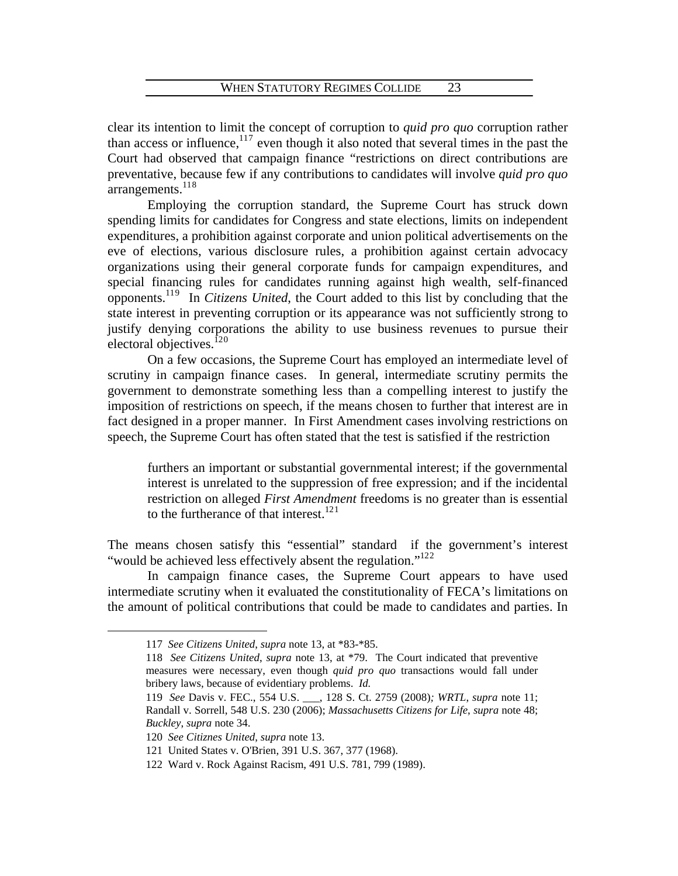clear its intention to limit the concept of corruption to *quid pro quo* corruption rather than access or influence, $117$  $117$  even though it also noted that several times in the past the Court had observed that campaign finance "restrictions on direct contributions are preventative, because few if any contributions to candidates will involve *quid pro quo*  $arrangements.<sup>118</sup>$  $arrangements.<sup>118</sup>$  $arrangements.<sup>118</sup>$ 

 Employing the corruption standard, the Supreme Court has struck down spending limits for candidates for Congress and state elections, limits on independent expenditures, a prohibition against corporate and union political advertisements on the eve of elections, various disclosure rules, a prohibition against certain advocacy organizations using their general corporate funds for campaign expenditures, and special financing rules for candidates running against high wealth, self-financed opponents.<sup>11[9](#page-25-2)</sup> In *Citizens United*, the Court added to this list by concluding that the state interest in preventing corruption or its appearance was not sufficiently strong to justify denying corporations the ability to use business revenues to pursue their electoral objectives. $120$  $120$ 

 On a few occasions, the Supreme Court has employed an intermediate level of scrutiny in campaign finance cases. In general, intermediate scrutiny permits the government to demonstrate something less than a compelling interest to justify the imposition of restrictions on speech, if the means chosen to further that interest are in fact designed in a proper manner. In First Amendment cases involving restrictions on speech, the Supreme Court has often stated that the test is satisfied if the restriction

furthers an important or substantial governmental interest; if the governmental interest is unrelated to the suppression of free expression; and if the incidental restriction on alleged *First Amendment* freedoms is no greater than is essential to the furtherance of that interest. $^{121}$  $^{121}$  $^{121}$ 

The means chosen satisfy this "essential" standard if the government's interest "would be achieved less effectively absent the regulation."<sup>1[2](#page-25-5)2</sup>

<span id="page-25-1"></span><span id="page-25-0"></span> In campaign finance cases, the Supreme Court appears to have used intermediate scrutiny when it evaluated the constitutionality of FECA's limitations on the amount of political contributions that could be made to candidates and parties. In

<sup>117</sup> *See Citizens United*, *supra* note 13, at \*83-\*85.

<sup>118</sup> *See Citizens United*, *supra* note 13, at \*79. The Court indicated that preventive measures were necessary, even though *quid pro quo* transactions would fall under bribery laws, because of evidentiary problems. *Id.*

<span id="page-25-2"></span><sup>119</sup> *See* Davis v. FEC., 554 U.S. \_\_\_, 128 S. Ct. 2759 (2008)*; WRTL*, *supra* note 11; Randall v. Sorrell, 548 U.S. 230 (2006); *Massachusetts Citizens for Life*, *supra* note 48; *Buckley*, *supra* note 34.

<span id="page-25-3"></span><sup>120</sup> *See Citiznes United*, *supra* note 13.

<span id="page-25-5"></span><span id="page-25-4"></span><sup>121</sup> United States v. O'Brien, 391 U.S. 367, 377 (1968).

<sup>122</sup> Ward v. Rock Against Racism, 491 U.S. 781, 799 (1989).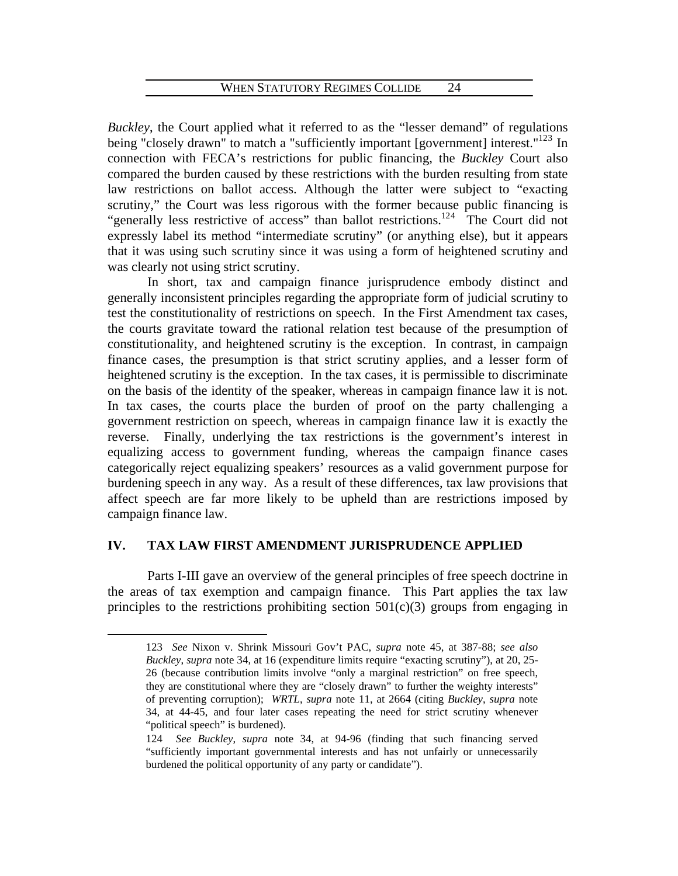*Buckley*, the Court applied what it referred to as the "lesser demand" of regulations being "closely drawn" to match a "sufficiently important [government] interest."<sup>12[3](#page-26-0)</sup> In connection with FECA's restrictions for public financing, the *Buckley* Court also compared the burden caused by these restrictions with the burden resulting from state law restrictions on ballot access. Although the latter were subject to "exacting scrutiny," the Court was less rigorous with the former because public financing is "generally less restrictive of access" than ballot restrictions.<sup>12[4](#page-26-1)</sup> The Court did not expressly label its method "intermediate scrutiny" (or anything else), but it appears that it was using such scrutiny since it was using a form of heightened scrutiny and was clearly not using strict scrutiny.

 In short, tax and campaign finance jurisprudence embody distinct and generally inconsistent principles regarding the appropriate form of judicial scrutiny to test the constitutionality of restrictions on speech. In the First Amendment tax cases, the courts gravitate toward the rational relation test because of the presumption of constitutionality, and heightened scrutiny is the exception. In contrast, in campaign finance cases, the presumption is that strict scrutiny applies, and a lesser form of heightened scrutiny is the exception. In the tax cases, it is permissible to discriminate on the basis of the identity of the speaker, whereas in campaign finance law it is not. In tax cases, the courts place the burden of proof on the party challenging a government restriction on speech, whereas in campaign finance law it is exactly the reverse. Finally, underlying the tax restrictions is the government's interest in equalizing access to government funding, whereas the campaign finance cases categorically reject equalizing speakers' resources as a valid government purpose for burdening speech in any way. As a result of these differences, tax law provisions that affect speech are far more likely to be upheld than are restrictions imposed by campaign finance law.

# **IV. TAX LAW FIRST AMENDMENT JURISPRUDENCE APPLIED**

<span id="page-26-0"></span> $\overline{a}$ 

 Parts I-III gave an overview of the general principles of free speech doctrine in the areas of tax exemption and campaign finance. This Part applies the tax law principles to the restrictions prohibiting section  $501(c)(3)$  groups from engaging in

<sup>123</sup> *See* Nixon v. Shrink Missouri Gov't PAC, *supra* note 45, at 387-88; *see also Buckley*, *supra* note 34, at 16 (expenditure limits require "exacting scrutiny"), at 20, 25- 26 (because contribution limits involve "only a marginal restriction" on free speech, they are constitutional where they are "closely drawn" to further the weighty interests" of preventing corruption); *WRTL*, *supra* note 11, at 2664 (citing *Buckley*, *supra* note 34, at 44-45, and four later cases repeating the need for strict scrutiny whenever "political speech" is burdened).

<span id="page-26-1"></span><sup>124</sup> *See Buckley*, *supra* note 34, at 94-96 (finding that such financing served "sufficiently important governmental interests and has not unfairly or unnecessarily burdened the political opportunity of any party or candidate").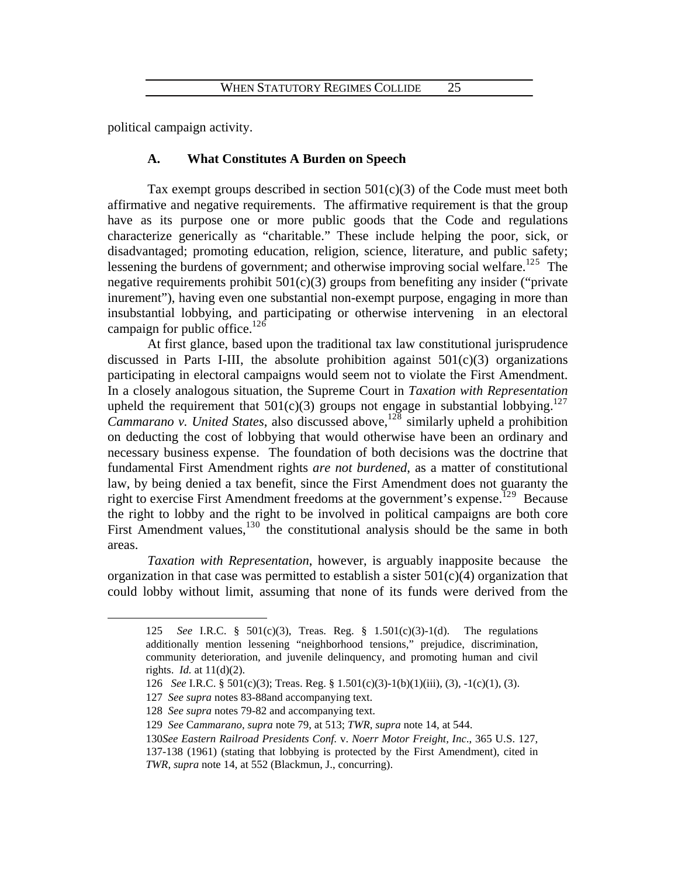political campaign activity.

# **A. What Constitutes A Burden on Speech**

Tax exempt groups described in section  $501(c)(3)$  of the Code must meet both affirmative and negative requirements. The affirmative requirement is that the group have as its purpose one or more public goods that the Code and regulations characterize generically as "charitable." These include helping the poor, sick, or disadvantaged; promoting education, religion, science, literature, and public safety; lessening the burdens of government; and otherwise improving social welfare.<sup>12[5](#page-27-0)</sup> The negative requirements prohibit  $501(c)(3)$  groups from benefiting any insider ("private inurement"), having even one substantial non-exempt purpose, engaging in more than insubstantial lobbying, and participating or otherwise intervening in an electoral campaign for public office.<sup>12[6](#page-27-1)</sup>

 At first glance, based upon the traditional tax law constitutional jurisprudence discussed in Parts I-III, the absolute prohibition against  $501(c)(3)$  organizations participating in electoral campaigns would seem not to violate the First Amendment. In a closely analogous situation, the Supreme Court in *Taxation with Representation* upheld the requirement that  $501(c)(3)$  groups not engage in substantial lobbying.<sup>12[7](#page-27-2)</sup> *Cammarano v. United States*, also discussed above,<sup>12[8](#page-27-3)</sup> similarly upheld a prohibition on deducting the cost of lobbying that would otherwise have been an ordinary and necessary business expense. The foundation of both decisions was the doctrine that fundamental First Amendment rights *are not burdened*, as a matter of constitutional law, by being denied a tax benefit, since the First Amendment does not guaranty the right to exercise First Amendment freedoms at the government's expense.<sup>12[9](#page-27-4)</sup> Because the right to lobby and the right to be involved in political campaigns are both core First Amendment values,  $130$  $130$  the constitutional analysis should be the same in both areas.

<span id="page-27-0"></span>*Taxation with Representation*, however, is arguably inapposite because the organization in that case was permitted to establish a sister  $501(c)(4)$  organization that could lobby without limit, assuming that none of its funds were derived from the

<sup>125</sup> *See* I.R.C. § 501(c)(3), Treas. Reg. § 1.501(c)(3)-1(d). The regulations additionally mention lessening "neighborhood tensions," prejudice, discrimination, community deterioration, and juvenile delinquency, and promoting human and civil rights. *Id.* at 11(d)(2).

<span id="page-27-2"></span><span id="page-27-1"></span><sup>126</sup> *See* I.R.C. § 501(c)(3); Treas. Reg. § 1.501(c)(3)-1(b)(1)(iii), (3), -1(c)(1), (3).

<sup>127</sup> *See supra* notes 83-88and accompanying text.

<span id="page-27-3"></span><sup>128</sup> *See supra* notes 79-82 and accompanying text.

<sup>129</sup> *See* C*ammarano*, *supra* note 79, at 513; *TWR*, *supra* note 14, at 544.

<span id="page-27-5"></span><span id="page-27-4"></span><sup>130</sup>*See Eastern Railroad Presidents Conf*. v. *Noerr Motor Freight, Inc*., 365 U.S. 127, 137-138 (1961) (stating that lobbying is protected by the First Amendment), cited in *TWR*, *supra* note 14, at 552 (Blackmun, J., concurring).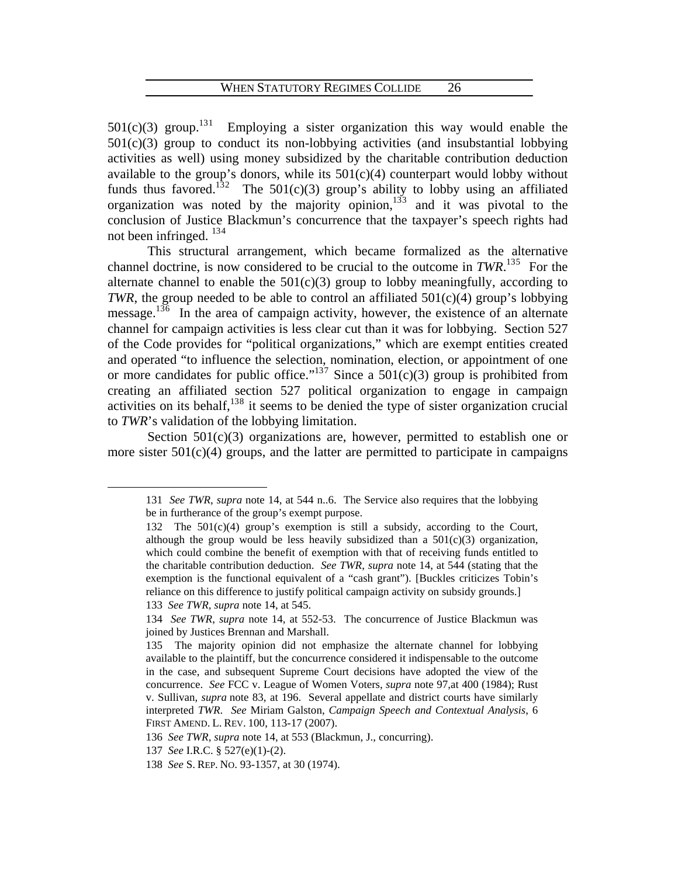$501(c)(3)$  $501(c)(3)$  $501(c)(3)$  group.<sup>131</sup> Employing a sister organization this way would enable the  $501(c)(3)$  group to conduct its non-lobbying activities (and insubstantial lobbying activities as well) using money subsidized by the charitable contribution deduction available to the group's donors, while its  $501(c)(4)$  counterpart would lobby without funds thus favored.<sup>13[2](#page-28-1)</sup> The 501(c)(3) group's ability to lobby using an affiliated organization was noted by the majority opinion,  $133$  $133$  $133$  and it was pivotal to the conclusion of Justice Blackmun's concurrence that the taxpayer's speech rights had not been infringed.  $134$  $134$ 

 This structural arrangement, which became formalized as the alternative channel doctrine, is now considered to be crucial to the outcome in  $TWR$ <sup>13[5](#page-28-4)</sup>. For the alternate channel to enable the  $501(c)(3)$  group to lobby meaningfully, according to *TWR*, the group needed to be able to control an affiliated  $501(c)(4)$  group's lobbying message.<sup>13[6](#page-28-5)</sup> In the area of campaign activity, however, the existence of an alternate channel for campaign activities is less clear cut than it was for lobbying. Section 527 of the Code provides for "political organizations," which are exempt entities created and operated "to influence the selection, nomination, election, or appointment of one or more candidates for public office."<sup>13[7](#page-28-6)</sup> Since a  $501(c)(3)$  group is prohibited from creating an affiliated section 527 political organization to engage in campaign activities on its behalf,<sup>13[8](#page-28-7)</sup> it seems to be denied the type of sister organization crucial to *TWR*'s validation of the lobbying limitation.

<span id="page-28-1"></span><span id="page-28-0"></span>Section  $501(c)(3)$  organizations are, however, permitted to establish one or more sister  $501(c)(4)$  groups, and the latter are permitted to participate in campaigns

<span id="page-28-2"></span>133 *See TWR, supra* note 14, at 545.

<sup>131</sup> *See TWR*, *supra* note 14, at 544 n..6. The Service also requires that the lobbying be in furtherance of the group's exempt purpose.

<sup>132</sup> The 501(c)(4) group's exemption is still a subsidy, according to the Court, although the group would be less heavily subsidized than a  $501(c)(3)$  organization, which could combine the benefit of exemption with that of receiving funds entitled to the charitable contribution deduction. *See TWR*, *supra* note 14, at 544 (stating that the exemption is the functional equivalent of a "cash grant"). [Buckles criticizes Tobin's reliance on this difference to justify political campaign activity on subsidy grounds.]

<span id="page-28-3"></span><sup>134</sup> *See TWR*, *supra* note 14, at 552-53. The concurrence of Justice Blackmun was joined by Justices Brennan and Marshall.

<span id="page-28-4"></span><sup>135</sup> The majority opinion did not emphasize the alternate channel for lobbying available to the plaintiff, but the concurrence considered it indispensable to the outcome in the case, and subsequent Supreme Court decisions have adopted the view of the concurrence. *See* FCC v. League of Women Voters, *supra* note 97,at 400 (1984); Rust v. Sullivan, *supra* note 83, at 196. Several appellate and district courts have similarly interpreted *TWR*. *See* Miriam Galston, *Campaign Speech and Contextual Analysis*, 6 FIRST AMEND. L. REV. 100, 113-17 (2007).

<span id="page-28-5"></span><sup>136</sup> *See TWR*, *supra* note 14, at 553 (Blackmun, J., concurring).

<span id="page-28-7"></span><span id="page-28-6"></span><sup>137</sup> *See* I.R.C. § 527(e)(1)-(2).

<sup>138</sup> *See* S. REP. NO. 93-1357, at 30 (1974).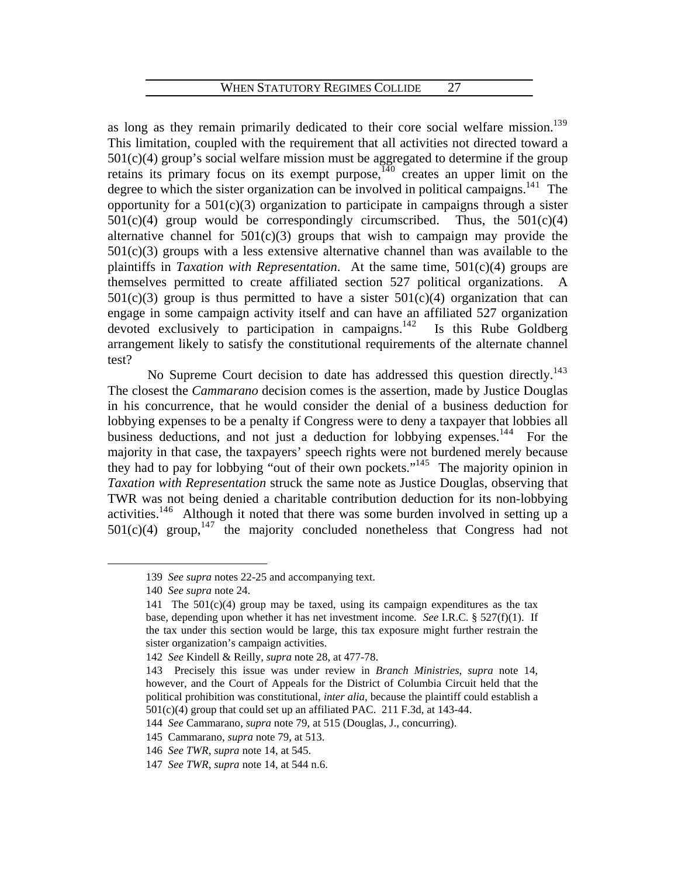as long as they remain primarily dedicated to their core social welfare mission.<sup>13[9](#page-29-0)</sup> This limitation, coupled with the requirement that all activities not directed toward a  $501(c)(4)$  group's social welfare mission must be aggregated to determine if the group retains its primary focus on its exempt purpose, $140$  $140$  creates an upper limit on the degree to which the sister organization can be involved in political campaigns.<sup>[1](#page-29-2)41</sup> The opportunity for a  $501(c)(3)$  organization to participate in campaigns through a sister  $501(c)(4)$  group would be correspondingly circumscribed. Thus, the  $501(c)(4)$ alternative channel for  $501(c)(3)$  groups that wish to campaign may provide the  $501(c)(3)$  groups with a less extensive alternative channel than was available to the plaintiffs in *Taxation with Representation*. At the same time, 501(c)(4) groups are themselves permitted to create affiliated section 527 political organizations. A  $501(c)(3)$  group is thus permitted to have a sister  $501(c)(4)$  organization that can engage in some campaign activity itself and can have an affiliated 527 organization devoted exclusively to participation in campaigns.<sup>14[2](#page-29-3)</sup> Is this Rube Goldberg arrangement likely to satisfy the constitutional requirements of the alternate channel test?

No Supreme Court decision to date has addressed this question directly.<sup>14[3](#page-29-4)</sup> The closest the *Cammarano* decision comes is the assertion, made by Justice Douglas in his concurrence, that he would consider the denial of a business deduction for lobbying expenses to be a penalty if Congress were to deny a taxpayer that lobbies all business deductions, and not just a deduction for lobbying expenses.<sup>1[4](#page-29-5)4</sup> For the majority in that case, the taxpayers' speech rights were not burdened merely because they had to pay for lobbying "out of their own pockets."14[5](#page-29-6) The majority opinion in *Taxation with Representation* struck the same note as Justice Douglas, observing that TWR was not being denied a charitable contribution deduction for its non-lobbying activities.<sup>14[6](#page-29-7)</sup> Although it noted that there was some burden involved in setting up a  $501(c)(4)$  group,<sup>14[7](#page-29-8)</sup> the majority concluded nonetheless that Congress had not

<span id="page-29-0"></span><sup>139</sup> *See supra* notes 22-25 and accompanying text.

<sup>140</sup> *See supra* note 24.

<span id="page-29-2"></span><span id="page-29-1"></span><sup>141</sup> The  $501(c)(4)$  group may be taxed, using its campaign expenditures as the tax base, depending upon whether it has net investment income. *See* I.R.C. § 527(f)(1). If the tax under this section would be large, this tax exposure might further restrain the sister organization's campaign activities.

<sup>142</sup> *See* Kindell & Reilly, *supra* note 28, at 477-78.

<span id="page-29-4"></span><span id="page-29-3"></span><sup>143</sup> Precisely this issue was under review in *Branch Ministries*, *supra* note 14, however, and the Court of Appeals for the District of Columbia Circuit held that the political prohibition was constitutional, *inter alia*, because the plaintiff could establish a 501(c)(4) group that could set up an affiliated PAC. 211 F.3d, at 143-44.

<span id="page-29-5"></span><sup>144</sup> *See* Cammarano, *supra* note 79, at 515 (Douglas, J., concurring).

<span id="page-29-6"></span><sup>145</sup> Cammarano, *supra* note 79, at 513.

<span id="page-29-7"></span><sup>146</sup> *See TWR*, *supra* note 14, at 545.

<span id="page-29-8"></span><sup>147</sup> *See TWR*, *supra* note 14, at 544 n.6.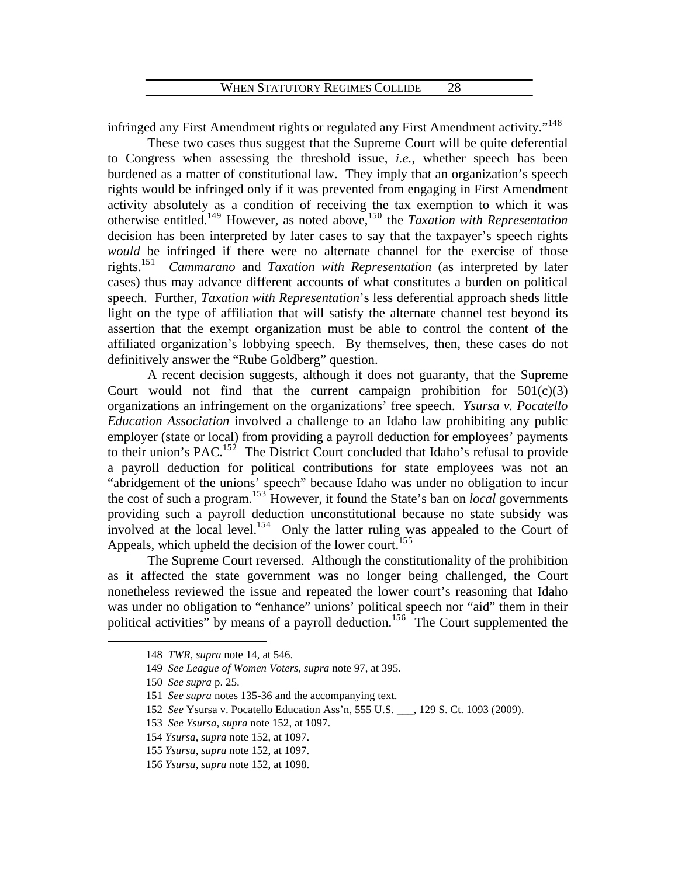infringed any First Amendment rights or regulated any First Amendment activity."<sup>14[8](#page-30-0)</sup>

 These two cases thus suggest that the Supreme Court will be quite deferential to Congress when assessing the threshold issue, *i.e.*, whether speech has been burdened as a matter of constitutional law. They imply that an organization's speech rights would be infringed only if it was prevented from engaging in First Amendment activity absolutely as a condition of receiving the tax exemption to which it was otherwise entitled.<sup>14[9](#page-30-1)</sup> However, as noted above,<sup>15[0](#page-30-2)</sup> the *Taxation with Representation* decision has been interpreted by later cases to say that the taxpayer's speech rights *would* be infringed if there were no alternate channel for the exercise of those rights. $151$  $151$  *Cammarano* and *Taxation with Representation* (as interpreted by later cases) thus may advance different accounts of what constitutes a burden on political speech. Further, *Taxation with Representation*'s less deferential approach sheds little light on the type of affiliation that will satisfy the alternate channel test beyond its assertion that the exempt organization must be able to control the content of the affiliated organization's lobbying speech. By themselves, then, these cases do not definitively answer the "Rube Goldberg" question.

 A recent decision suggests, although it does not guaranty, that the Supreme Court would not find that the current campaign prohibition for  $501(c)(3)$ organizations an infringement on the organizations' free speech. *Ysursa v. Pocatello Education Association* involved a challenge to an Idaho law prohibiting any public employer (state or local) from providing a payroll deduction for employees' payments to their union's PAC.<sup>15[2](#page-30-4)</sup> The District Court concluded that Idaho's refusal to provide a payroll deduction for political contributions for state employees was not an "abridgement of the unions' speech" because Idaho was under no obligation to incur the cost of such a program.15[3](#page-30-5) However, it found the State's ban on *local* governments providing such a payroll deduction unconstitutional because no state subsidy was involved at the local level.<sup>15[4](#page-30-6)</sup> Only the latter ruling was appealed to the Court of Appeals, which upheld the decision of the lower court.<sup>1[5](#page-30-7)5</sup>

<span id="page-30-0"></span> The Supreme Court reversed. Although the constitutionality of the prohibition as it affected the state government was no longer being challenged, the Court nonetheless reviewed the issue and repeated the lower court's reasoning that Idaho was under no obligation to "enhance" unions' political speech nor "aid" them in their political activities" by means of a payroll deduction.<sup>15[6](#page-30-8)</sup> The Court supplemented the

<sup>148</sup> *TWR*, *supra* note 14, at 546.

<span id="page-30-1"></span><sup>149</sup> *See League of Women Voters*, *supra* note 97, at 395.

<sup>150</sup> *See supra* p. 25.

<span id="page-30-4"></span><span id="page-30-3"></span><span id="page-30-2"></span><sup>151</sup> *See supra* notes 135-36 and the accompanying text.

<span id="page-30-5"></span><sup>152</sup> *See* Ysursa v. Pocatello Education Ass'n, 555 U.S. \_\_\_, 129 S. Ct. 1093 (2009).

<sup>153</sup> *See Ysursa*, *supra* note 152, at 1097.

<span id="page-30-6"></span><sup>154</sup> *Ysursa*, *supra* note 152, at 1097.

<sup>155</sup> *Ysursa*, *supra* note 152, at 1097.

<span id="page-30-8"></span><span id="page-30-7"></span><sup>156</sup> *Ysursa*, *supra* note 152, at 1098.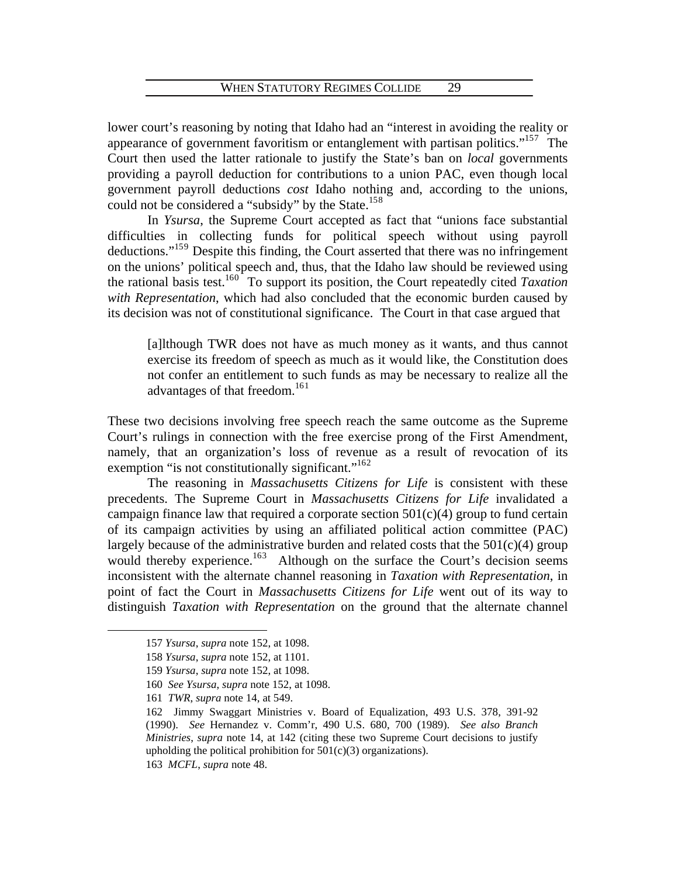lower court's reasoning by noting that Idaho had an "interest in avoiding the reality or appearance of government favoritism or entanglement with partisan politics."<sup>15[7](#page-31-0)</sup> The Court then used the latter rationale to justify the State's ban on *local* governments providing a payroll deduction for contributions to a union PAC, even though local government payroll deductions *cost* Idaho nothing and, according to the unions, could not be considered a "subsidy" by the State.<sup>15[8](#page-31-1)</sup>

 In *Ysursa*, the Supreme Court accepted as fact that "unions face substantial difficulties in collecting funds for political speech without using payroll deductions."<sup>15[9](#page-31-2)</sup> Despite this finding, the Court asserted that there was no infringement on the unions' political speech and, thus, that the Idaho law should be reviewed using the rational basis test.<sup>16[0](#page-31-3)</sup> To support its position, the Court repeatedly cited *Taxation with Representation*, which had also concluded that the economic burden caused by its decision was not of constitutional significance. The Court in that case argued that

[a]lthough TWR does not have as much money as it wants, and thus cannot exercise its freedom of speech as much as it would like, the Constitution does not confer an entitlement to such funds as may be necessary to realize all the advantages of that freedom.<sup>[1](#page-31-4)61</sup>

These two decisions involving free speech reach the same outcome as the Supreme Court's rulings in connection with the free exercise prong of the First Amendment, namely, that an organization's loss of revenue as a result of revocation of its exemption "is not constitutionally significant."<sup>16[2](#page-31-5)</sup>

 The reasoning in *Massachusetts Citizens for Life* is consistent with these precedents. The Supreme Court in *Massachusetts Citizens for Life* invalidated a campaign finance law that required a corporate section  $501(c)(4)$  group to fund certain of its campaign activities by using an affiliated political action committee (PAC) largely because of the administrative burden and related costs that the  $501(c)(4)$  group would thereby experience.<sup>16[3](#page-31-6)</sup> Although on the surface the Court's decision seems inconsistent with the alternate channel reasoning in *Taxation with Representation*, in point of fact the Court in *Massachusetts Citizens for Life* went out of its way to distinguish *Taxation with Representation* on the ground that the alternate channel

<span id="page-31-0"></span><sup>157</sup> *Ysursa*, *supra* note 152, at 1098.

<span id="page-31-1"></span><sup>158</sup> *Ysursa*, *supra* note 152, at 1101.

<span id="page-31-2"></span><sup>159</sup> *Ysursa*, *supra* note 152, at 1098.

<span id="page-31-3"></span><sup>160</sup> *See Ysursa*, *supra* note 152, at 1098.

<sup>161</sup> *TWR*, *supra* note 14, at 549.

<span id="page-31-5"></span><span id="page-31-4"></span><sup>162</sup> Jimmy Swaggart Ministries v. Board of Equalization, 493 U.S. 378, 391-92 (1990). *See* Hernandez v. Comm'r, 490 U.S. 680, 700 (1989). *See also Branch Ministries*, *supra* note 14, at 142 (citing these two Supreme Court decisions to justify upholding the political prohibition for  $501(c)(3)$  organizations).

<span id="page-31-6"></span><sup>163</sup> *MCFL*, *supra* note 48.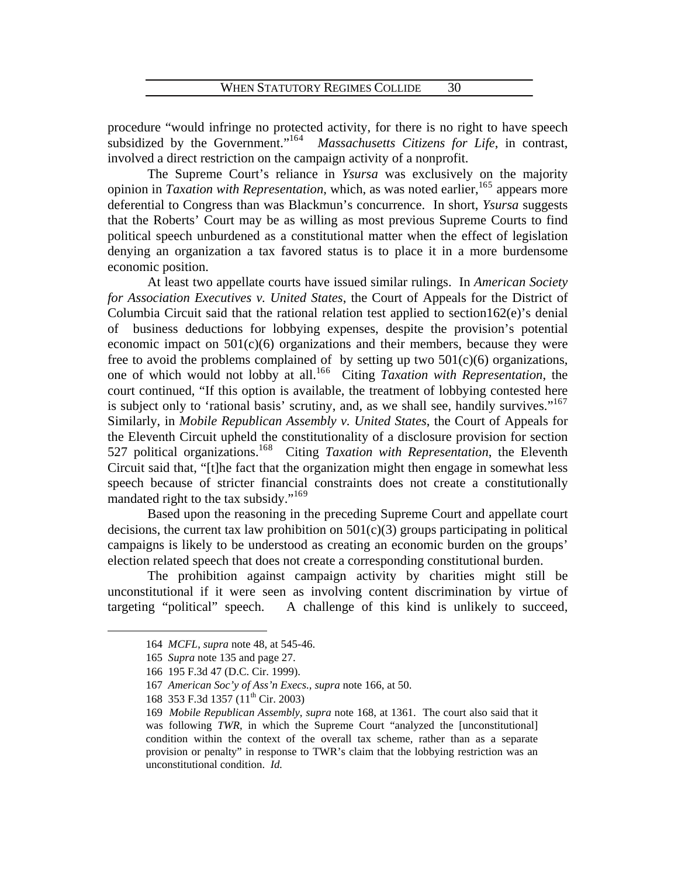procedure "would infringe no protected activity, for there is no right to have speech subsidized by the Government."<sup>16[4](#page-32-0)</sup> *Massachusetts Citizens for Life*, in contrast, involved a direct restriction on the campaign activity of a nonprofit.

 The Supreme Court's reliance in *Ysursa* was exclusively on the majority opinion in *Taxation with Representation*, which, as was noted earlier, <sup>16[5](#page-32-1)</sup> appears more deferential to Congress than was Blackmun's concurrence. In short, *Ysursa* suggests that the Roberts' Court may be as willing as most previous Supreme Courts to find political speech unburdened as a constitutional matter when the effect of legislation denying an organization a tax favored status is to place it in a more burdensome economic position.

 At least two appellate courts have issued similar rulings. In *American Society for Association Executives v. United States*, the Court of Appeals for the District of Columbia Circuit said that the rational relation test applied to section162 $(e)$ 's denial of business deductions for lobbying expenses, despite the provision's potential economic impact on  $501(c)(6)$  organizations and their members, because they were free to avoid the problems complained of by setting up two  $501(c)(6)$  organizations, one of which would not lobby at all.16[6](#page-32-2) Citing *Taxation with Representation*, the court continued, "If this option is available, the treatment of lobbying contested here is subject only to 'rational basis' scrutiny, and, as we shall see, handily survives."<sup>16[7](#page-32-3)</sup> Similarly, in *Mobile Republican Assembly v. United States*, the Court of Appeals for the Eleventh Circuit upheld the constitutionality of a disclosure provision for section 527 political organizations.<sup>16[8](#page-32-4)</sup> Citing *Taxation with Representation*, the Eleventh Circuit said that, "[t]he fact that the organization might then engage in somewhat less speech because of stricter financial constraints does not create a constitutionally mandated right to the tax subsidy."<sup>16[9](#page-32-5)</sup>

 Based upon the reasoning in the preceding Supreme Court and appellate court decisions, the current tax law prohibition on  $501(c)(3)$  groups participating in political campaigns is likely to be understood as creating an economic burden on the groups' election related speech that does not create a corresponding constitutional burden.

<span id="page-32-2"></span><span id="page-32-1"></span><span id="page-32-0"></span> The prohibition against campaign activity by charities might still be unconstitutional if it were seen as involving content discrimination by virtue of targeting "political" speech. A challenge of this kind is unlikely to succeed,

<sup>164</sup> *MCFL*, *supra* note 48, at 545-46.

<sup>165</sup> *Supra* note 135 and page 27.

<sup>166 195</sup> F.3d 47 (D.C. Cir. 1999).

<span id="page-32-3"></span><sup>167</sup> *American Soc'y of Ass'n Execs.*, *supra* note 166, at 50.

<sup>168 353</sup> F.3d 1357 (11<sup>th</sup> Cir. 2003)

<span id="page-32-5"></span><span id="page-32-4"></span><sup>169</sup> *Mobile Republican Assembly*, *supra* note 168, at 1361. The court also said that it was following *TWR*, in which the Supreme Court "analyzed the [unconstitutional] condition within the context of the overall tax scheme, rather than as a separate provision or penalty" in response to TWR's claim that the lobbying restriction was an unconstitutional condition. *Id.*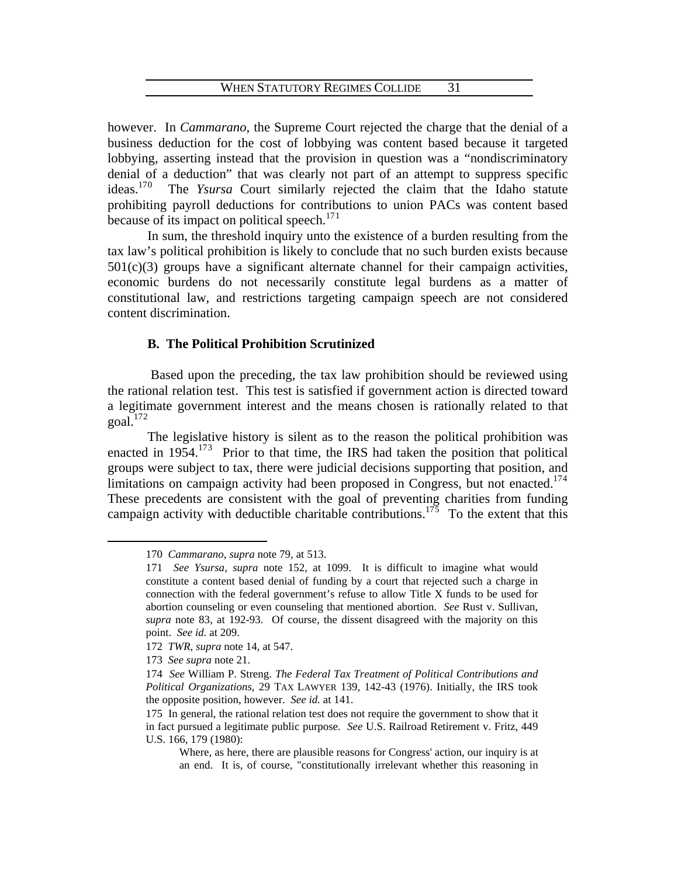however. In *Cammarano*, the Supreme Court rejected the charge that the denial of a business deduction for the cost of lobbying was content based because it targeted lobbying, asserting instead that the provision in question was a "nondiscriminatory denial of a deduction" that was clearly not part of an attempt to suppress specific ideas. $170$  $170$  The *Ysursa* Court similarly rejected the claim that the Idaho statute prohibiting payroll deductions for contributions to union PACs was content based because of its impact on political speech. $171$  $171$ 

 In sum, the threshold inquiry unto the existence of a burden resulting from the tax law's political prohibition is likely to conclude that no such burden exists because  $501(c)(3)$  groups have a significant alternate channel for their campaign activities, economic burdens do not necessarily constitute legal burdens as a matter of constitutional law, and restrictions targeting campaign speech are not considered content discrimination.

# **B. The Political Prohibition Scrutinized**

 Based upon the preceding, the tax law prohibition should be reviewed using the rational relation test. This test is satisfied if government action is directed toward a legitimate government interest and the means chosen is rationally related to that  $goal.<sup>172</sup>$  $goal.<sup>172</sup>$  $goal.<sup>172</sup>$ 

 The legislative history is silent as to the reason the political prohibition was enacted in  $1954$ .<sup>17[3](#page-33-3)</sup> Prior to that time, the IRS had taken the position that political groups were subject to tax, there were judicial decisions supporting that position, and limitations on campaign activity had been proposed in Congress, but not enacted.<sup>17[4](#page-33-4)</sup> These precedents are consistent with the goal of preventing charities from funding campaign activity with deductible charitable contributions.<sup>17[5](#page-33-5)</sup> To the extent that this

<span id="page-33-0"></span><sup>170</sup> *Cammarano*, *supra* note 79, at 513.

<span id="page-33-1"></span><sup>171</sup> *See Ysursa*, *supra* note 152, at 1099. It is difficult to imagine what would constitute a content based denial of funding by a court that rejected such a charge in connection with the federal government's refuse to allow Title X funds to be used for abortion counseling or even counseling that mentioned abortion. *See* Rust v. Sullivan, *supra* note 83, at 192-93. Of course, the dissent disagreed with the majority on this point. *See id.* at 209.

<span id="page-33-2"></span><sup>172</sup> *TWR*, *supra* note 14, at 547.

<sup>173</sup> *See supra* note 21.

<span id="page-33-4"></span><span id="page-33-3"></span><sup>174</sup> *See* William P. Streng. *The Federal Tax Treatment of Political Contributions and Political Organizations*, 29 TAX LAWYER 139, 142-43 (1976). Initially, the IRS took the opposite position, however. *See id.* at 141.

<span id="page-33-5"></span><sup>175</sup> In general, the rational relation test does not require the government to show that it in fact pursued a legitimate public purpose. *See* U.S. Railroad Retirement v. Fritz, 449 U.S. 166, 179 (1980):

Where, as here, there are plausible reasons for Congress' action, our inquiry is at an end. It is, of course, "constitutionally irrelevant whether this reasoning in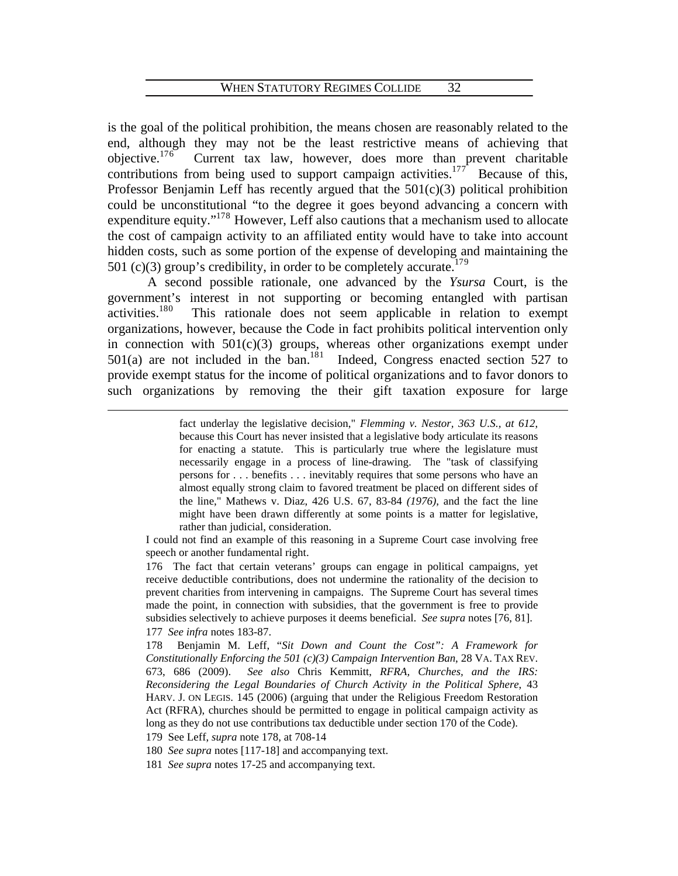is the goal of the political prohibition, the means chosen are reasonably related to the end, although they may not be the least restrictive means of achieving that objective. $176$  $176$  Current tax law, however, does more than prevent charitable contributions from being used to support campaign activities.<sup>1[7](#page-34-1)7</sup> Because of this, Professor Benjamin Leff has recently argued that the 501(c)(3) political prohibition could be unconstitutional "to the degree it goes beyond advancing a concern with expenditure equity."<sup>17[8](#page-34-2)</sup> However, Leff also cautions that a mechanism used to allocate the cost of campaign activity to an affiliated entity would have to take into account hidden costs, such as some portion of the expense of developing and maintaining the 501 (c)(3) group's credibility, in order to be completely accurate.<sup>17[9](#page-34-3)</sup>

 A second possible rationale, one advanced by the *Ysursa* Court, is the government's interest in not supporting or becoming entangled with partisan activities.18[0](#page-34-4) This rationale does not seem applicable in relation to exempt organizations, however, because the Code in fact prohibits political intervention only in connection with 501(c)(3) groups, whereas other organizations exempt under  $501(a)$  $501(a)$  $501(a)$  are not included in the ban.<sup>181</sup> Indeed, Congress enacted section 527 to provide exempt status for the income of political organizations and to favor donors to such organizations by removing the their gift taxation exposure for large

> fact underlay the legislative decision," *Flemming v. Nestor, 363 U.S., at 612*, because this Court has never insisted that a legislative body articulate its reasons for enacting a statute. This is particularly true where the legislature must necessarily engage in a process of line-drawing. The "task of classifying persons for . . . benefits . . . inevitably requires that some persons who have an almost equally strong claim to favored treatment be placed on different sides of the line," Mathews v. Diaz, 426 U.S. 67, 83-84 *(1976)*, and the fact the line might have been drawn differently at some points is a matter for legislative, rather than judicial, consideration.

I could not find an example of this reasoning in a Supreme Court case involving free speech or another fundamental right.

<span id="page-34-0"></span>176 The fact that certain veterans' groups can engage in political campaigns, yet receive deductible contributions, does not undermine the rationality of the decision to prevent charities from intervening in campaigns. The Supreme Court has several times made the point, in connection with subsidies, that the government is free to provide subsidies selectively to achieve purposes it deems beneficial. *See supra* notes [76, 81]. 177 *See infra* notes 183-87.

<span id="page-34-2"></span><span id="page-34-1"></span>178 Benjamin M. Leff, "*Sit Down and Count the Cost": A Framework for Constitutionally Enforcing the 501 (c)(3) Campaign Intervention Ban*, 28 VA. TAX REV. 673, 686 (2009). *See also* Chris Kemmitt, *RFRA, Churches, and the IRS: Reconsidering the Legal Boundaries of Church Activity in the Political Sphere*, 43 HARV. J. ON LEGIS. 145 (2006) (arguing that under the Religious Freedom Restoration Act (RFRA), churches should be permitted to engage in political campaign activity as long as they do not use contributions tax deductible under section 170 of the Code).

<span id="page-34-3"></span>179 See Leff, *supra* note 178, at 708-14

 $\overline{a}$ 

<span id="page-34-4"></span>180 *See supra* notes [117-18] and accompanying text.

<span id="page-34-5"></span>181 *See supra* notes 17-25 and accompanying text.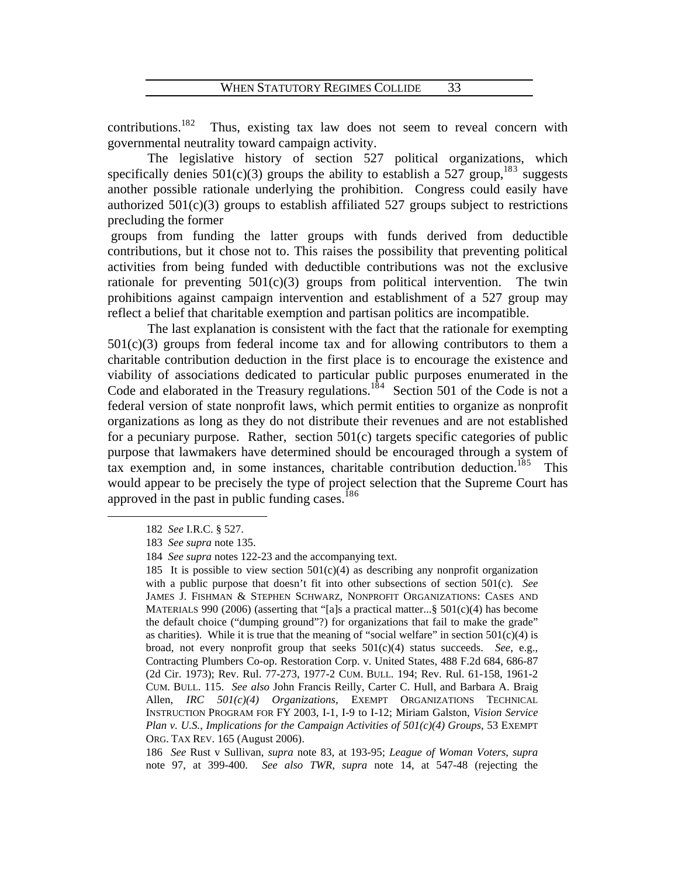contributions.<sup>18[2](#page-35-0)</sup> Thus, existing tax law does not seem to reveal concern with governmental neutrality toward campaign activity.

 The legislative history of section 527 political organizations, which specifically denies  $501(c)(3)$  $501(c)(3)$  $501(c)(3)$  groups the ability to establish a 527 group,<sup>183</sup> suggests another possible rationale underlying the prohibition. Congress could easily have authorized  $501(c)(3)$  groups to establish affiliated 527 groups subject to restrictions precluding the former

 groups from funding the latter groups with funds derived from deductible contributions, but it chose not to. This raises the possibility that preventing political activities from being funded with deductible contributions was not the exclusive rationale for preventing  $501(c)(3)$  groups from political intervention. The twin prohibitions against campaign intervention and establishment of a 527 group may reflect a belief that charitable exemption and partisan politics are incompatible.

 The last explanation is consistent with the fact that the rationale for exempting  $501(c)(3)$  groups from federal income tax and for allowing contributors to them a charitable contribution deduction in the first place is to encourage the existence and viability of associations dedicated to particular public purposes enumerated in the Code and elaborated in the Treasury regulations.<sup>18[4](#page-35-2)</sup> Section 501 of the Code is not a federal version of state nonprofit laws, which permit entities to organize as nonprofit organizations as long as they do not distribute their revenues and are not established for a pecuniary purpose. Rather, section 501(c) targets specific categories of public purpose that lawmakers have determined should be encouraged through a system of tax exemption and, in some instances, charitable contribution deduction.<sup>18[5](#page-35-3)</sup> This would appear to be precisely the type of project selection that the Supreme Court has approved in the past in public funding cases.<sup>18[6](#page-35-4)</sup>

<span id="page-35-0"></span><sup>182</sup> *See* I.R.C. § 527.

<span id="page-35-1"></span><sup>.</sup> 183 *See supra* note 135

<sup>184</sup> See supra notes 122-23 and the accompanying text.

<span id="page-35-3"></span><span id="page-35-2"></span><sup>185</sup> It is possible to view section  $501(c)(4)$  as describing any nonprofit organization INSTRUCTION PROGRAM FOR FY 2003, I-1, I-9 to I-12; Miriam Galston, Vision Service with a public purpose that doesn't fit into other subsections of section 501(c). *See* JAMES J. FISHMAN & STEPHEN SCHWARZ, NONPROFIT ORGANIZATIONS: CASES AND MATERIALS 990 (2006) (asserting that "[a]s a practical matter... § 501(c)(4) has become the default choice ("dumping ground"?) for organizations that fail to make the grade" as charities). While it is true that the meaning of "social welfare" in section  $501(c)(4)$  is broad, not every nonprofit group that seeks 501(c)(4) status succeeds. *See*, e.g., Contracting Plumbers Co-op. Restoration Corp. v. United States, 488 F.2d 684, 686-87 (2d Cir. 1973); Rev. Rul. 77-273, 1977-2 CUM. BULL. 194; Rev. Rul. 61-158, 1961-2 CUM. BULL. 115. *See also* John Francis Reilly, Carter C. Hull, and Barbara A. Braig Allen, *IRC 501(c)(4) Organizations*, EXEMPT ORGANIZATIONS TECHNICAL *Plan v. U.S.*, *Implications for the Campaign Activities of 501(c)(4) Groups*, 53 EXEMPT ORG. TAX REV. 165 (August 2006).

<span id="page-35-4"></span><sup>186</sup> *See* Rust v Sullivan, *supra* note 83, at 193-95; *League of Woman Voters*, *supra* note 97, at 399-400. *See also TWR*, *supra* note 14, at 547-48 (rejecting the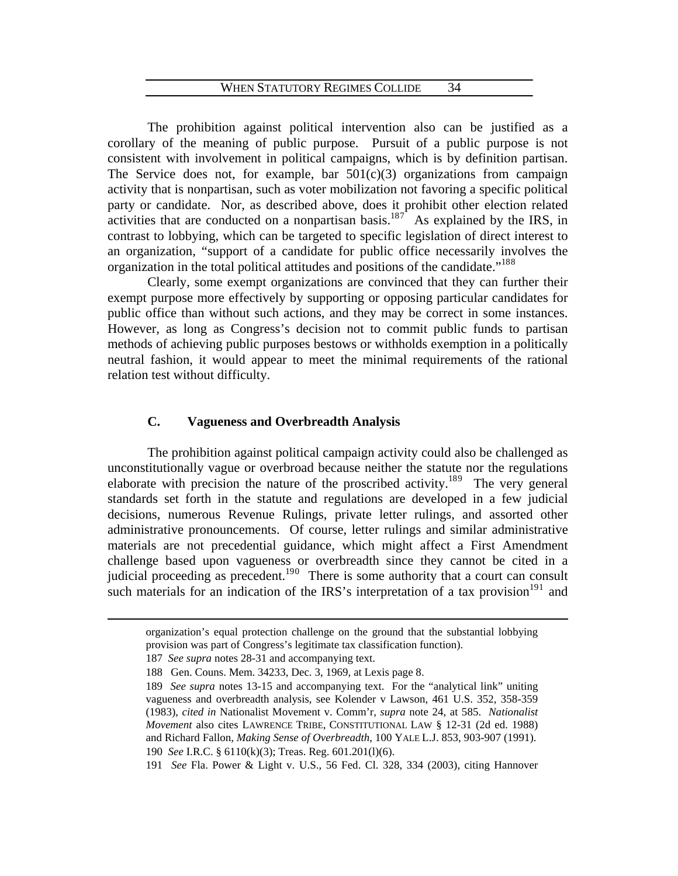The prohibition against political intervention also can be justified as a corollary of the meaning of public purpose. Pursuit of a public purpose is not consistent with involvement in political campaigns, which is by definition partisan. The Service does not, for example, bar  $501(c)(3)$  organizations from campaign activity that is nonpartisan, such as voter mobilization not favoring a specific political party or candidate. Nor, as described above, does it prohibit other election related activities that are conducted on a nonpartisan basis.<sup>18[7](#page-36-0)</sup> As explained by the IRS, in contrast to lobbying, which can be targeted to specific legislation of direct interest to an organization, "support of a candidate for public office necessarily involves the organization in the total political attitudes and positions of the candidate."<sup>1[8](#page-36-1)8</sup>

 Clearly, some exempt organizations are convinced that they can further their exempt purpose more effectively by supporting or opposing particular candidates for public office than without such actions, and they may be correct in some instances. However, as long as Congress's decision not to commit public funds to partisan methods of achieving public purposes bestows or withholds exemption in a politically neutral fashion, it would appear to meet the minimal requirements of the rational relation test without difficulty.

# **C. Vagueness and Overbreadth Analysis**

 The prohibition against political campaign activity could also be challenged as unconstitutionally vague or overbroad because neither the statute nor the regulations elaborate with precision the nature of the proscribed activity.<sup>18[9](#page-36-2)</sup> The very general standards set forth in the statute and regulations are developed in a few judicial decisions, numerous Revenue Rulings, private letter rulings, and assorted other administrative pronouncements. Of course, letter rulings and similar administrative materials are not precedential guidance, which might affect a First Amendment challenge based upon vagueness or overbreadth since they cannot be cited in a judicial proceeding as precedent.<sup>19[0](#page-36-3)</sup> There is some authority that a court can consult such materials for an indication of the IRS's interpretation of a tax provision  $191$  and

<span id="page-36-2"></span><span id="page-36-1"></span><span id="page-36-0"></span> $\overline{a}$ 

<span id="page-36-4"></span><span id="page-36-3"></span>191 *See* Fla. Power & Light v. U.S., 56 Fed. Cl. 328, 334 (2003), citing Hannover

organization's equal protection challenge on the ground that the substantial lobbying provision was part of Congress's legitimate tax classification function).

<sup>187</sup> *See supra* notes 28-31 and accompanying text.

<sup>188</sup> Gen. Couns. Mem. 34233, Dec. 3, 1969, at Lexis page 8.

<sup>189</sup> See supra notes 13-15 and accompanying text. For the "analytical link" uniting vagueness and overbreadth analysis, see Kolender v Lawson, 461 U.S. 352, 358-359 (1983), *cited in* Nationalist Movement v. Comm'r, *supra* note 24, at 585. *Nationalist Movement* also cites LAWRENCE TRIBE, CONSTITUTIONAL LAW § 12-31 (2d ed. 1988) and Richard Fallon, *Making Sense of Overbreadth*, 100 YALE L.J. 853, 903-907 (1991). 190 *See* I.R.C. § 6110(k)(3); Treas. Reg. 601.201(l)(6).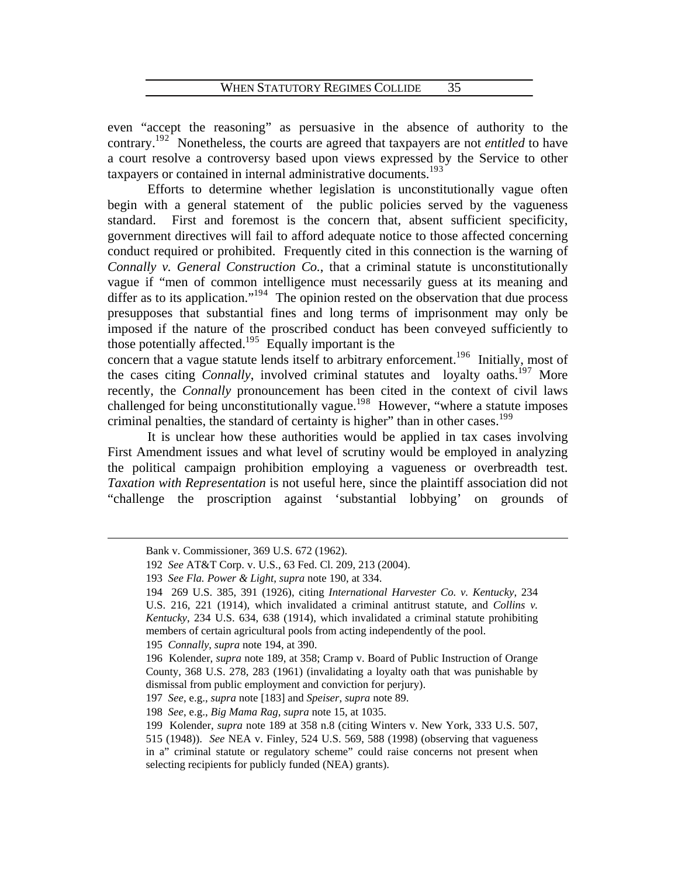even "accept the reasoning" as persuasive in the absence of authority to the contrary.19[2](#page-36-4) Nonetheless, the courts are agreed that taxpayers are not *entitled* to have a court resolve a controversy based upon views expressed by the Service to other taxpayers or contained in internal administrative documents.<sup>19[3](#page-37-0)</sup>

 [Efforts to determine whether legislation is unconstitut](#page-37-0)ionally vague often begin with a general statement of the public policies served by the vagueness standard. First and foremost is the concern that, absent sufficient specificity, government directives will fail to afford adequate notice to those affected concerning conduct required or prohibited. Frequently cited in this connection is the warning of *Connally v. General Construction Co.*, that a criminal statute is unconstitutionally vague if "men of common intelligence must necessarily guess at its meaning and differ as to its application."<sup>19[4](#page-37-1)</sup> The opinion rested on the observation that due process presupposes that substantial fines and long terms of imprisonment may only be imposed if the nature of the proscribed conduct has been conveyed sufficiently to those potentially affected.<sup>19[5](#page-37-2)</sup> Equally important is the

concern that a vague statute lends itself to arbitrary enforcement.<sup>196</sup> Initially, most of the cases citing *Connally*, involved criminal statutes and loyalty oaths.<sup>19[7](#page-37-3)</sup> More recently, the *Connally* pronouncement has been cited in the context of civil laws challenged for being unconstitutionally vague.<sup>19[8](#page-37-4)</sup> However, "where a statute imposes criminal penalties, the standard of certainty is higher" than in other cases.<sup>1[9](#page-37-5)9</sup>

It is unclear how these authorities would be applied in tax cases involving First Amendment issues and what level of scrutiny would be employed in analyzing the political campaign prohibition employing a vagueness or overbreadth test. *Taxation with Representation* is not useful here, since the plaintiff association did not "challenge the proscription against 'substantial lobbying' on grounds of

<span id="page-37-1"></span><span id="page-37-0"></span> $\overline{a}$ 

 $\overline{a}$ 

195 *Connally*, *supra* note 194, at 390.

Bank v. Commissioner, 369 U.S. 672 (1962).

<sup>192</sup> *See* AT&T Corp. v. U.S., 63 Fed. Cl. 209, 213 (2004).

<sup>193</sup> *See Fla. Power & Light*, *supra* note 190, at 334.

<sup>194 269</sup> U.S. 385, 391 (1926), citing *International Harvester Co. v. Kentucky*, 234 U.S. 216, 221 (1914), which invalidated a criminal antitrust statute, and *Collins v. Kentucky*, 234 U.S. 634, 638 (1914), which invalidated a criminal statute prohibiting members of certain agricultural pools from acting independently of the pool.

<span id="page-37-3"></span><span id="page-37-2"></span><sup>196</sup> Kolender, *supra* note 189, at 358; Cramp v. Board of Public Instruction of Orange County, 368 U.S. 278, 283 (1961) (invalidating a loyalty oath that was punishable by dismissal from public employment and conviction for perjury).

<span id="page-37-4"></span><sup>197</sup> *See*, e.g., *supra* note [183] and *Speiser*, *supra* note 89.

<sup>198</sup> *See*, e.g., *Big Mama Rag*, *supra* note 15, at 1035.

<span id="page-37-5"></span><sup>199</sup> Kolender, *supra* note 189 at 358 n.8 (citing Winters v. New York, 333 U.S. 507, 515 (1948)). *See* NEA v. Finley, 524 U.S. 569, 588 (1998) (observing that vagueness in a" criminal statute or regulatory scheme" could raise concerns not present when selecting recipients for publicly funded (NEA) grants).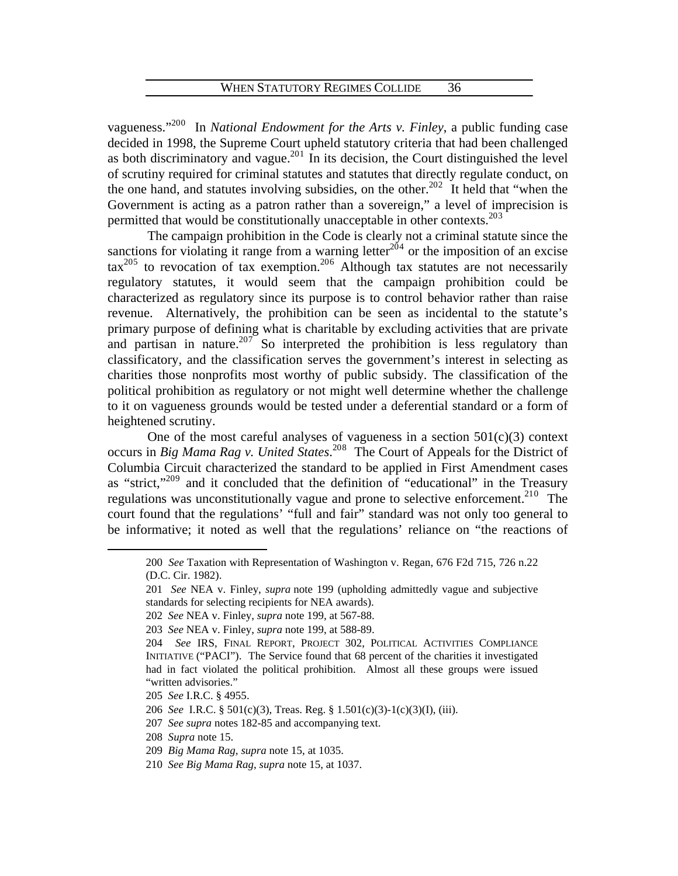vagueness."20[0](#page-38-0) In *National Endowment for the Arts v. Finley*, a public funding case decided in 1998, the Supreme Court upheld statutory criteria that had been challenged as both discriminatory and vague.<sup>20[1](#page-38-1)</sup> In its decision, the Court distinguished the level of scrutiny required for criminal statutes and statutes that directly regulate conduct, on the one hand, and statutes involving subsidies, on the other.<sup>[2](#page-38-2)02</sup> It held that "when the Government is acting as a patron rather than a sovereign," a level of imprecision is permitted that would be constitutionally unacceptable in other contexts.<sup>20[3](#page-38-3)</sup>

 The campaign prohibition in the Code is clearly not a criminal statute since the sanctions for violating it range from a warning letter<sup>20[4](#page-38-4)</sup> or the imposition of an excise  $\arctan^{205}$  $\arctan^{205}$  $\arctan^{205}$  to revocation of tax exemption.<sup>20[6](#page-38-6)</sup> Although tax statutes are not necessarily regulatory statutes, it would seem that the campaign prohibition could be characterized as regulatory since its purpose is to control behavior rather than raise revenue. Alternatively, the prohibition can be seen as incidental to the statute's primary purpose of defining what is charitable by excluding activities that are private and partisan in nature.<sup>20[7](#page-38-7)</sup> So interpreted the prohibition is less regulatory than classificatory, and the classification serves the government's interest in selecting as charities those nonprofits most worthy of public subsidy. The classification of the political prohibition as regulatory or not might well determine whether the challenge to it on vagueness grounds would be tested under a deferential standard or a form of heightened scrutiny.

One of the most careful analyses of vagueness in a section  $501(c)(3)$  context occurs in *Big Mama Rag v. United States*. 20[8](#page-38-8) The Court of Appeals for the District of Columbia Circuit characterized the standard to be applied in First Amendment cases as "strict,"<sup>20[9](#page-38-9)</sup> and it concluded that the definition of "educational" in the Treasury regulations was unconstitutionally vague and prone to selective enforcement.<sup>21[0](#page-38-10)</sup> The court found that the regulations' "full and fair" standard was not only too general to be informative; it noted as well that the regulations' reliance on "the reactions of

<span id="page-38-0"></span><sup>200</sup> *See* Taxation with Representation of Washington v. Regan, 676 F2d 715, 726 n.22 (D.C. Cir. 1982).

<span id="page-38-1"></span><sup>201</sup> *See* NEA v. Finley, *supra* note 199 (upholding admittedly vague and subjective standards for selecting recipients for NEA awards).

<sup>202</sup> *See* NEA v. Finley, *supra* note 199, at 567-88.

<span id="page-38-3"></span><span id="page-38-2"></span><sup>203</sup> *See* NEA v. Finley, *supra* note 199, at 588-89.

<span id="page-38-4"></span><sup>204</sup> *See* IRS, FINAL REPORT, PROJECT 302, POLITICAL ACTIVITIES COMPLIANCE INITIATIVE ("PACI"). The Service found that 68 percent of the charities it investigated had in fact violated the political prohibition. Almost all these groups were issued "written advisories."

<span id="page-38-6"></span><span id="page-38-5"></span><sup>205</sup> *See* I.R.C. § 4955.

<sup>206</sup> *See* I.R.C. § 501(c)(3), Treas. Reg. § 1.501(c)(3)-1(c)(3)(I), (iii).

<span id="page-38-7"></span><sup>207</sup> *See supra* notes 182-85 and accompanying text.

<span id="page-38-9"></span><span id="page-38-8"></span><sup>208</sup> *Supra* note 15.

<sup>209</sup> *Big Mama Rag*, *supra* note 15, at 1035.

<span id="page-38-10"></span><sup>210</sup> *See Big Mama Rag*, *supra* note 15, at 1037.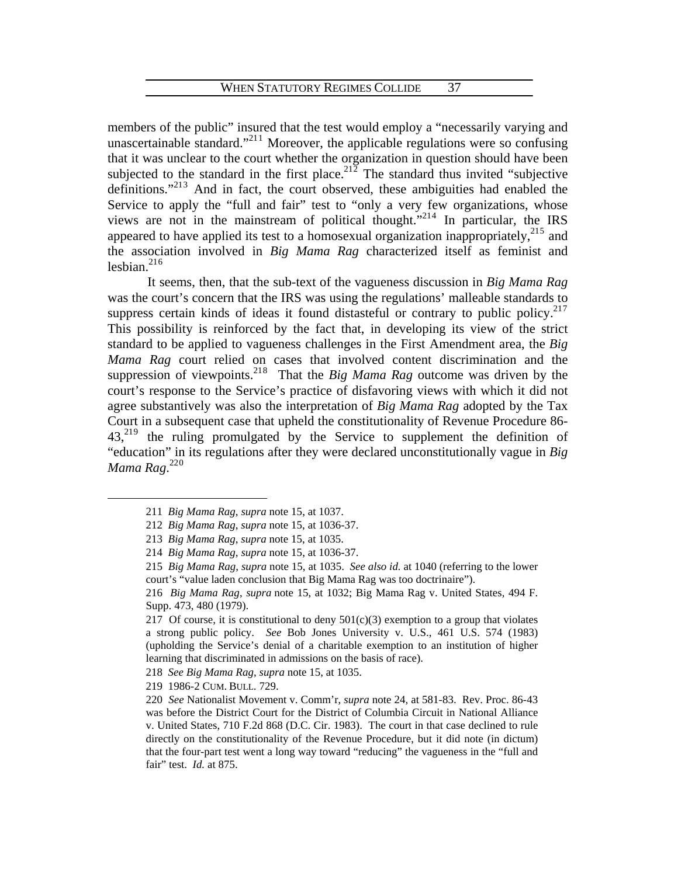members of the public" insured that the test would employ a "necessarily varying and unascertainable standard."<sup>2[1](#page-39-0)1</sup> Moreover, the applicable regulations were so confusing that it was unclear to the court whether the organization in question should have been subjected to the standard in the first place.<sup>[2](#page-39-1)12</sup> The standard thus invited "subjective definitions."<sup>21[3](#page-39-2)</sup> And in fact, the court observed, these ambiguities had enabled the Service to apply the "full and fair" test to "only a very few organizations, whose views are not in the mainstream of political thought."<sup>21[4](#page-39-3)</sup> In particular, the IRS appeared to have applied its test to a homosexual organization inappropriately, $^{215}$  $^{215}$  $^{215}$  and the association involved in *Big Mama Rag* characterized itself as feminist and lesbian. $^{216}$  $^{216}$  $^{216}$ 

 It seems, then, that the sub-text of the vagueness discussion in *Big Mama Rag* was the court's concern that the IRS was using the regulations' malleable standards to suppress certain kinds of ideas it found distasteful or contrary to public policy. $217$  $217$ This possibility is reinforced by the fact that, in developing its view of the strict standard to be applied to vagueness challenges in the First Amendment area, the *Big Mama Rag* court relied on cases that involved content discrimination and the suppression of viewpoints.<sup>21[8](#page-39-7)</sup> That the *Big Mama Rag* outcome was driven by the court's response to the Service's practice of disfavoring views with which it did not agree substantively was also the interpretation of *Big Mama Rag* adopted by the Tax Court in a subsequent case that upheld the constitutionality of Revenue Procedure 86-  $43<sub>1</sub><sup>219</sup>$  $43<sub>1</sub><sup>219</sup>$  $43<sub>1</sub><sup>219</sup>$  the ruling promulgated by the Service to supplement the definition of "education" in its regulations after they were declared unconstitutionally vague in *Big Mama Rag*. 22[0](#page-39-9)

<span id="page-39-1"></span><span id="page-39-0"></span><sup>211</sup> *Big Mama Rag*, *supra* note 15, at 1037.

<sup>7.</sup>  212 *Big Mama Rag*, *supra* note 15, at 1036-3

<span id="page-39-3"></span><span id="page-39-2"></span><sup>213</sup> *Big Mama Rag*, *supra* note 15, at 1035.

<sup>7.</sup> 214 *Big Mama Rag*, *supra* note 15, at 1036-3

<span id="page-39-4"></span><sup>215</sup> *Big Mama Rag, supra* note 15, at 1035. *See also id.* at 1040 (referring to the lower court's "value laden conclusion that Big Mama Rag was too doctrinaire").

<span id="page-39-5"></span><sup>216</sup> *Big Mama Rag, supra* note 15, at 1032; Big Mama Rag v. United States, 494 F. Supp. 473, 480 (1979).

<span id="page-39-6"></span><sup>217</sup> Of course, it is constitutional to deny  $501(c)(3)$  exemption to a group that violates a strong public policy. *See* Bob Jones University v. U.S., 461 U.S. 574 (1983) (upholding the Service's denial of a charitable exemption to an institution of higher learning that discriminated in admissions on the basis of race).

<span id="page-39-7"></span><sup>218</sup> *See Big Mama Rag*, *supra* note 15, at 1035.

<span id="page-39-8"></span><sup>219 1986-2</sup> CUM. BULL. 729.

<span id="page-39-9"></span><sup>220</sup> See Nationalist Movement v. Comm'r, *supra* note 24, at 581-83. Rev. Proc. 86-43 was before the District Court for the District of Columbia Circuit in National Alliance v. United States, 710 F.2d 868 (D.C. Cir. 1983). The court in that case declined to rule directly on the constitutionality of the Revenue Procedure, but it did note (in dictum) that the four-part test went a long way toward "reducing" the vagueness in the "full and fair" test. *Id.* at 875.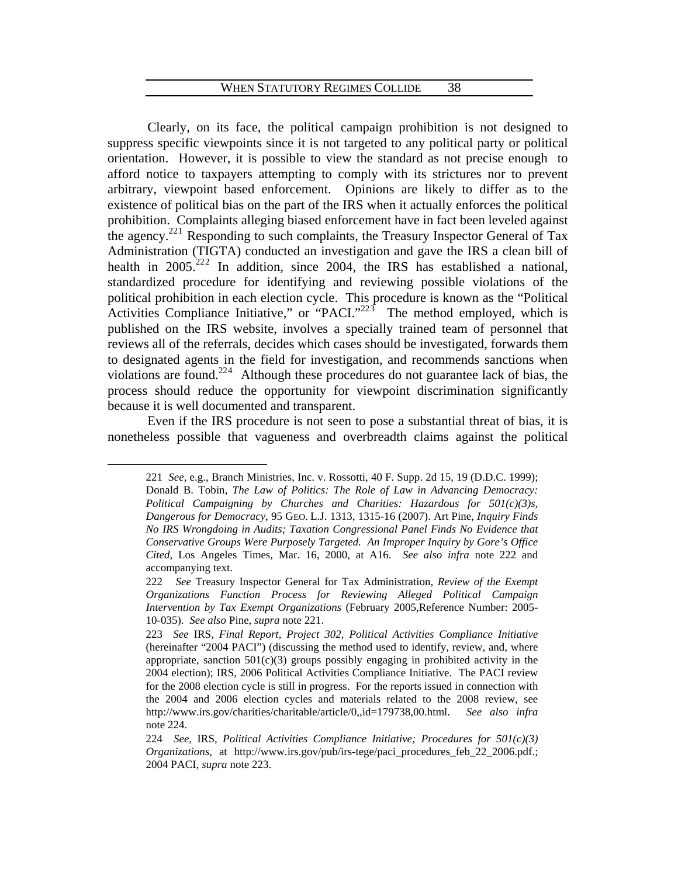Clearly, on its face, the political campaign prohibition is not designed to suppress specific viewpoints since it is not targeted to any political party or political orientation. However, it is possible to view the standard as not precise enough to afford notice to taxpayers attempting to comply with its strictures nor to prevent arbitrary, viewpoint based enforcement. Opinions are likely to differ as to the existence of political bias on the part of the IRS when it actually enforces the political prohibition. Complaints alleging biased enforcement have in fact been leveled against the agency.<sup>22[1](#page-40-0)</sup> Responding to such complaints, the Treasury Inspector General of Tax Administration (TIGTA) conducted an investigation and gave the IRS a clean bill of health in  $2005.<sup>222</sup>$  $2005.<sup>222</sup>$  In addition, since 2004, the IRS has established a national, standardized procedure for identifying and reviewing possible violations of the political prohibition in each election cycle. This procedure is known as the "Political Activities Compliance Initiative," or "PACI."<sup>22[3](#page-40-2)</sup> The method employed, which is published on the IRS website, involves a specially trained team of personnel that reviews all of the referrals, decides which cases should be investigated, forwards them to designated agents in the field for investigation, and recommends sanctions when violations are found.<sup>22[4](#page-40-3)</sup> Although these procedures do not guarantee lack of bias, the process should reduce the opportunity for viewpoint discrimination significantly because it is well documented and transparent.

<span id="page-40-0"></span> Even if the IRS procedure is not seen to pose a substantial threat of bias, it is nonetheless possible that vagueness and overbreadth claims against the political

<sup>221</sup> *See*, e.g., Branch Ministries, Inc. v. Rossotti, 40 F. Supp. 2d 15, 19 (D.D.C. 1999); Donald B. Tobin, *The Law of Politics: The Role of Law in Advancing Democracy: Political Campaigning by Churches and Charities: Hazardous for 501(c)(3)s, Dangerous for Democracy*, 95 GEO. L.J. 1313, 1315-16 (2007). Art Pine, *Inquiry Finds No IRS Wrongdoing in Audits; Taxation Congressional Panel Finds No Evidence that Conservative Groups Were Purposely Targeted. An Improper Inquiry by Gore's Office Cited*, Los Angeles Times, Mar. 16, 2000, at A16. *See also infra* note 222 and accompanying text.

<span id="page-40-1"></span><sup>222</sup> *See* Treasury Inspector General for Tax Administration, *Review of the Exempt Organizations Function Process for Reviewing Alleged Political Campaign Intervention by Tax Exempt Organizations* (February 2005,Reference Number: 2005- 10-035). *See also* Pine, *supra* note 221.

<span id="page-40-2"></span><sup>223</sup> *See* IRS, *Final Report, Project 302, Political Activities Compliance Initiative* (hereinafter "2004 PACI") (discussing the method used to identify, review, and, where appropriate, sanction  $501(c)(3)$  groups possibly engaging in prohibited activity in the 2004 election); IRS, 2006 Political Activities Compliance Initiative. The PACI review for the 2008 election cycle is still in progress. For the reports issued in connection with the 2004 and 2006 election cycles and materials related to the 2008 review, see http://www.irs.gov/charities/charitable/article/0,,id=179738,00.html. *See also infra* note 224.

<span id="page-40-3"></span><sup>224</sup> *See*, IRS, *Political Activities Compliance Initiative; Procedures for 501(c)(3) Organizations*, at http://www.irs.gov/pub/irs-tege/paci\_procedures\_feb\_22\_2006.pdf.; 2004 PACI, *supra* note 223.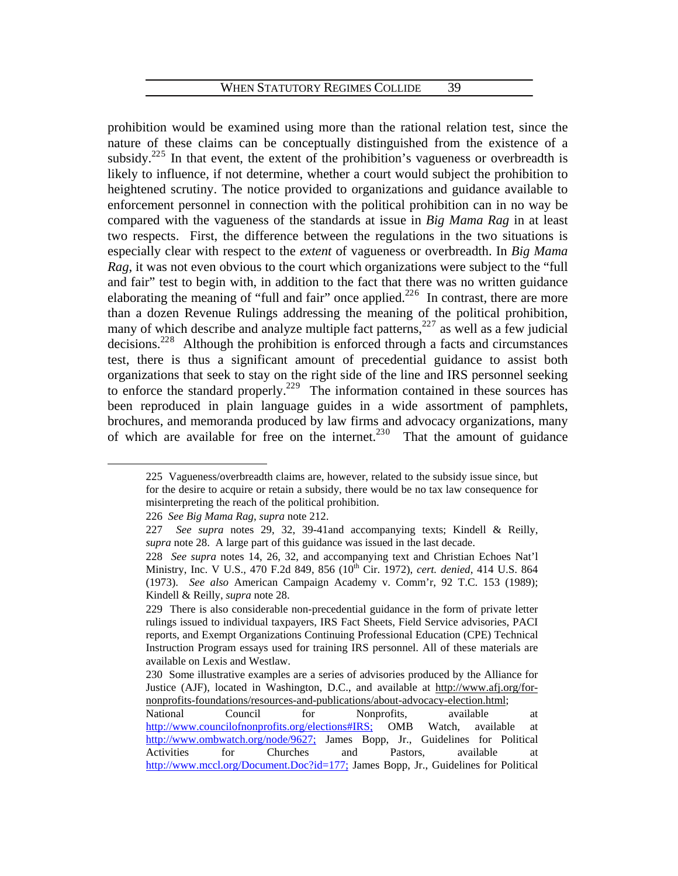prohibition would be examined using more than the rational relation test, since the nature of these claims can be conceptually distinguished from the existence of a subsidy.<sup>22[5](#page-41-0)</sup> In that event, the extent of the prohibition's vagueness or overbreadth is likely to influence, if not determine, whether a court would subject the prohibition to heightened scrutiny. The notice provided to organizations and guidance available to enforcement personnel in connection with the political prohibition can in no way be compared with the vagueness of the standards at issue in *Big Mama Rag* in at least two respects. First, the difference between the regulations in the two situations is especially clear with respect to the *extent* of vagueness or overbreadth. In *Big Mama Rag*, it was not even obvious to the court which organizations were subject to the "full and fair" test to begin with, in addition to the fact that there was no written guidance elaborating the meaning of "full and fair" once applied. $226$  $226$  In contrast, there are more than a dozen Revenue Rulings addressing the meaning of the political prohibition, many of which describe and analyze multiple fact patterns,  $227$  $227$  as well as a few judicial decisions.<sup>22[8](#page-41-3)</sup> Although the prohibition is enforced through a facts and circumstances test, there is thus a significant amount of precedential guidance to assist both organizations that seek to stay on the right side of the line and IRS personnel seeking to enforce the standard properly.<sup>22[9](#page-41-4)</sup> The information contained in these sources has been reproduced in plain language guides in a wide assortment of pamphlets, brochures, and memoranda produced by law firms and advocacy organizations, many of which are available for free on the internet.<sup>23[0](#page-41-5)</sup> That the amount of guidance

<span id="page-41-0"></span><sup>225</sup> Vagueness/overbreadth claims are, however, related to the subsidy issue since, but for the desire to acquire or retain a subsidy, there would be no tax law consequence for misinterpreting the reach of the political prohibition.

<span id="page-41-1"></span><sup>226</sup> *See Big Mama Rag*, *supra* note 212.

<span id="page-41-2"></span><sup>227</sup> *See supra* notes 29, 32, 39-41and accompanying texts; Kindell & Reilly, *supra* note 28. A large part of this guidance was issued in the last decade.

<span id="page-41-3"></span><sup>228</sup> See supra notes 14, 26, 32, and accompanying text and Christian Echoes Nat'l Ministry, Inc. V U.S., 470 F.2d 849, 856 (10<sup>th</sup> Cir. 1972), *cert. denied*, 414 U.S. 864 (1973). *See also* American Campaign Academy v. Comm'r, 92 T.C. 153 (1989); Kindell & Reilly, *supra* note 28.

<span id="page-41-4"></span><sup>229</sup> There is also considerable non-precedential guidance in the form of private letter rulings issued to individual taxpayers, IRS Fact Sheets, Field Service advisories, PACI reports, and Exempt Organizations Continuing Professional Education (CPE) Technical Instruction Program essays used for training IRS personnel. All of these materials are available on Lexis and Westlaw.

<span id="page-41-5"></span><sup>230</sup> Some illustrative examples are a series of advisories produced by the Alliance for Justice (AJF), located in Washington, D.C., and available at http://www.afj.org/fornonprofits-foundations/resources-and-publications/about-advocacy-election.html;

National Council for Nonprofits, available at <http://www.councilofnonprofits.org/elections#IRS;>OMB Watch, available at <http://www.ombwatch.org/node/9627;>James Bopp, Jr., Guidelines for Political Activities for Churches and Pastors, available at <http://www.mccl.org/Document.Doc?id=177;>James Bopp, Jr., Guidelines for Political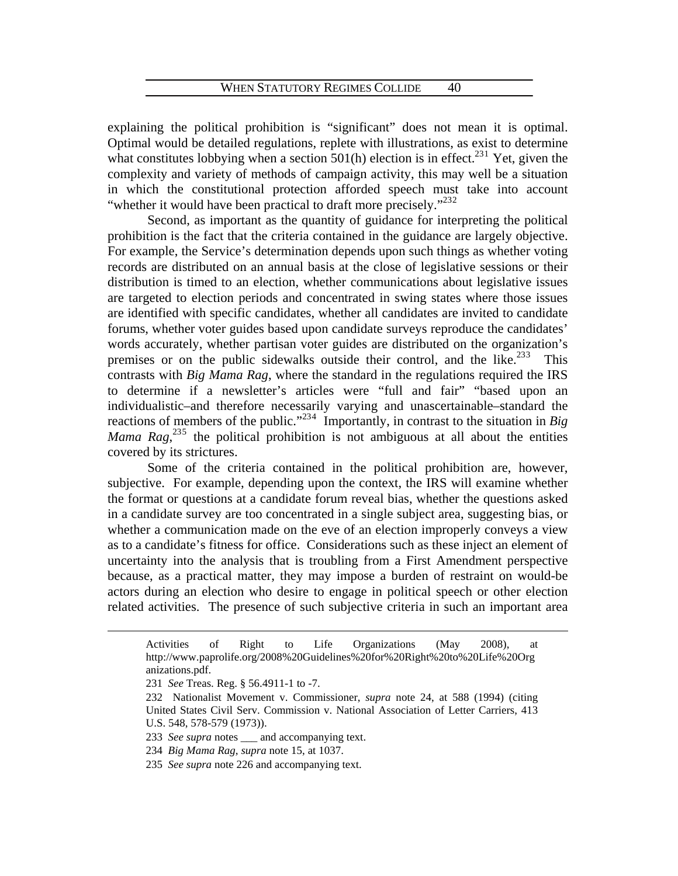explaining the political prohibition is "significant" does not mean it is optimal. Optimal would be detailed regulations, replete with illustrations, as exist to determine what constitutes lobbying when a section  $501(h)$  $501(h)$  $501(h)$  election is in effect.<sup>231</sup> Yet, given the complexity and variety of methods of campaign activity, this may well be a situation in which the constitutional protection afforded speech must take into account "whether it would have been practical to draft more precisely."<sup>[2](#page-42-1)32</sup>

 Second, as important as the quantity of guidance for interpreting the political prohibition is the fact that the criteria contained in the guidance are largely objective. For example, the Service's determination depends upon such things as whether voting records are distributed on an annual basis at the close of legislative sessions or their distribution is timed to an election, whether communications about legislative issues are targeted to election periods and concentrated in swing states where those issues are identified with specific candidates, whether all candidates are invited to candidate forums, whether voter guides based upon candidate surveys reproduce the candidates' words accurately, whether partisan voter guides are distributed on the organization's premises or on the public sidewalks outside their control, and the like.<sup>2[3](#page-42-2)3</sup> This contrasts with *Big Mama Rag*, where the standard in the regulations required the IRS to determine if a newsletter's articles were "full and fair" "based upon an individualistic–and therefore necessarily varying and unascertainable–standard the reactions of members of the public."<sup>23[4](#page-42-3)</sup> Importantly, in contrast to the situation in *Big* Mama Rag,<sup>23[5](#page-42-4)</sup> the political prohibition is not ambiguous at all about the entities covered by its strictures.

 Some of the criteria contained in the political prohibition are, however, subjective. For example, depending upon the context, the IRS will examine whether the format or questions at a candidate forum reveal bias, whether the questions asked in a candidate survey are too concentrated in a single subject area, suggesting bias, or whether a communication made on the eve of an election improperly conveys a view as to a candidate's fitness for office. Considerations such as these inject an element of uncertainty into the analysis that is troubling from a First Amendment perspective because, as a practical matter, they may impose a burden of restraint on would-be actors during an election who desire to engage in political speech or other election related activities. The presence of such subjective criteria in such an important area

Activities of Right to Life Organizations (May 2008), at http://www.paprolife.org/2008%20Guidelines%20for%20Right%20to%20Life%20Org anizations.pdf.

<span id="page-42-1"></span><span id="page-42-0"></span><sup>231</sup> *See* Treas. Reg. § 56.4911-1 to -7.

<sup>232</sup> Nationalist Movement v. Commissioner, *supra* note 24, at 588 (1994) (citing United States Civil Serv. Commission v. National Association of Letter Carriers, 413 U.S. 548, 578-579 (1973)).

<span id="page-42-2"></span><sup>233</sup> *See supra* notes \_\_\_ and accompanying text.

<span id="page-42-3"></span><sup>234</sup> *Big Mama Rag*, *supra* note 15, at 1037.

<span id="page-42-4"></span><sup>235</sup> *See supra* note 226 and accompanying text.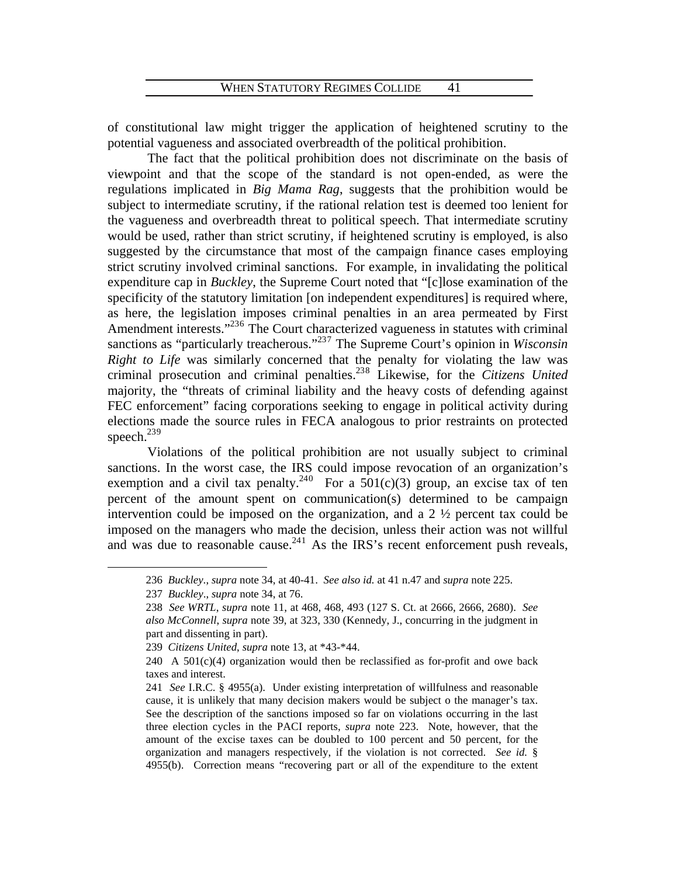of constitutional law might trigger the application of heightened scrutiny to the potential vagueness and associated overbreadth of the political prohibition.

 The fact that the political prohibition does not discriminate on the basis of viewpoint and that the scope of the standard is not open-ended, as were the regulations implicated in *Big Mama Rag*, suggests that the prohibition would be subject to intermediate scrutiny, if the rational relation test is deemed too lenient for the vagueness and overbreadth threat to political speech. That intermediate scrutiny would be used, rather than strict scrutiny, if heightened scrutiny is employed, is also suggested by the circumstance that most of the campaign finance cases employing strict scrutiny involved criminal sanctions. For example, in invalidating the political expenditure cap in *Buckley*, the Supreme Court noted that "[c]lose examination of the specificity of the statutory limitation [on independent expenditures] is required where, as here, the legislation imposes criminal penalties in an area permeated by First Amendment interests."<sup>23[6](#page-43-0)</sup> The Court characterized vagueness in statutes with criminal sanctions as "particularly treacherous."<sup>23[7](#page-43-1)</sup> The Supreme Court's opinion in *Wisconsin Right to Life* was similarly concerned that the penalty for violating the law was criminal prosecution and criminal penalties.23[8](#page-43-2) Likewise, for the *Citizens United* majority, the "threats of criminal liability and the heavy costs of defending against FEC enforcement" facing corporations seeking to engage in political activity during elections made the source rules in FECA analogous to prior restraints on protected speech.<sup>23[9](#page-43-3)</sup>

Violations of the political prohibition are not usually subject to criminal sanctions. In the worst case, the IRS could impose revocation of an organization's exemption and a civil tax penalty.<sup>24[0](#page-43-4)</sup> For a  $501(c)(3)$  group, an excise tax of ten percent of the amount spent on communication(s) determined to be campaign intervention could be imposed on the organization, and a 2 ½ percent tax could be imposed on the managers who made the decision, unless their action was not willful and was due to reasonable cause.<sup>24[1](#page-43-5)</sup> As the IRS's recent enforcement push reveals,

<span id="page-43-0"></span><sup>236</sup> *Buckley*., *supra* note 34, at 40-41. *See also id.* at 41 n.47 and *supra* note 225.

<sup>237</sup> *Buckley*., *supra* note 34, at 76.

<span id="page-43-2"></span><span id="page-43-1"></span><sup>8, 468, 493 (127</sup> S. Ct. at 2666, 2666, 2680). *See*  238 *See WRTL*, *supra* note 11, at 46 *also McConnell*, *supra* note 39, at 323, 330 (Kennedy, J., concurring in the judgment in part and dissenting in part).

<span id="page-43-3"></span><sup>239</sup> *Citizens United, supra* note 13, at \*43-\*44.

<span id="page-43-4"></span> $240$  A  $501(c)(4)$  organization would then be reclassified as for-profit and owe back taxes and interest.

<span id="page-43-5"></span><sup>241</sup> *See I.R.C.* § 4955(a). Under existing interpretation of willfulness and reasonable cause, it is unlikely that many decision makers would be subject o the manager's tax. See the description of the sanctions imposed so far on violations occurring in the last three election cycles in the PACI reports, *supra* note 223. Note, however, that the amount of the excise taxes can be doubled to 100 percent and 50 percent, for the organization and managers respectively, if the violation is not corrected. *See id.* § 4955(b). Correction means "recovering part or all of the expenditure to the extent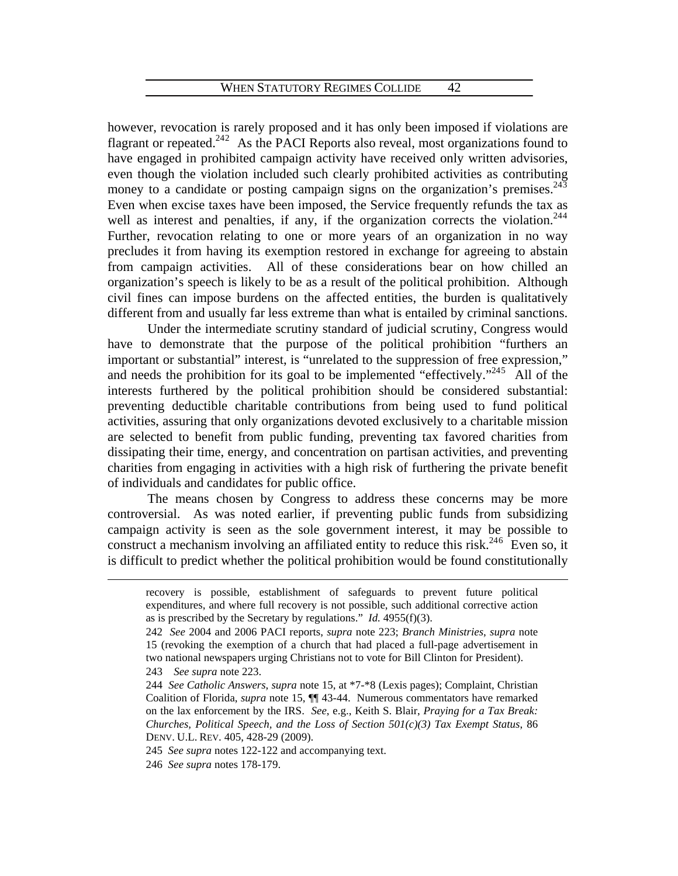however, revocation is rarely proposed and it has only been imposed if violations are flagrant or repeated.<sup>[2](#page-44-0)42</sup> As the PACI Reports also reveal, most organizations found to have engaged in prohibited campaign activity have received only written advisories, even though the violation included such clearly prohibited activities as contributing money to a candidate or posting campaign signs on the organization's premises.<sup>24[3](#page-44-1)</sup> Even when excise taxes have been imposed, the Service frequently refunds the tax as well as interest and penalties, if any, if the organization corrects the violation.<sup>2[4](#page-44-2)4</sup> Further, revocation relating to one or more years of an organization in no way precludes it from having its exemption restored in exchange for agreeing to abstain from campaign activities. All of these considerations bear on how chilled an organization's speech is likely to be as a result of the political prohibition. Although civil fines can impose burdens on the affected entities, the burden is qualitatively different from and usually far less extreme than what is entailed by criminal sanctions.

 Under the intermediate scrutiny standard of judicial scrutiny, Congress would have to demonstrate that the purpose of the political prohibition "furthers an important or substantial" interest, is "unrelated to the suppression of free expression," and needs the prohibition for its goal to be implemented "effectively."<sup>24[5](#page-44-3)</sup> All of the interests furthered by the political prohibition should be considered substantial: preventing deductible charitable contributions from being used to fund political activities, assuring that only organizations devoted exclusively to a charitable mission are selected to benefit from public funding, preventing tax favored charities from dissipating their time, energy, and concentration on partisan activities, and preventing charities from engaging in activities with a high risk of furthering the private benefit of individuals and candidates for public office.

 The means chosen by Congress to address these concerns may be more controversial. As was noted earlier, if preventing public funds from subsidizing campaign activity is seen as the sole government interest, it may be possible to construct a mechanism involving an affiliated entity to reduce this risk.<sup>24[6](#page-44-4)</sup> Even so, it is difficult to predict whether the political prohibition would be found constitutionally

recovery is possible, establishment of safeguards to prevent future political expenditures, and where full recovery is not possible, such additional corrective action as is prescribed by the Secretary by regulations." *Id.* 4955(f)(3).

<span id="page-44-0"></span><sup>242</sup> *See* 2004 and 2006 PACI reports, *supra* note 223; *Branch Ministries*, *supra* note 15 (revoking the exemption of a church that had placed a full-page advertisement in two national newspapers urging Christians not to vote for Bill Clinton for President). 243 *See supra* note 223.

<span id="page-44-2"></span><span id="page-44-1"></span><sup>244</sup> *See Catholic Answers*, *supra* note 15, at \*7-\*8 (Lexis pages); Complaint, Christian Coalition of Florida, *supra* note 15, ¶¶ 43-44. Numerous commentators have remarked on the lax enforcement by the IRS. *See*, e.g., Keith S. Blair, *Praying for a Tax Break: Churches, Political Speech, and the Loss of Section 501(c)(3) Tax Exempt Status*, 86 DENV. U.L. REV. 405, 428-29 (2009).

<span id="page-44-3"></span><sup>245</sup> *See supra* notes 122-122 and accompanying text.

<span id="page-44-4"></span><sup>246</sup> *See supra* notes 178-179.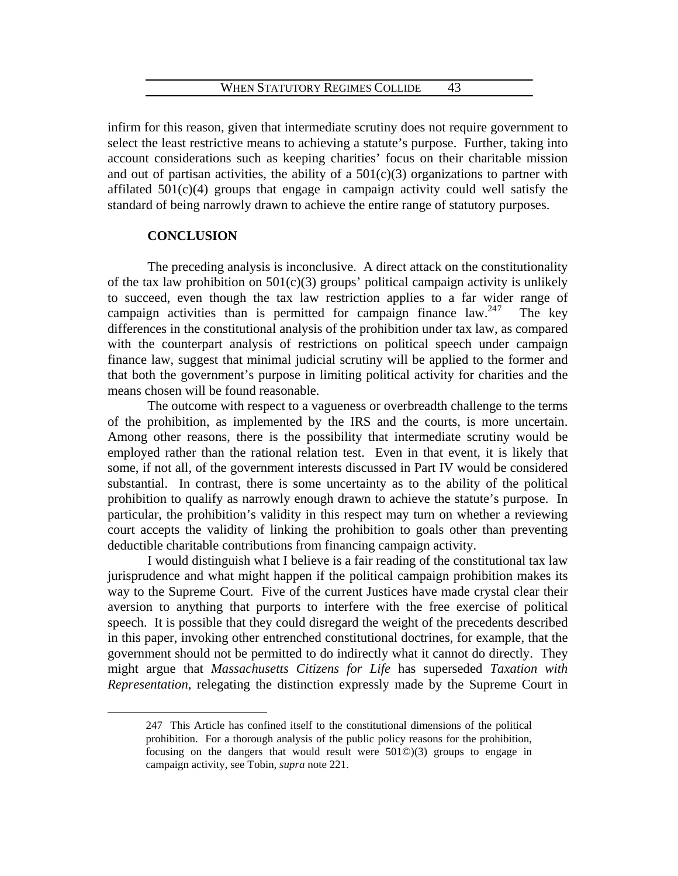infirm for this reason, given that intermediate scrutiny does not require government to select the least restrictive means to achieving a statute's purpose. Further, taking into account considerations such as keeping charities' focus on their charitable mission and out of partisan activities, the ability of a  $501(c)(3)$  organizations to partner with affilated 501(c)(4) groups that engage in campaign activity could well satisfy the standard of being narrowly drawn to achieve the entire range of statutory purposes.

# **CONCLUSION**

<span id="page-45-0"></span> $\overline{a}$ 

The preceding analysis is inconclusive. A direct attack on the constitutionality of the tax law prohibition on  $501(c)(3)$  groups' political campaign activity is unlikely to succeed, even though the tax law restriction applies to a far wider range of campaign activities than is permitted for campaign finance law.<sup>24[7](#page-45-0)</sup> The key differences in the constitutional analysis of the prohibition under tax law, as compared with the counterpart analysis of restrictions on political speech under campaign finance law, suggest that minimal judicial scrutiny will be applied to the former and that both the government's purpose in limiting political activity for charities and the means chosen will be found reasonable.

The outcome with respect to a vagueness or overbreadth challenge to the terms of the prohibition, as implemented by the IRS and the courts, is more uncertain. Among other reasons, there is the possibility that intermediate scrutiny would be employed rather than the rational relation test. Even in that event, it is likely that some, if not all, of the government interests discussed in Part IV would be considered substantial. In contrast, there is some uncertainty as to the ability of the political prohibition to qualify as narrowly enough drawn to achieve the statute's purpose. In particular, the prohibition's validity in this respect may turn on whether a reviewing court accepts the validity of linking the prohibition to goals other than preventing deductible charitable contributions from financing campaign activity.

I would distinguish what I believe is a fair reading of the constitutional tax law jurisprudence and what might happen if the political campaign prohibition makes its way to the Supreme Court. Five of the current Justices have made crystal clear their aversion to anything that purports to interfere with the free exercise of political speech. It is possible that they could disregard the weight of the precedents described in this paper, invoking other entrenched constitutional doctrines, for example, that the government should not be permitted to do indirectly what it cannot do directly. They might argue that *Massachusetts Citizens for Life* has superseded *Taxation with Representation*, relegating the distinction expressly made by the Supreme Court in

<sup>247</sup> This Article has confined itself to the constitutional dimensions of the political prohibition. For a thorough analysis of the public policy reasons for the prohibition, focusing on the dangers that would result were 501©)(3) groups to engage in campaign activity, see Tobin, *supra* note 221.